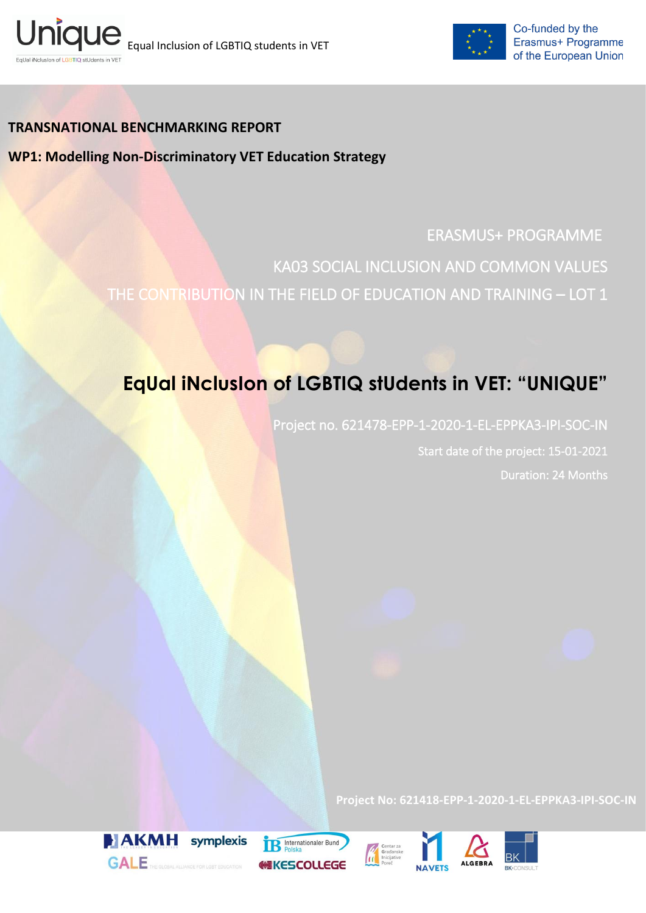



## **TRANSNATIONAL BENCHMARKING REPORT**

**WP1: Modelling Non-Discriminatory VET Education Strategy**

# ERASMUS+ PROGRAMME

KA03 SOCIAL INCLUSION AND COMMON VALUES THE CONTRIBUTION IN THE FIELD OF EDUCATION AND TRAINING – LOT 1

# **EqUal iNclusIon of LGBTIQ stUdents in VET: "UNIQUE"**

Project no. 621478-EPP-1-2020-1-EL-EPPKA3-IPI-SOC-IN Start date of the project: 15-01-2021 Duration: 24 Months

**Project No: 621418-EPP-1-2020-1-EL-EPPKA3-IPI-SOC-IN**



**IR** Internationaler Bund **HIKESCOLLEGE** 



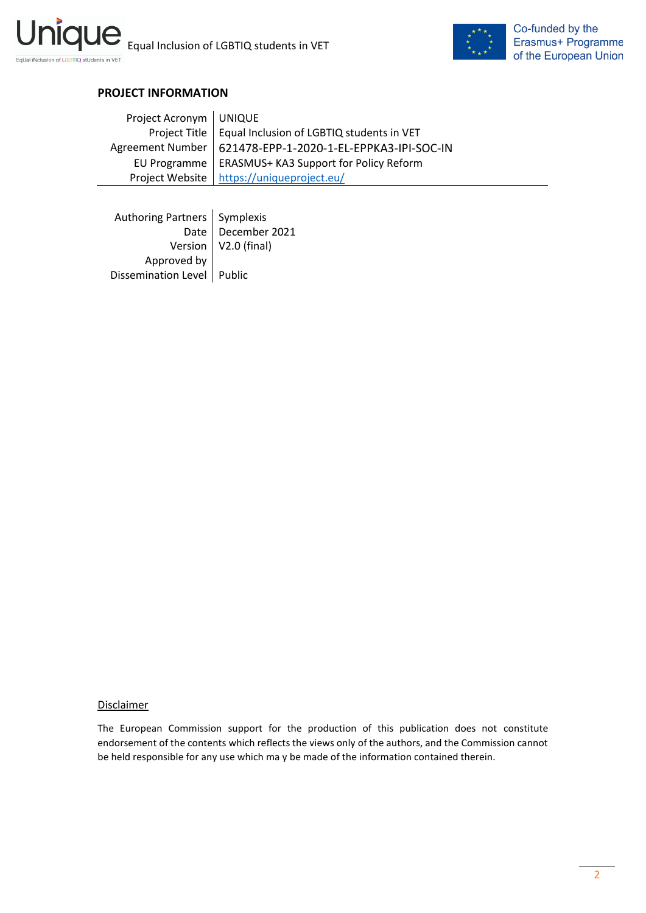



## **PROJECT INFORMATION**

| Project Acronym   UNIQUE |                                                             |
|--------------------------|-------------------------------------------------------------|
|                          | Project Title   Equal Inclusion of LGBTIQ students in VET   |
|                          | Agreement Number   621478-EPP-1-2020-1-EL-EPPKA3-IPI-SOC-IN |
|                          | EU Programme   ERASMUS+ KA3 Support for Policy Reform       |
|                          | Project Website   https://uniqueproject.eu/                 |

| Authoring Partners   Symplexis |                              |
|--------------------------------|------------------------------|
|                                | Date   December 2021         |
|                                | Version $\vert$ V2.0 (final) |
| Approved by                    |                              |
| Dissemination Level   Public   |                              |

#### **Disclaimer**

The European Commission support for the production of this publication does not constitute endorsement of the contents which reflects the views only of the authors, and the Commission cannot be held responsible for any use which ma y be made of the information contained therein.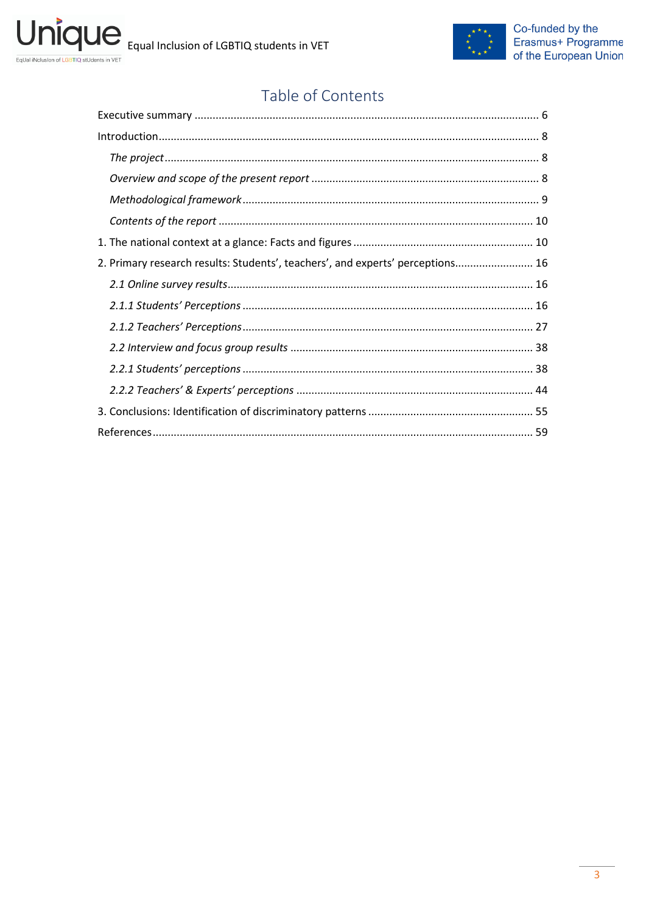

# Table of Contents

| 2. Primary research results: Students', teachers', and experts' perceptions 16 |  |
|--------------------------------------------------------------------------------|--|
|                                                                                |  |
|                                                                                |  |
|                                                                                |  |
|                                                                                |  |
|                                                                                |  |
|                                                                                |  |
|                                                                                |  |
|                                                                                |  |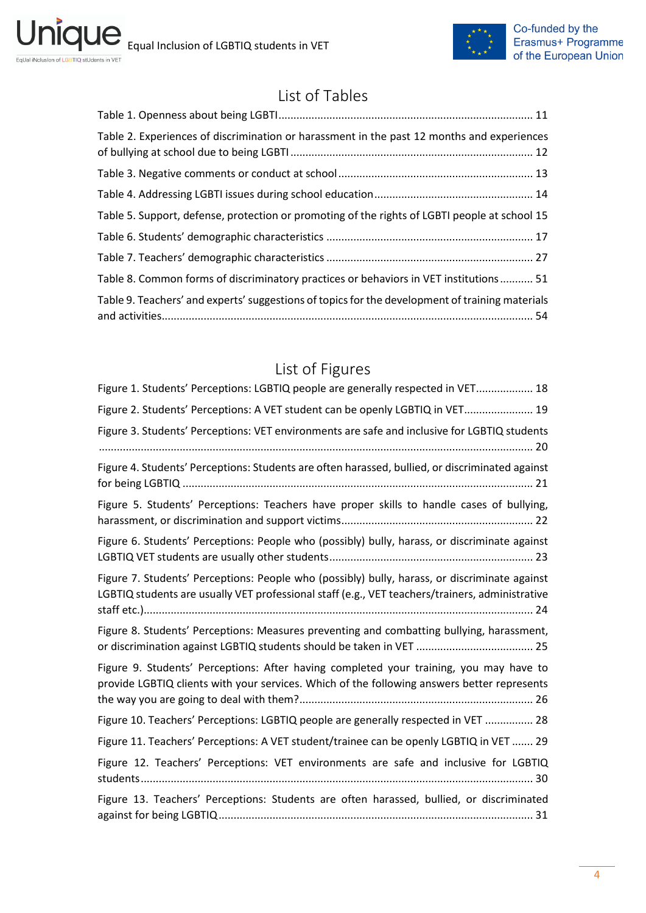ni



# List of Tables

| Table 2. Experiences of discrimination or harassment in the past 12 months and experiences      |
|-------------------------------------------------------------------------------------------------|
|                                                                                                 |
|                                                                                                 |
| Table 5. Support, defense, protection or promoting of the rights of LGBTI people at school 15   |
|                                                                                                 |
|                                                                                                 |
| Table 8. Common forms of discriminatory practices or behaviors in VET institutions 51           |
| Table 9. Teachers' and experts' suggestions of topics for the development of training materials |

# List of Figures

| Figure 1. Students' Perceptions: LGBTIQ people are generally respected in VET 18                                                                                                                 |
|--------------------------------------------------------------------------------------------------------------------------------------------------------------------------------------------------|
| Figure 2. Students' Perceptions: A VET student can be openly LGBTIQ in VET 19                                                                                                                    |
| Figure 3. Students' Perceptions: VET environments are safe and inclusive for LGBTIQ students                                                                                                     |
| Figure 4. Students' Perceptions: Students are often harassed, bullied, or discriminated against                                                                                                  |
| Figure 5. Students' Perceptions: Teachers have proper skills to handle cases of bullying,                                                                                                        |
| Figure 6. Students' Perceptions: People who (possibly) bully, harass, or discriminate against                                                                                                    |
| Figure 7. Students' Perceptions: People who (possibly) bully, harass, or discriminate against<br>LGBTIQ students are usually VET professional staff (e.g., VET teachers/trainers, administrative |
| Figure 8. Students' Perceptions: Measures preventing and combatting bullying, harassment,                                                                                                        |
| Figure 9. Students' Perceptions: After having completed your training, you may have to<br>provide LGBTIQ clients with your services. Which of the following answers better represents            |
| Figure 10. Teachers' Perceptions: LGBTIQ people are generally respected in VET  28                                                                                                               |
| Figure 11. Teachers' Perceptions: A VET student/trainee can be openly LGBTIQ in VET  29                                                                                                          |
| Figure 12. Teachers' Perceptions: VET environments are safe and inclusive for LGBTIQ                                                                                                             |
| Figure 13. Teachers' Perceptions: Students are often harassed, bullied, or discriminated                                                                                                         |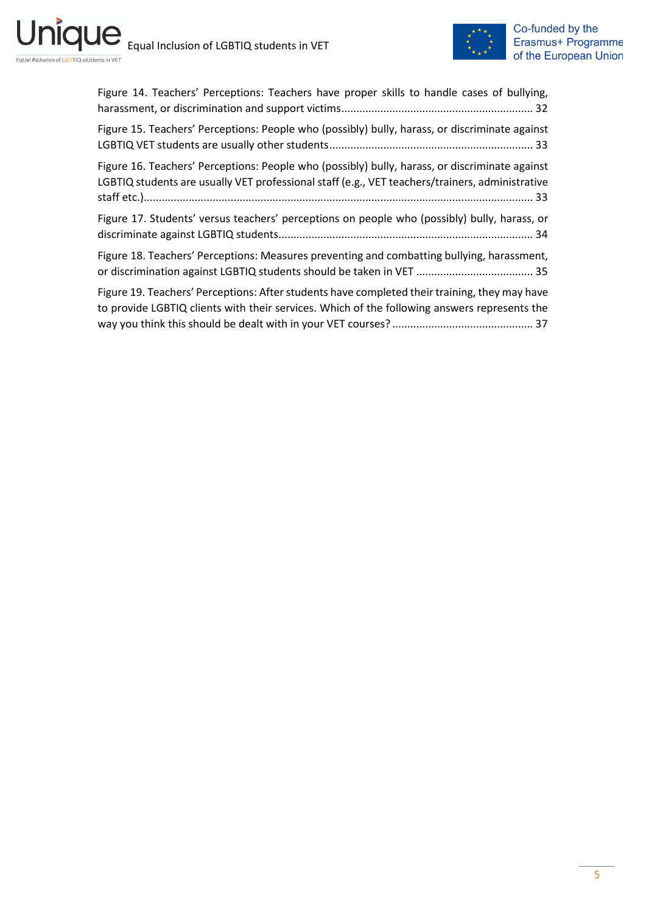



| Figure 14. Teachers' Perceptions: Teachers have proper skills to handle cases of bullying,                                                                                                        |
|---------------------------------------------------------------------------------------------------------------------------------------------------------------------------------------------------|
| Figure 15. Teachers' Perceptions: People who (possibly) bully, harass, or discriminate against                                                                                                    |
| Figure 16. Teachers' Perceptions: People who (possibly) bully, harass, or discriminate against<br>LGBTIQ students are usually VET professional staff (e.g., VET teachers/trainers, administrative |
| Figure 17. Students' versus teachers' perceptions on people who (possibly) bully, harass, or                                                                                                      |
| Figure 18. Teachers' Perceptions: Measures preventing and combatting bullying, harassment,                                                                                                        |
| Figure 19. Teachers' Perceptions: After students have completed their training, they may have<br>to provide LGBTIQ clients with their services. Which of the following answers represents the     |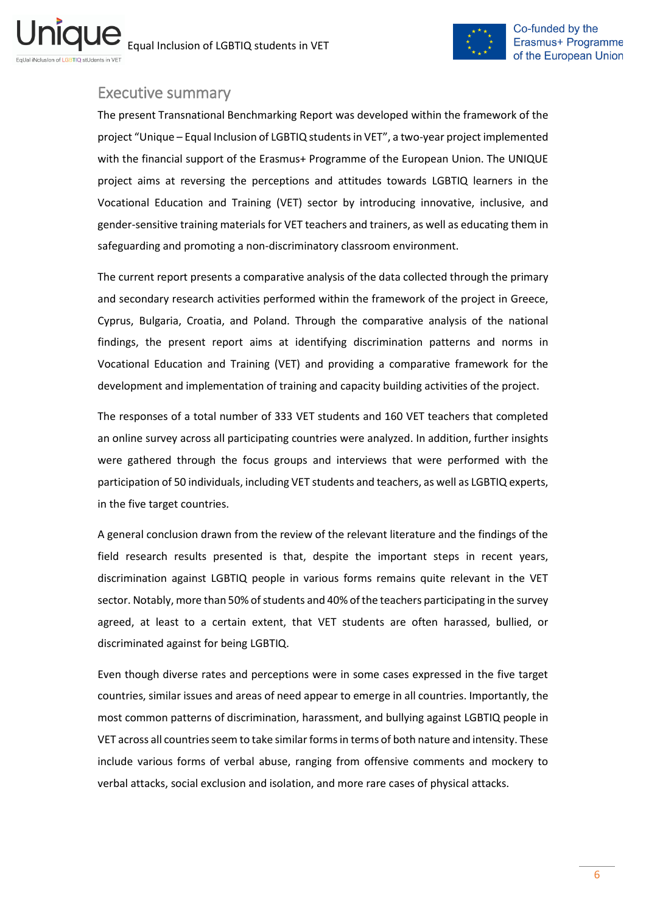

## <span id="page-5-0"></span>Executive summary

The present Transnational Benchmarking Report was developed within the framework of the project "Unique – Equal Inclusion of LGBTIQ students in VET", a two-year project implemented with the financial support of the Erasmus+ Programme of the European Union. The UNIQUE project aims at reversing the perceptions and attitudes towards LGBTIQ learners in the Vocational Education and Training (VET) sector by introducing innovative, inclusive, and gender-sensitive training materials for VET teachers and trainers, as well as educating them in safeguarding and promoting a non-discriminatory classroom environment.

The current report presents a comparative analysis of the data collected through the primary and secondary research activities performed within the framework of the project in Greece, Cyprus, Bulgaria, Croatia, and Poland. Through the comparative analysis of the national findings, the present report aims at identifying discrimination patterns and norms in Vocational Education and Training (VET) and providing a comparative framework for the development and implementation of training and capacity building activities of the project.

The responses of a total number of 333 VET students and 160 VET teachers that completed an online survey across all participating countries were analyzed. In addition, further insights were gathered through the focus groups and interviews that were performed with the participation of 50 individuals, including VET students and teachers, as well as LGBTIQ experts, in the five target countries.

A general conclusion drawn from the review of the relevant literature and the findings of the field research results presented is that, despite the important steps in recent years, discrimination against LGBTIQ people in various forms remains quite relevant in the VET sector. Notably, more than 50% of students and 40% of the teachers participating in the survey agreed, at least to a certain extent, that VET students are often harassed, bullied, or discriminated against for being LGBTIQ.

Even though diverse rates and perceptions were in some cases expressed in the five target countries, similar issues and areas of need appear to emerge in all countries. Importantly, the most common patterns of discrimination, harassment, and bullying against LGBTIQ people in VET across all countries seem to take similar forms in terms of both nature and intensity. These include various forms of verbal abuse, ranging from offensive comments and mockery to verbal attacks, social exclusion and isolation, and more rare cases of physical attacks.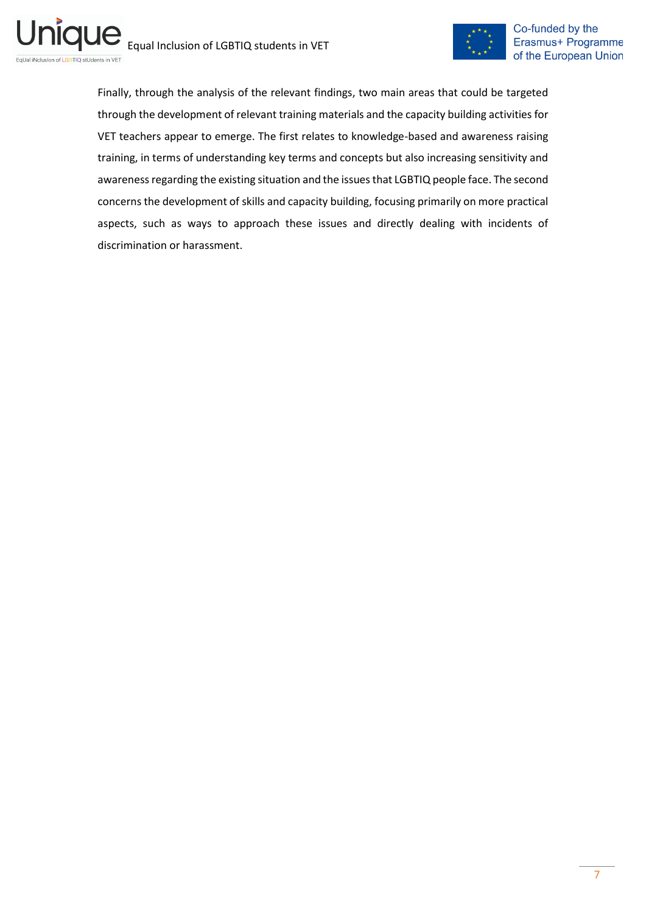

Finally, through the analysis of the relevant findings, two main areas that could be targeted through the development of relevant training materials and the capacity building activities for VET teachers appear to emerge. The first relates to knowledge-based and awareness raising training, in terms of understanding key terms and concepts but also increasing sensitivity and awareness regarding the existing situation and the issues that LGBTIQ people face. The second concerns the development of skills and capacity building, focusing primarily on more practical aspects, such as ways to approach these issues and directly dealing with incidents of discrimination or harassment.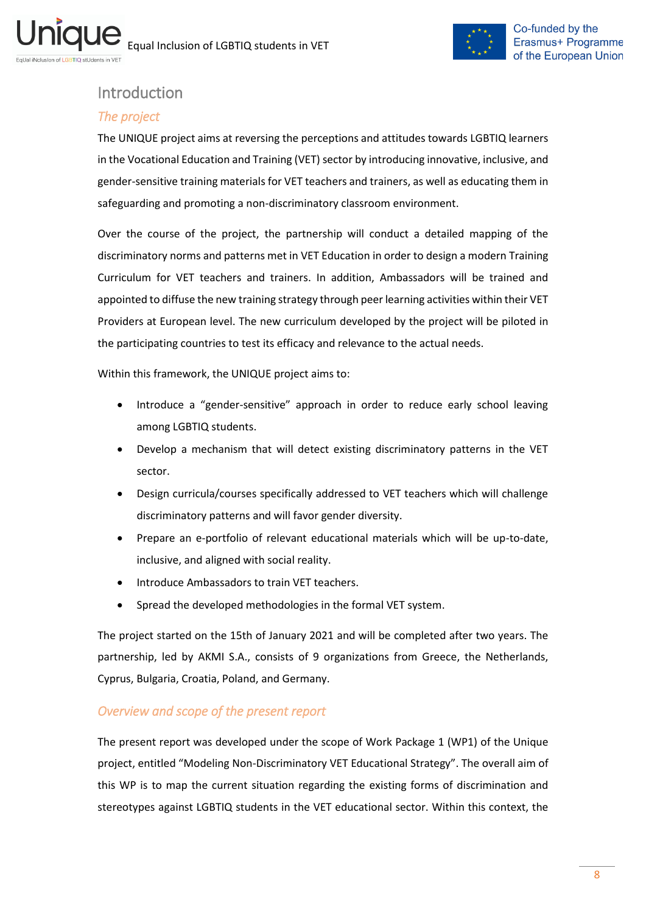

# <span id="page-7-0"></span>Introduction

## <span id="page-7-1"></span>*The project*

The UNIQUE project aims at reversing the perceptions and attitudes towards LGBTIQ learners in the Vocational Education and Training (VET) sector by introducing innovative, inclusive, and gender-sensitive training materials for VET teachers and trainers, as well as educating them in safeguarding and promoting a non-discriminatory classroom environment.

Over the course of the project, the partnership will conduct a detailed mapping of the discriminatory norms and patterns met in VET Education in order to design a modern Training Curriculum for VET teachers and trainers. In addition, Ambassadors will be trained and appointed to diffuse the new training strategy through peer learning activities within their VET Providers at European level. The new curriculum developed by the project will be piloted in the participating countries to test its efficacy and relevance to the actual needs.

Within this framework, the UNIQUE project aims to:

- Introduce a "gender-sensitive" approach in order to reduce early school leaving among LGBTIQ students.
- Develop a mechanism that will detect existing discriminatory patterns in the VET sector.
- Design curricula/courses specifically addressed to VET teachers which will challenge discriminatory patterns and will favor gender diversity.
- Prepare an e-portfolio of relevant educational materials which will be up-to-date, inclusive, and aligned with social reality.
- Introduce Ambassadors to train VET teachers.
- Spread the developed methodologies in the formal VET system.

The project started on the 15th of January 2021 and will be completed after two years. The partnership, led by AKMI S.A., consists of 9 organizations from Greece, the Netherlands, Cyprus, Bulgaria, Croatia, Poland, and Germany.

## <span id="page-7-2"></span>*Overview and scope of the present report*

The present report was developed under the scope of Work Package 1 (WP1) of the Unique project, entitled "Modeling Non-Discriminatory VET Educational Strategy". The overall aim of this WP is to map the current situation regarding the existing forms of discrimination and stereotypes against LGBTIQ students in the VET educational sector. Within this context, the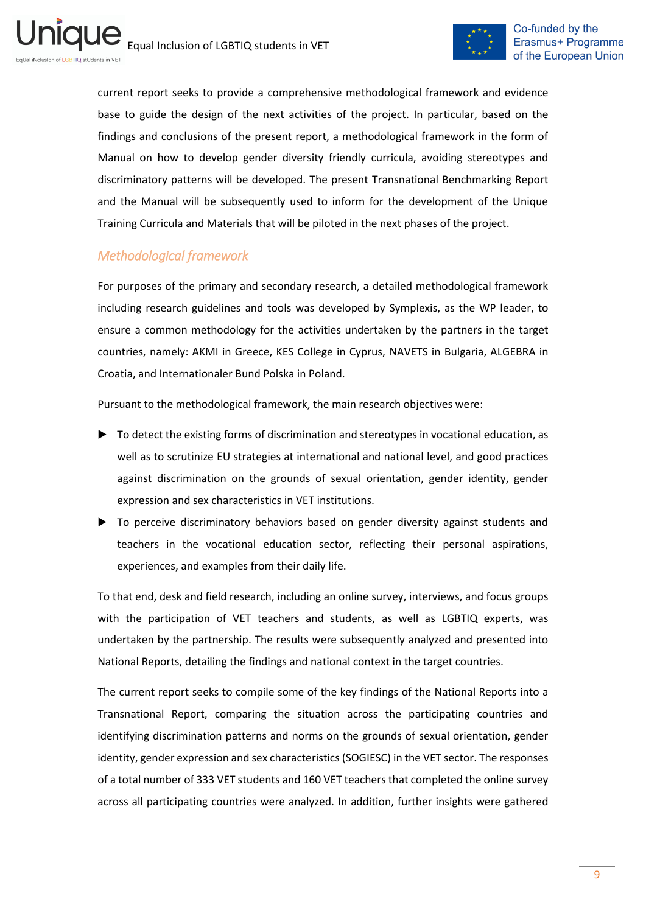

current report seeks to provide a comprehensive methodological framework and evidence base to guide the design of the next activities of the project. In particular, based on the findings and conclusions of the present report, a methodological framework in the form of Manual on how to develop gender diversity friendly curricula, avoiding stereotypes and discriminatory patterns will be developed. The present Transnational Benchmarking Report and the Manual will be subsequently used to inform for the development of the Unique Training Curricula and Materials that will be piloted in the next phases of the project.

## <span id="page-8-0"></span>*Methodological framework*

For purposes of the primary and secondary research, a detailed methodological framework including research guidelines and tools was developed by Symplexis, as the WP leader, to ensure a common methodology for the activities undertaken by the partners in the target countries, namely: AKMI in Greece, KES College in Cyprus, NAVETS in Bulgaria, ALGEBRA in Croatia, and Internationaler Bund Polska in Poland.

Pursuant to the methodological framework, the main research objectives were:

- $\triangleright$  To detect the existing forms of discrimination and stereotypes in vocational education, as well as to scrutinize EU strategies at international and national level, and good practices against discrimination on the grounds of sexual orientation, gender identity, gender expression and sex characteristics in VET institutions.
- ▶ To perceive discriminatory behaviors based on gender diversity against students and teachers in the vocational education sector, reflecting their personal aspirations, experiences, and examples from their daily life.

To that end, desk and field research, including an online survey, interviews, and focus groups with the participation of VET teachers and students, as well as LGBTIQ experts, was undertaken by the partnership. The results were subsequently analyzed and presented into National Reports, detailing the findings and national context in the target countries.

The current report seeks to compile some of the key findings of the National Reports into a Transnational Report, comparing the situation across the participating countries and identifying discrimination patterns and norms on the grounds of sexual orientation, gender identity, gender expression and sex characteristics (SOGIESC) in the VET sector. The responses of a total number of 333 VET students and 160 VET teachers that completed the online survey across all participating countries were analyzed. In addition, further insights were gathered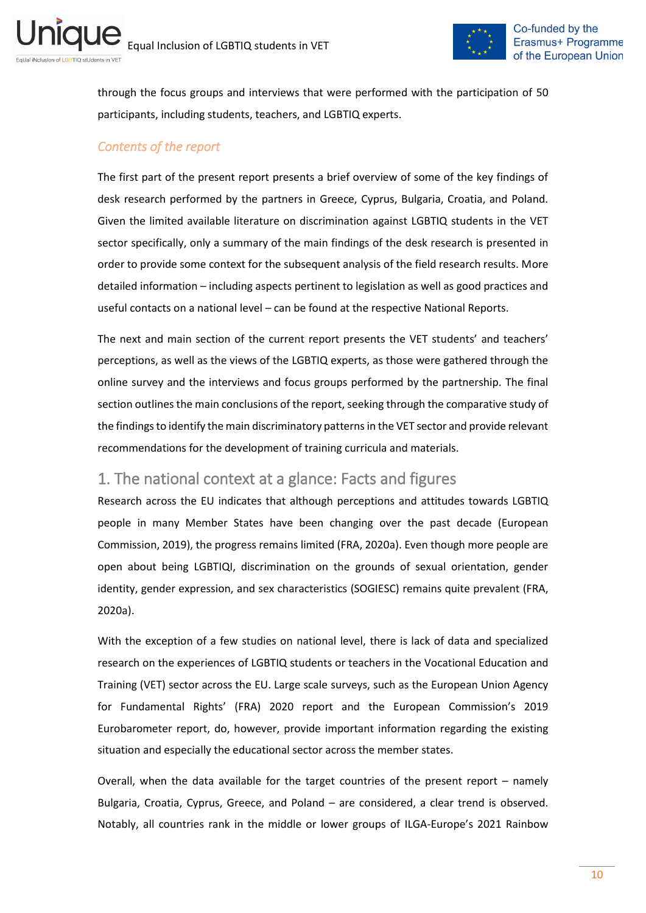

through the focus groups and interviews that were performed with the participation of 50 participants, including students, teachers, and LGBTIQ experts.

## <span id="page-9-0"></span>*Contents of the report*

The first part of the present report presents a brief overview of some of the key findings of desk research performed by the partners in Greece, Cyprus, Bulgaria, Croatia, and Poland. Given the limited available literature on discrimination against LGBTIQ students in the VET sector specifically, only a summary of the main findings of the desk research is presented in order to provide some context for the subsequent analysis of the field research results. More detailed information – including aspects pertinent to legislation as well as good practices and useful contacts on a national level – can be found at the respective National Reports.

The next and main section of the current report presents the VET students' and teachers' perceptions, as well as the views of the LGBTIQ experts, as those were gathered through the online survey and the interviews and focus groups performed by the partnership. The final section outlines the main conclusions of the report, seeking through the comparative study of the findings to identify the main discriminatory patternsin the VET sector and provide relevant recommendations for the development of training curricula and materials.

# <span id="page-9-1"></span>1. The national context at a glance: Facts and figures

Research across the EU indicates that although perceptions and attitudes towards LGBTIQ people in many Member States have been changing over the past decade (European Commission, 2019), the progress remains limited (FRA, 2020a). Even though more people are open about being LGBTIQI, discrimination on the grounds of sexual orientation, gender identity, gender expression, and sex characteristics (SOGIESC) remains quite prevalent (FRA, 2020a).

With the exception of a few studies on national level, there is lack of data and specialized research on the experiences of LGBTIQ students or teachers in the Vocational Education and Training (VET) sector across the EU. Large scale surveys, such as the European Union Agency for Fundamental Rights' (FRA) 2020 report and the European Commission's 2019 Eurobarometer report, do, however, provide important information regarding the existing situation and especially the educational sector across the member states.

Overall, when the data available for the target countries of the present report – namely Bulgaria, Croatia, Cyprus, Greece, and Poland – are considered, a clear trend is observed. Notably, all countries rank in the middle or lower groups of ILGA-Europe's 2021 Rainbow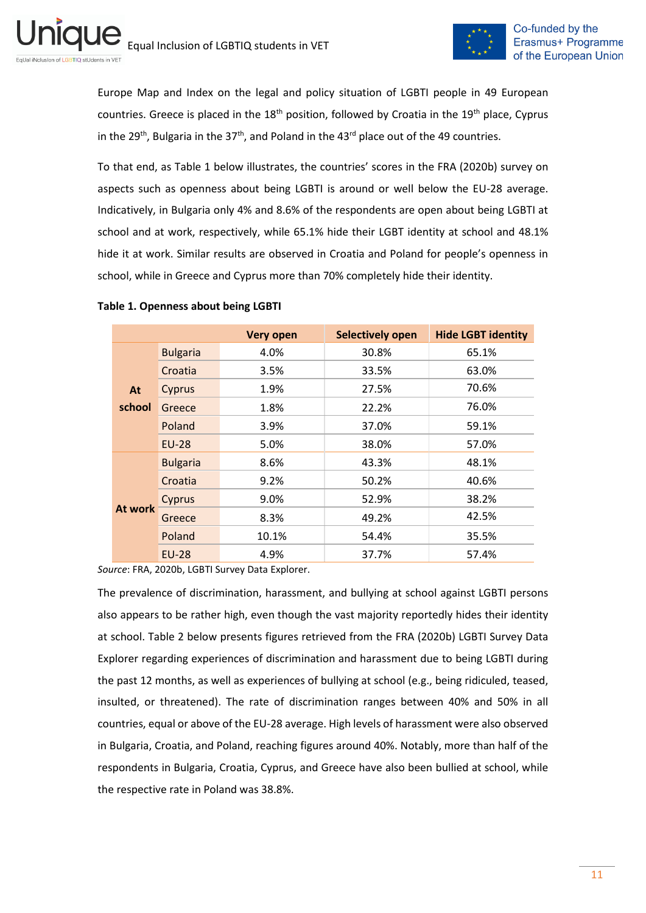

Europe Map and Index on the legal and policy situation of LGBTI people in 49 European countries. Greece is placed in the  $18<sup>th</sup>$  position, followed by Croatia in the  $19<sup>th</sup>$  place, Cyprus in the 29<sup>th</sup>, Bulgaria in the 37<sup>th</sup>, and Poland in the 43<sup>rd</sup> place out of the 49 countries.

To that end, as Table 1 below illustrates, the countries' scores in the FRA (2020b) survey on aspects such as openness about being LGBTI is around or well below the EU-28 average. Indicatively, in Bulgaria only 4% and 8.6% of the respondents are open about being LGBTI at school and at work, respectively, while 65.1% hide their LGBT identity at school and 48.1% hide it at work. Similar results are observed in Croatia and Poland for people's openness in school, while in Greece and Cyprus more than 70% completely hide their identity.

|                 |                 | <b>Very open</b> | <b>Selectively open</b> | <b>Hide LGBT identity</b> |  |
|-----------------|-----------------|------------------|-------------------------|---------------------------|--|
|                 | <b>Bulgaria</b> | 4.0%             | 30.8%                   | 65.1%                     |  |
|                 | Croatia         | 3.5%             | 33.5%                   | 63.0%                     |  |
| At              | Cyprus          | 1.9%             | 27.5%                   | 70.6%                     |  |
| school          | Greece          | 1.8%             | 22.2%                   | 76.0%                     |  |
|                 | Poland          | 3.9%             | 37.0%                   | 59.1%                     |  |
|                 | $EU-28$         | 5.0%             | 38.0%                   | 57.0%                     |  |
| <b>Bulgaria</b> |                 | 8.6%             | 43.3%                   | 48.1%                     |  |
|                 | Croatia         | 9.2%             | 50.2%                   | 40.6%                     |  |
|                 | Cyprus          | 9.0%             | 52.9%                   | 38.2%                     |  |
| At work         | Greece          | 8.3%             | 49.2%                   | 42.5%                     |  |
|                 | Poland          | 10.1%            | 54.4%                   | 35.5%                     |  |
|                 | <b>EU-28</b>    | 4.9%             | 37.7%                   | 57.4%                     |  |

#### <span id="page-10-0"></span>**Table 1. Openness about being LGBTI**

*Source*: FRA, 2020b, LGBTI Survey Data Explorer.

The prevalence of discrimination, harassment, and bullying at school against LGBTI persons also appears to be rather high, even though the vast majority reportedly hides their identity at school. Table 2 below presents figures retrieved from the FRA (2020b) LGBTI Survey Data Explorer regarding experiences of discrimination and harassment due to being LGBTI during the past 12 months, as well as experiences of bullying at school (e.g., being ridiculed, teased, insulted, or threatened). The rate of discrimination ranges between 40% and 50% in all countries, equal or above of the EU-28 average. High levels of harassment were also observed in Bulgaria, Croatia, and Poland, reaching figures around 40%. Notably, more than half of the respondents in Bulgaria, Croatia, Cyprus, and Greece have also been bullied at school, while the respective rate in Poland was 38.8%.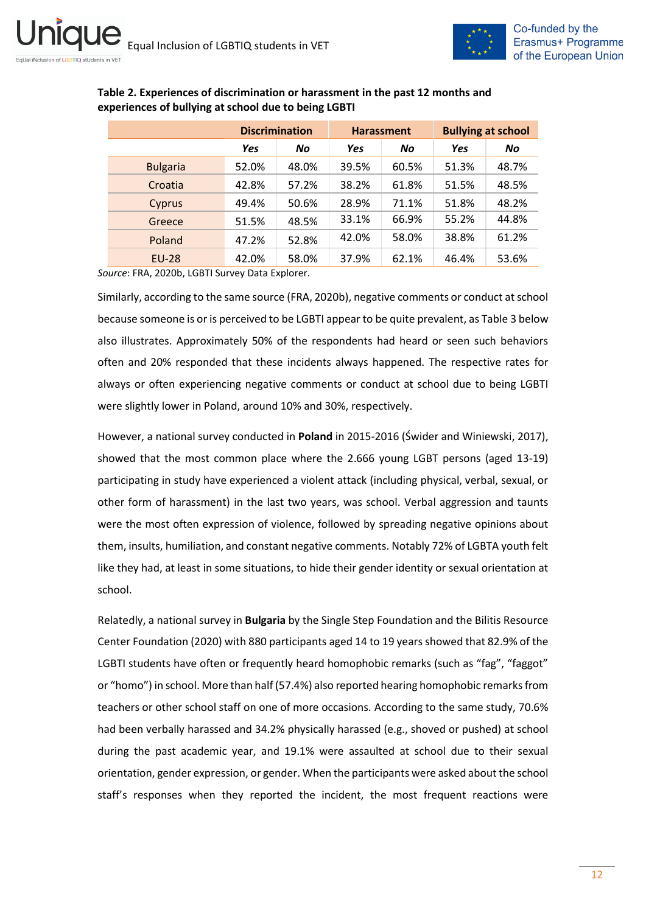

|                 | <b>Discrimination</b> |       | <b>Harassment</b> |       | <b>Bullying at school</b> |       |
|-----------------|-----------------------|-------|-------------------|-------|---------------------------|-------|
|                 | <b>Yes</b>            | No    | Yes               | No    | <b>Yes</b>                | No    |
| <b>Bulgaria</b> | 52.0%                 | 48.0% | 39.5%             | 60.5% | 51.3%                     | 48.7% |
| Croatia         | 42.8%                 | 57.2% | 38.2%             | 61.8% | 51.5%                     | 48.5% |
| Cyprus          | 49.4%                 | 50.6% | 28.9%             | 71.1% | 51.8%                     | 48.2% |
| Greece          | 51.5%                 | 48.5% | 33.1%             | 66.9% | 55.2%                     | 44.8% |
| Poland          | 47.2%                 | 52.8% | 42.0%             | 58.0% | 38.8%                     | 61.2% |
| <b>EU-28</b>    | 42.0%                 | 58.0% | 37.9%             | 62.1% | 46.4%                     | 53.6% |

### <span id="page-11-0"></span>**Table 2. Experiences of discrimination or harassment in the past 12 months and experiences of bullying at school due to being LGBTI**

*Source*: FRA, 2020b, LGBTI Survey Data Explorer.

Similarly, according to the same source (FRA, 2020b), negative comments or conduct at school because someone is or is perceived to be LGBTI appear to be quite prevalent, as Table 3 below also illustrates. Approximately 50% of the respondents had heard or seen such behaviors often and 20% responded that these incidents always happened. The respective rates for always or often experiencing negative comments or conduct at school due to being LGBTI were slightly lower in Poland, around 10% and 30%, respectively.

However, a national survey conducted in **Poland** in 2015-2016 (Świder and Winiewski, 2017), showed that the most common place where the 2.666 young LGBT persons (aged 13-19) participating in study have experienced a violent attack (including physical, verbal, sexual, or other form of harassment) in the last two years, was school. Verbal aggression and taunts were the most often expression of violence, followed by spreading negative opinions about them, insults, humiliation, and constant negative comments. Notably 72% of LGBTA youth felt like they had, at least in some situations, to hide their gender identity or sexual orientation at school.

Relatedly, a national survey in **Bulgaria** by the Single Step Foundation and the Bilitis Resource Center Foundation (2020) with 880 participants aged 14 to 19 years showed that 82.9% of the LGBTI students have often or frequently heard homophobic remarks (such as "fag", "faggot" or "homo") in school. More than half (57.4%) also reported hearing homophobic remarks from teachers or other school staff on one of more occasions. According to the same study, 70.6% had been verbally harassed and 34.2% physically harassed (e.g., shoved or pushed) at school during the past academic year, and 19.1% were assaulted at school due to their sexual orientation, gender expression, or gender. When the participants were asked about the school staff's responses when they reported the incident, the most frequent reactions were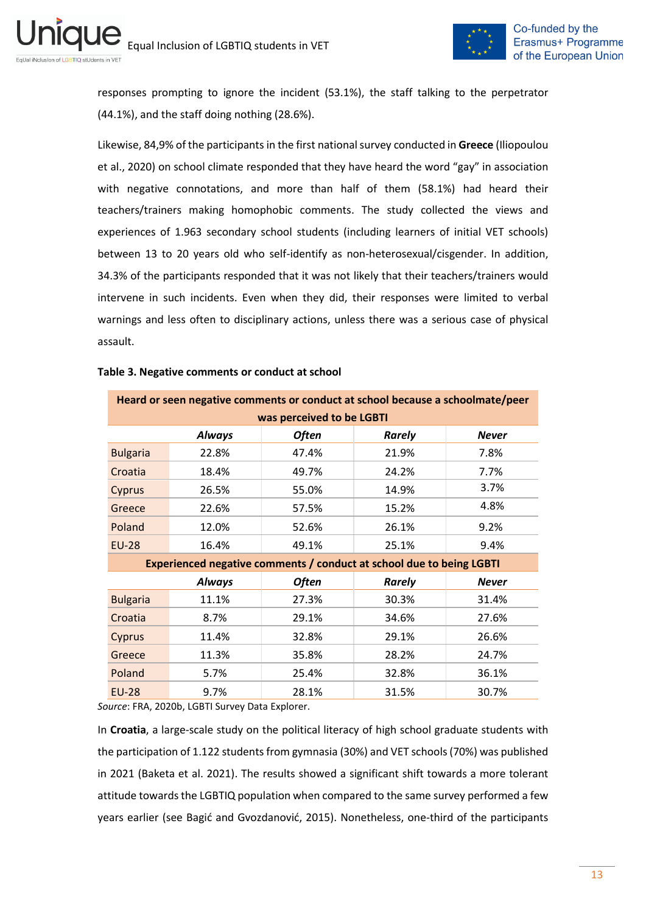

responses prompting to ignore the incident (53.1%), the staff talking to the perpetrator (44.1%), and the staff doing nothing (28.6%).

Likewise, 84,9% of the participants in the first national survey conducted in **Greece** (Iliopoulou et al., 2020) on school climate responded that they have heard the word "gay" in association with negative connotations, and more than half of them (58.1%) had heard their teachers/trainers making homophobic comments. The study collected the views and experiences of 1.963 secondary school students (including learners of initial VET schools) between 13 to 20 years old who self-identify as non-heterosexual/cisgender. In addition, 34.3% of the participants responded that it was not likely that their teachers/trainers would intervene in such incidents. Even when they did, their responses were limited to verbal warnings and less often to disciplinary actions, unless there was a serious case of physical assault.

| Heard or seen negative comments or conduct at school because a schoolmate/peer |               |                                                                      |               |              |  |  |  |
|--------------------------------------------------------------------------------|---------------|----------------------------------------------------------------------|---------------|--------------|--|--|--|
| was perceived to be LGBTI                                                      |               |                                                                      |               |              |  |  |  |
|                                                                                | <b>Always</b> | <b>Often</b>                                                         | <b>Rarely</b> | <b>Never</b> |  |  |  |
| <b>Bulgaria</b>                                                                | 22.8%         | 47.4%                                                                | 21.9%         | 7.8%         |  |  |  |
| Croatia                                                                        | 18.4%         | 49.7%                                                                | 24.2%         | 7.7%         |  |  |  |
| <b>Cyprus</b>                                                                  | 26.5%         | 55.0%                                                                | 14.9%         | 3.7%         |  |  |  |
| Greece                                                                         | 22.6%         | 57.5%                                                                | 15.2%         | 4.8%         |  |  |  |
| Poland                                                                         | 12.0%         | 52.6%                                                                | 26.1%         | 9.2%         |  |  |  |
| <b>EU-28</b>                                                                   | 16.4%         | 49.1%                                                                | 25.1%         | 9.4%         |  |  |  |
|                                                                                |               | Experienced negative comments / conduct at school due to being LGBTI |               |              |  |  |  |
|                                                                                | <b>Always</b> | Often                                                                | <b>Rarely</b> | <b>Never</b> |  |  |  |
| <b>Bulgaria</b>                                                                | 11.1%         | 27.3%                                                                | 30.3%         | 31.4%        |  |  |  |
| Croatia                                                                        | 8.7%          | 29.1%                                                                | 34.6%         | 27.6%        |  |  |  |
| Cyprus                                                                         | 11.4%         | 32.8%                                                                | 29.1%         | 26.6%        |  |  |  |
| Greece                                                                         | 11.3%         | 35.8%                                                                | 28.2%         | 24.7%        |  |  |  |
| Poland                                                                         | 5.7%          | 25.4%                                                                | 32.8%         | 36.1%        |  |  |  |
| <b>EU-28</b>                                                                   | 9.7%          | 28.1%                                                                | 31.5%         | 30.7%        |  |  |  |

#### <span id="page-12-0"></span>**Table 3. Negative comments or conduct at school**

*Source*: FRA, 2020b, LGBTI Survey Data Explorer.

In **Croatia**, a large-scale study on the political literacy of high school graduate students with the participation of 1.122 students from gymnasia (30%) and VET schools(70%) was published in 2021 (Baketa et al. 2021). The results showed a significant shift towards a more tolerant attitude towards the LGBTIQ population when compared to the same survey performed a few years earlier (see Bagić and Gvozdanović, 2015). Nonetheless, one-third of the participants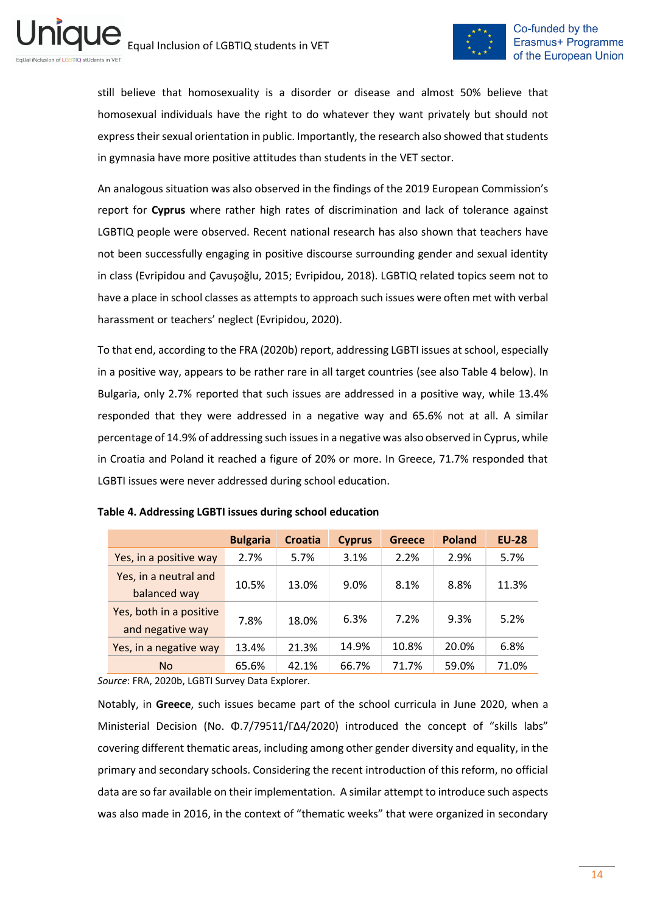

still believe that homosexuality is a disorder or disease and almost 50% believe that homosexual individuals have the right to do whatever they want privately but should not express their sexual orientation in public. Importantly, the research also showed that students in gymnasia have more positive attitudes than students in the VET sector.

An analogous situation was also observed in the findings of the 2019 European Commission's report for **Cyprus** where rather high rates of discrimination and lack of tolerance against LGBTIQ people were observed. Recent national research has also shown that teachers have not been successfully engaging in positive discourse surrounding gender and sexual identity in class (Evripidou and Çavuşoğlu, 2015; Evripidou, 2018). LGBTIQ related topics seem not to have a place in school classes as attempts to approach such issues were often met with verbal harassment or teachers' neglect (Evripidou, 2020).

To that end, according to the FRA (2020b) report, addressing LGBTI issues at school, especially in a positive way, appears to be rather rare in all target countries (see also Table 4 below). In Bulgaria, only 2.7% reported that such issues are addressed in a positive way, while 13.4% responded that they were addressed in a negative way and 65.6% not at all. A similar percentage of 14.9% of addressing such issues in a negative was also observed in Cyprus, while in Croatia and Poland it reached a figure of 20% or more. In Greece, 71.7% responded that LGBTI issues were never addressed during school education.

|                                             | <b>Bulgaria</b> | <b>Croatia</b> | <b>Cyprus</b> | <b>Greece</b> | <b>Poland</b> | <b>EU-28</b> |
|---------------------------------------------|-----------------|----------------|---------------|---------------|---------------|--------------|
| Yes, in a positive way                      | 2.7%            | 5.7%           | 3.1%          | 2.2%          | 2.9%          | 5.7%         |
| Yes, in a neutral and<br>balanced way       | 10.5%           | 13.0%          | 9.0%          | 8.1%          | 8.8%          | 11.3%        |
| Yes, both in a positive<br>and negative way | 7.8%            | 18.0%          | 6.3%          | 7.2%          | 9.3%          | 5.2%         |
| Yes, in a negative way                      | 13.4%           | 21.3%          | 14.9%         | 10.8%         | 20.0%         | 6.8%         |
| <b>No</b>                                   | 65.6%           | 42.1%          | 66.7%         | 71.7%         | 59.0%         | 71.0%        |

<span id="page-13-0"></span>

*Source*: FRA, 2020b, LGBTI Survey Data Explorer.

Notably, in **Greece**, such issues became part of the school curricula in June 2020, when a Ministerial Decision (Νο. Φ.7/79511/ΓΔ4/2020) introduced the concept of "skills labs" covering different thematic areas, including among other gender diversity and equality, in the primary and secondary schools. Considering the recent introduction of this reform, no official data are so far available on their implementation. A similar attempt to introduce such aspects was also made in 2016, in the context of "thematic weeks" that were organized in secondary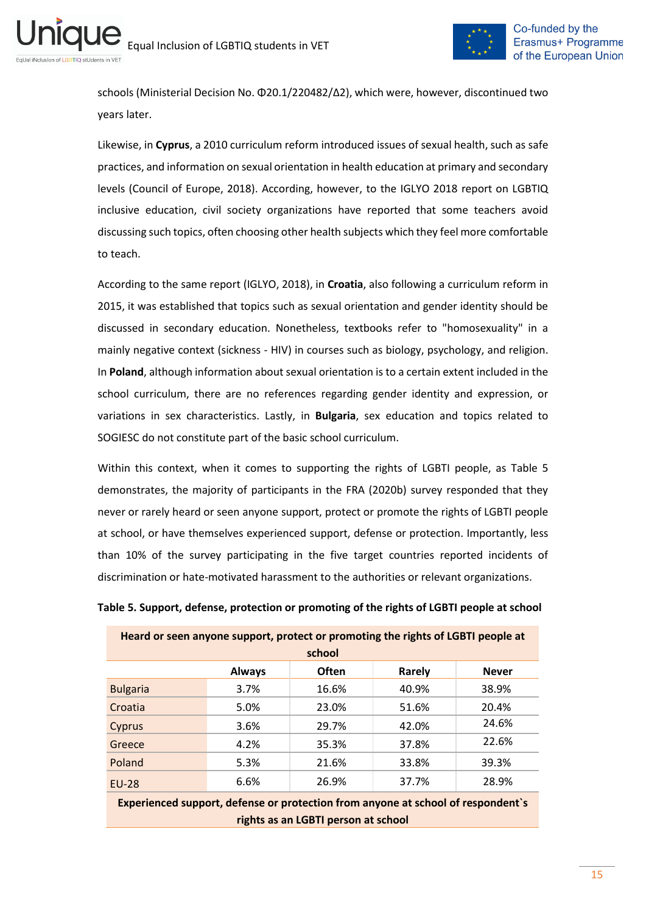

schools (Ministerial Decision Νο. Φ20.1/220482/Δ2), which were, however, discontinued two years later.

Likewise, in **Cyprus**, a 2010 curriculum reform introduced issues of sexual health, such as safe practices, and information on sexual orientation in health education at primary and secondary levels (Council of Europe, 2018). According, however, to the IGLYO 2018 report on LGBTIQ inclusive education, civil society organizations have reported that some teachers avoid discussing such topics, often choosing other health subjects which they feel more comfortable to teach.

According to the same report (IGLYO, 2018), in **Croatia**, also following a curriculum reform in 2015, it was established that topics such as sexual orientation and gender identity should be discussed in secondary education. Nonetheless, textbooks refer to "homosexuality" in a mainly negative context (sickness - HIV) in courses such as biology, psychology, and religion. In **Poland**, although information about sexual orientation is to a certain extent included in the school curriculum, there are no references regarding gender identity and expression, or variations in sex characteristics. Lastly, in **Bulgaria**, sex education and topics related to SOGIESC do not constitute part of the basic school curriculum.

Within this context, when it comes to supporting the rights of LGBTI people, as Table 5 demonstrates, the majority of participants in the FRA (2020b) survey responded that they never or rarely heard or seen anyone support, protect or promote the rights of LGBTI people at school, or have themselves experienced support, defense or protection. Importantly, less than 10% of the survey participating in the five target countries reported incidents of discrimination or hate-motivated harassment to the authorities or relevant organizations.

#### <span id="page-14-0"></span>**Table 5. Support, defense, protection or promoting of the rights of LGBTI people at school**

| Heard or seen anyone support, protect or promoting the rights of LGBTI people at |      |       |       |       |  |  |  |
|----------------------------------------------------------------------------------|------|-------|-------|-------|--|--|--|
| school                                                                           |      |       |       |       |  |  |  |
| <b>Always</b><br><b>Often</b><br>Rarely<br><b>Never</b>                          |      |       |       |       |  |  |  |
| <b>Bulgaria</b>                                                                  | 3.7% | 16.6% | 40.9% | 38.9% |  |  |  |
| Croatia                                                                          | 5.0% | 23.0% | 51.6% | 20.4% |  |  |  |
| Cyprus                                                                           | 3.6% | 29.7% | 42.0% | 24.6% |  |  |  |
| Greece                                                                           | 4.2% | 35.3% | 37.8% | 22.6% |  |  |  |
| Poland                                                                           | 5.3% | 21.6% | 33.8% | 39.3% |  |  |  |
| <b>EU-28</b>                                                                     | 6.6% | 26.9% | 37.7% | 28.9% |  |  |  |
| Experienced support, defense or protection from anyone at school of respondent's |      |       |       |       |  |  |  |

**rights as an LGBTI person at school**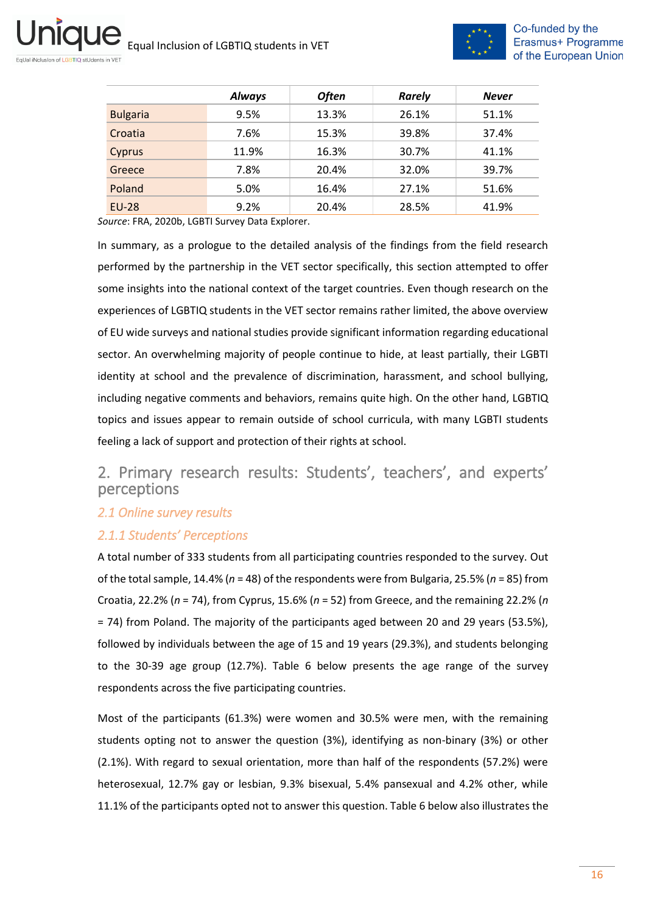ni



|                 | <b>Always</b> | <b>Often</b> | <b>Rarely</b> | <b>Never</b> |
|-----------------|---------------|--------------|---------------|--------------|
| <b>Bulgaria</b> | 9.5%          | 13.3%        | 26.1%         | 51.1%        |
| Croatia         | 7.6%          | 15.3%        | 39.8%         | 37.4%        |
| Cyprus          | 11.9%         | 16.3%        | 30.7%         | 41.1%        |
| Greece          | 7.8%          | 20.4%        | 32.0%         | 39.7%        |
| Poland          | 5.0%          | 16.4%        | 27.1%         | 51.6%        |
| <b>EU-28</b>    | 9.2%          | 20.4%        | 28.5%         | 41.9%        |

*Source*: FRA, 2020b, LGBTI Survey Data Explorer.

In summary, as a prologue to the detailed analysis of the findings from the field research performed by the partnership in the VET sector specifically, this section attempted to offer some insights into the national context of the target countries. Even though research on the experiences of LGBTIQ students in the VET sector remains rather limited, the above overview of EU wide surveys and national studies provide significant information regarding educational sector. An overwhelming majority of people continue to hide, at least partially, their LGBTI identity at school and the prevalence of discrimination, harassment, and school bullying, including negative comments and behaviors, remains quite high. On the other hand, LGBTIQ topics and issues appear to remain outside of school curricula, with many LGBTI students feeling a lack of support and protection of their rights at school.

# <span id="page-15-0"></span>2. Primary research results: Students', teachers', and experts' perceptions

## <span id="page-15-1"></span>*2.1 Online survey results*

## <span id="page-15-2"></span>*2.1.1 Students' Perceptions*

A total number of 333 students from all participating countries responded to the survey. Out of the total sample, 14.4% (*n* = 48) of the respondents were from Bulgaria, 25.5% (*n* = 85) from Croatia, 22.2% (*n* = 74), from Cyprus, 15.6% (*n* = 52) from Greece, and the remaining 22.2% (*n* = 74) from Poland. The majority of the participants aged between 20 and 29 years (53.5%), followed by individuals between the age of 15 and 19 years (29.3%), and students belonging to the 30-39 age group (12.7%). Table 6 below presents the age range of the survey respondents across the five participating countries.

Most of the participants (61.3%) were women and 30.5% were men, with the remaining students opting not to answer the question (3%), identifying as non-binary (3%) or other (2.1%). With regard to sexual orientation, more than half of the respondents (57.2%) were heterosexual, 12.7% gay or lesbian, 9.3% bisexual, 5.4% pansexual and 4.2% other, while 11.1% of the participants opted not to answer this question. Table 6 below also illustrates the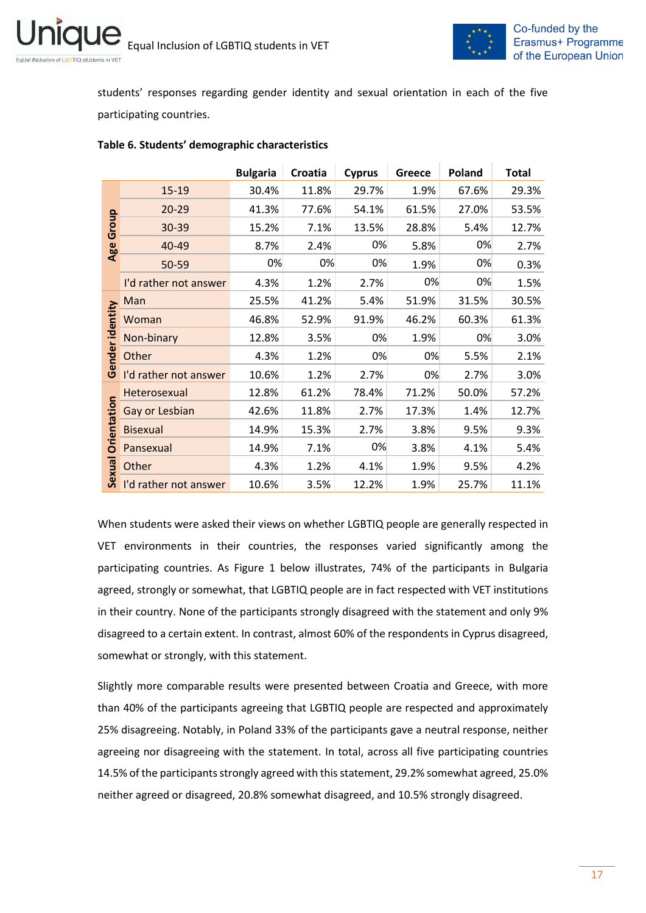

students' responses regarding gender identity and sexual orientation in each of the five participating countries.

|                 |                       | <b>Bulgaria</b> | Croatia | <b>Cyprus</b> | Greece | Poland | <b>Total</b> |
|-----------------|-----------------------|-----------------|---------|---------------|--------|--------|--------------|
|                 | 15-19                 | 30.4%           | 11.8%   | 29.7%         | 1.9%   | 67.6%  | 29.3%        |
|                 | 20-29                 | 41.3%           | 77.6%   | 54.1%         | 61.5%  | 27.0%  | 53.5%        |
| Group           | 30-39                 | 15.2%           | 7.1%    | 13.5%         | 28.8%  | 5.4%   | 12.7%        |
| Age             | 40-49                 | 8.7%            | 2.4%    | 0%            | 5.8%   | 0%     | 2.7%         |
|                 | 50-59                 | 0%              | 0%      | 0%            | 1.9%   | 0%     | 0.3%         |
|                 | I'd rather not answer | 4.3%            | 1.2%    | 2.7%          | 0%     | 0%     | 1.5%         |
|                 | Man                   | 25.5%           | 41.2%   | 5.4%          | 51.9%  | 31.5%  | 30.5%        |
|                 | Woman                 | 46.8%           | 52.9%   | 91.9%         | 46.2%  | 60.3%  | 61.3%        |
|                 | Non-binary            | 12.8%           | 3.5%    | 0%            | 1.9%   | 0%     | 3.0%         |
| Gender identity | Other                 | 4.3%            | 1.2%    | 0%            | 0%     | 5.5%   | 2.1%         |
|                 | I'd rather not answer | 10.6%           | 1.2%    | 2.7%          | 0%     | 2.7%   | 3.0%         |
|                 | Heterosexual          | 12.8%           | 61.2%   | 78.4%         | 71.2%  | 50.0%  | 57.2%        |
|                 | Gay or Lesbian        | 42.6%           | 11.8%   | 2.7%          | 17.3%  | 1.4%   | 12.7%        |
| Orientation     | <b>Bisexual</b>       | 14.9%           | 15.3%   | 2.7%          | 3.8%   | 9.5%   | 9.3%         |
|                 | Pansexual             | 14.9%           | 7.1%    | 0%            | 3.8%   | 4.1%   | 5.4%         |
| Sexual          | Other                 | 4.3%            | 1.2%    | 4.1%          | 1.9%   | 9.5%   | 4.2%         |
|                 | I'd rather not answer | 10.6%           | 3.5%    | 12.2%         | 1.9%   | 25.7%  | 11.1%        |

### <span id="page-16-0"></span>**Table 6. Students' demographic characteristics**

When students were asked their views on whether LGBTIQ people are generally respected in VET environments in their countries, the responses varied significantly among the participating countries. As Figure 1 below illustrates, 74% of the participants in Bulgaria agreed, strongly or somewhat, that LGBTIQ people are in fact respected with VET institutions in their country. None of the participants strongly disagreed with the statement and only 9% disagreed to a certain extent. In contrast, almost 60% of the respondents in Cyprus disagreed, somewhat or strongly, with this statement.

Slightly more comparable results were presented between Croatia and Greece, with more than 40% of the participants agreeing that LGBTIQ people are respected and approximately 25% disagreeing. Notably, in Poland 33% of the participants gave a neutral response, neither agreeing nor disagreeing with the statement. In total, across all five participating countries 14.5% of the participants strongly agreed with this statement, 29.2% somewhat agreed, 25.0% neither agreed or disagreed, 20.8% somewhat disagreed, and 10.5% strongly disagreed.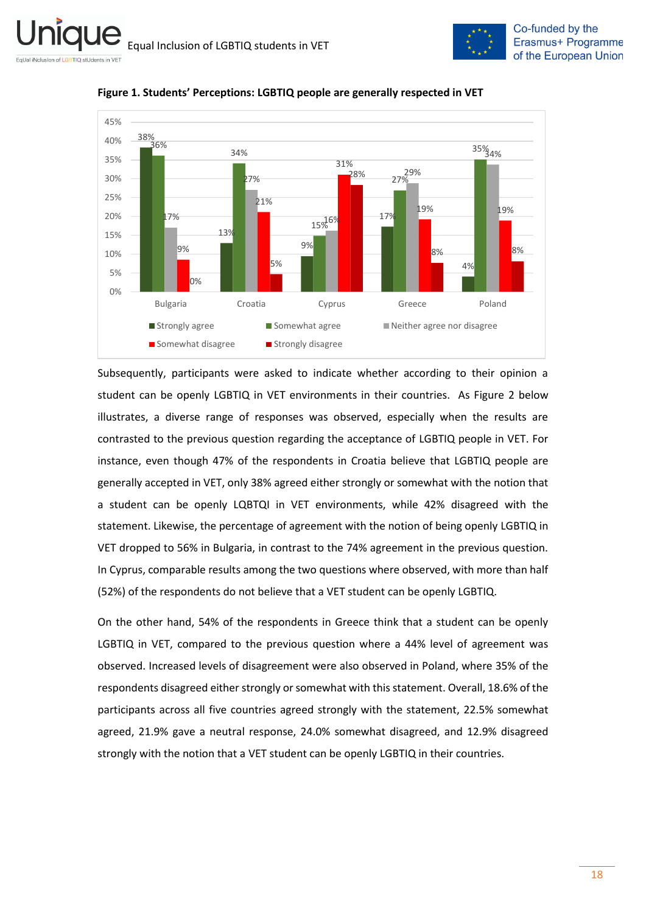



<span id="page-17-0"></span>**Figure 1. Students' Perceptions: LGBTIQ people are generally respected in VET** 

Subsequently, participants were asked to indicate whether according to their opinion a student can be openly LGBTIQ in VET environments in their countries. As Figure 2 below illustrates, a diverse range of responses was observed, especially when the results are contrasted to the previous question regarding the acceptance of LGBTIQ people in VET. For instance, even though 47% of the respondents in Croatia believe that LGBTIQ people are generally accepted in VET, only 38% agreed either strongly or somewhat with the notion that a student can be openly LQBTQI in VET environments, while 42% disagreed with the statement. Likewise, the percentage of agreement with the notion of being openly LGBTIQ in VET dropped to 56% in Bulgaria, in contrast to the 74% agreement in the previous question. In Cyprus, comparable results among the two questions where observed, with more than half (52%) of the respondents do not believe that a VET student can be openly LGBTIQ.

On the other hand, 54% of the respondents in Greece think that a student can be openly LGBTIQ in VET, compared to the previous question where a 44% level of agreement was observed. Increased levels of disagreement were also observed in Poland, where 35% of the respondents disagreed either strongly or somewhat with this statement. Overall, 18.6% of the participants across all five countries agreed strongly with the statement, 22.5% somewhat agreed, 21.9% gave a neutral response, 24.0% somewhat disagreed, and 12.9% disagreed strongly with the notion that a VET student can be openly LGBTIQ in their countries.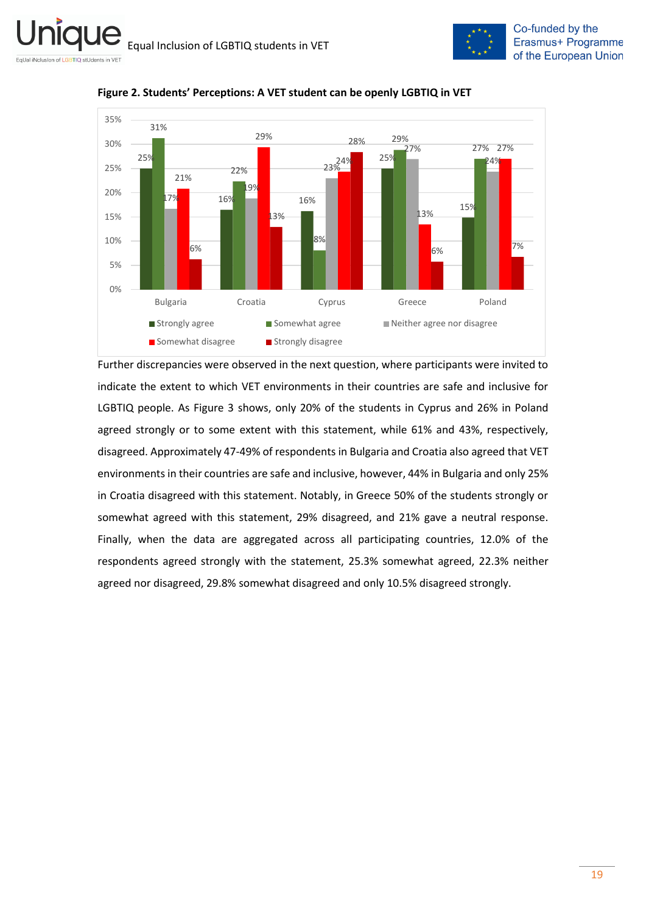



<span id="page-18-0"></span>**Figure 2. Students' Perceptions: A VET student can be openly LGBTIQ in VET**

Further discrepancies were observed in the next question, where participants were invited to indicate the extent to which VET environments in their countries are safe and inclusive for LGBTIQ people. As Figure 3 shows, only 20% of the students in Cyprus and 26% in Poland agreed strongly or to some extent with this statement, while 61% and 43%, respectively, disagreed. Approximately 47-49% of respondents in Bulgaria and Croatia also agreed that VET environments in their countries are safe and inclusive, however, 44% in Bulgaria and only 25% in Croatia disagreed with this statement. Notably, in Greece 50% of the students strongly or somewhat agreed with this statement, 29% disagreed, and 21% gave a neutral response. Finally, when the data are aggregated across all participating countries, 12.0% of the respondents agreed strongly with the statement, 25.3% somewhat agreed, 22.3% neither agreed nor disagreed, 29.8% somewhat disagreed and only 10.5% disagreed strongly.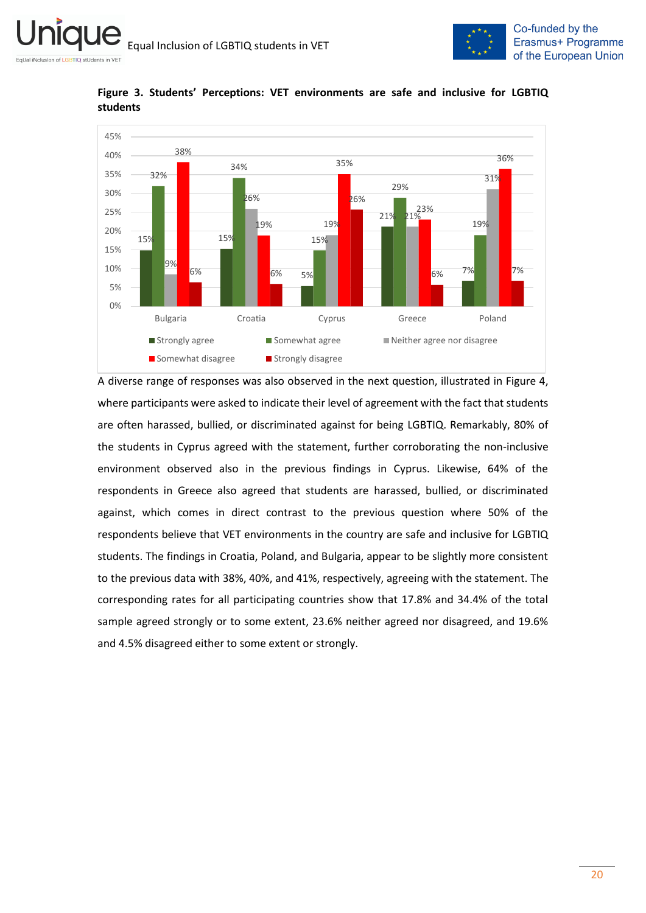



<span id="page-19-0"></span>**Figure 3. Students' Perceptions: VET environments are safe and inclusive for LGBTIQ students**

A diverse range of responses was also observed in the next question, illustrated in Figure 4, where participants were asked to indicate their level of agreement with the fact that students are often harassed, bullied, or discriminated against for being LGBTIQ. Remarkably, 80% of the students in Cyprus agreed with the statement, further corroborating the non-inclusive environment observed also in the previous findings in Cyprus. Likewise, 64% of the respondents in Greece also agreed that students are harassed, bullied, or discriminated against, which comes in direct contrast to the previous question where 50% of the respondents believe that VET environments in the country are safe and inclusive for LGBTIQ students. The findings in Croatia, Poland, and Bulgaria, appear to be slightly more consistent to the previous data with 38%, 40%, and 41%, respectively, agreeing with the statement. The corresponding rates for all participating countries show that 17.8% and 34.4% of the total sample agreed strongly or to some extent, 23.6% neither agreed nor disagreed, and 19.6% and 4.5% disagreed either to some extent or strongly.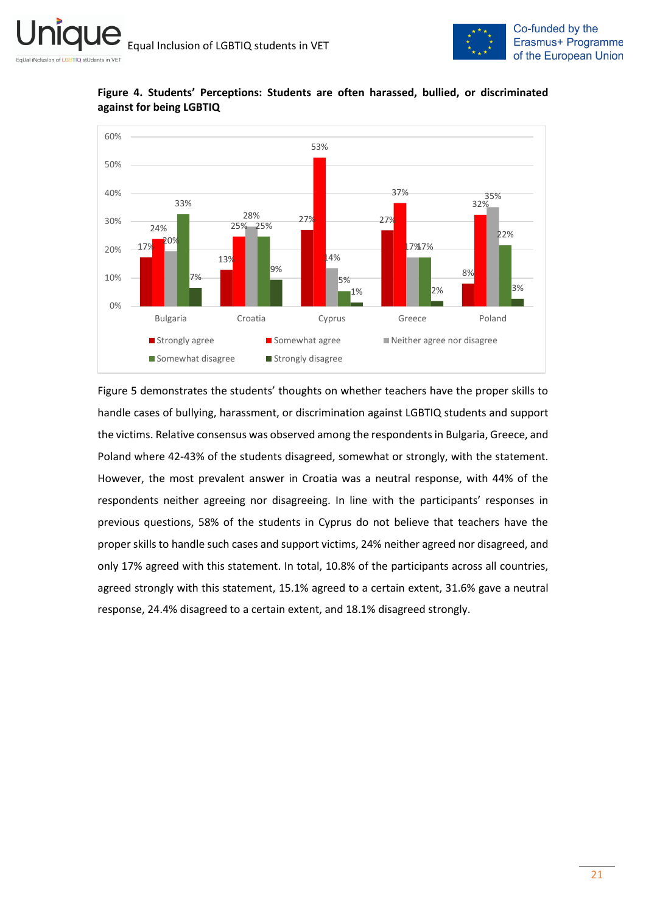



<span id="page-20-0"></span>**Figure 4. Students' Perceptions: Students are often harassed, bullied, or discriminated against for being LGBTIQ**

Figure 5 demonstrates the students' thoughts on whether teachers have the proper skills to handle cases of bullying, harassment, or discrimination against LGBTIQ students and support the victims. Relative consensus was observed among the respondents in Bulgaria, Greece, and Poland where 42-43% of the students disagreed, somewhat or strongly, with the statement. However, the most prevalent answer in Croatia was a neutral response, with 44% of the respondents neither agreeing nor disagreeing. In line with the participants' responses in previous questions, 58% of the students in Cyprus do not believe that teachers have the proper skills to handle such cases and support victims, 24% neither agreed nor disagreed, and only 17% agreed with this statement. In total, 10.8% of the participants across all countries, agreed strongly with this statement, 15.1% agreed to a certain extent, 31.6% gave a neutral response, 24.4% disagreed to a certain extent, and 18.1% disagreed strongly.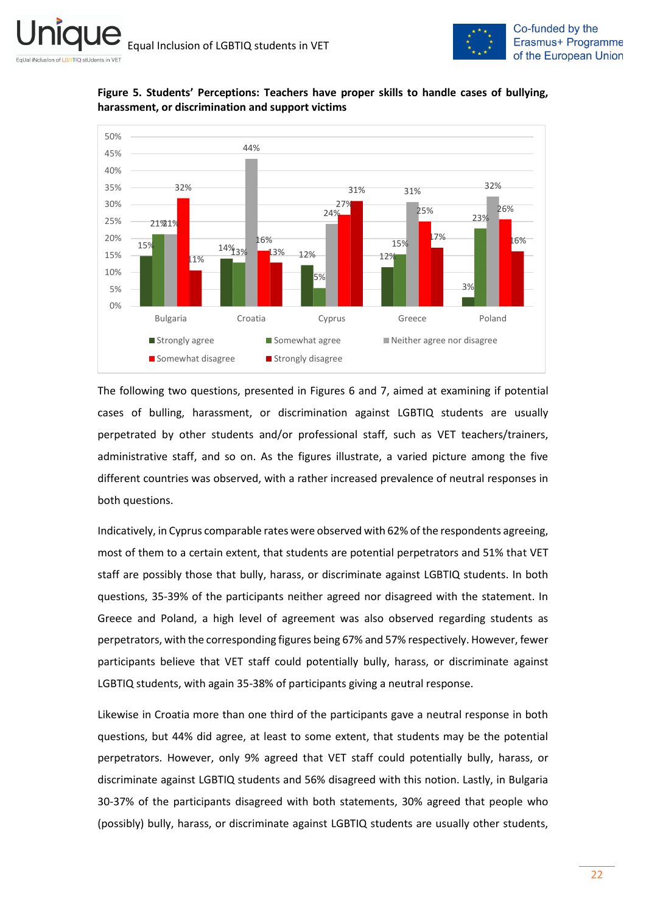

<span id="page-21-0"></span>



The following two questions, presented in Figures 6 and 7, aimed at examining if potential cases of bulling, harassment, or discrimination against LGBTIQ students are usually perpetrated by other students and/or professional staff, such as VET teachers/trainers, administrative staff, and so on. As the figures illustrate, a varied picture among the five different countries was observed, with a rather increased prevalence of neutral responses in both questions.

Indicatively, in Cyprus comparable rates were observed with 62% of the respondents agreeing, most of them to a certain extent, that students are potential perpetrators and 51% that VET staff are possibly those that bully, harass, or discriminate against LGBTIQ students. In both questions, 35-39% of the participants neither agreed nor disagreed with the statement. In Greece and Poland, a high level of agreement was also observed regarding students as perpetrators, with the corresponding figures being 67% and 57% respectively. However, fewer participants believe that VET staff could potentially bully, harass, or discriminate against LGBTIQ students, with again 35-38% of participants giving a neutral response.

Likewise in Croatia more than one third of the participants gave a neutral response in both questions, but 44% did agree, at least to some extent, that students may be the potential perpetrators. However, only 9% agreed that VET staff could potentially bully, harass, or discriminate against LGBTIQ students and 56% disagreed with this notion. Lastly, in Bulgaria 30-37% of the participants disagreed with both statements, 30% agreed that people who (possibly) bully, harass, or discriminate against LGBTIQ students are usually other students,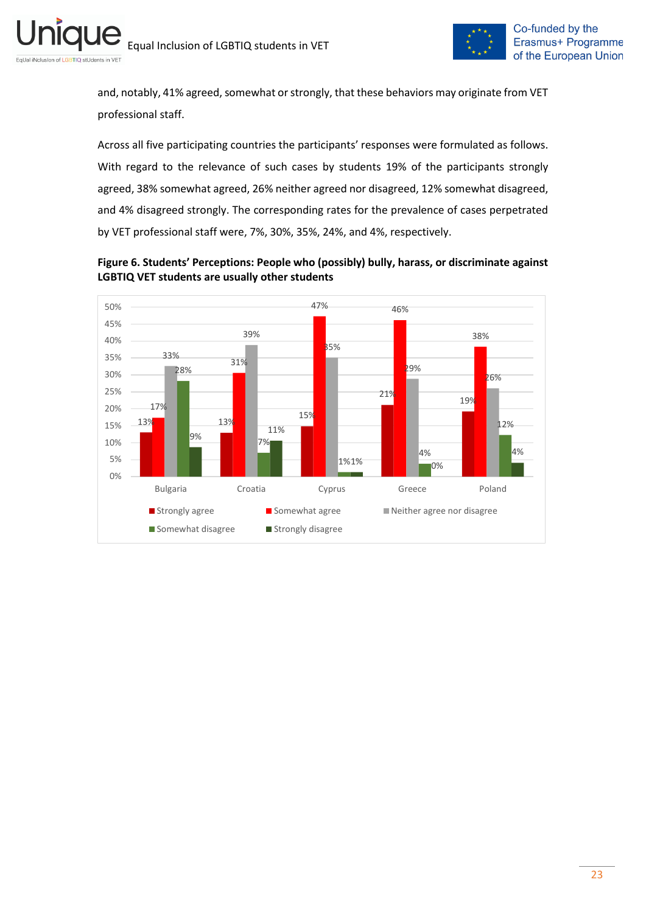

and, notably, 41% agreed, somewhat or strongly, that these behaviors may originate from VET professional staff.

Across all five participating countries the participants' responses were formulated as follows. With regard to the relevance of such cases by students 19% of the participants strongly agreed, 38% somewhat agreed, 26% neither agreed nor disagreed, 12% somewhat disagreed, and 4% disagreed strongly. The corresponding rates for the prevalence of cases perpetrated by VET professional staff were, 7%, 30%, 35%, 24%, and 4%, respectively.

<span id="page-22-0"></span>

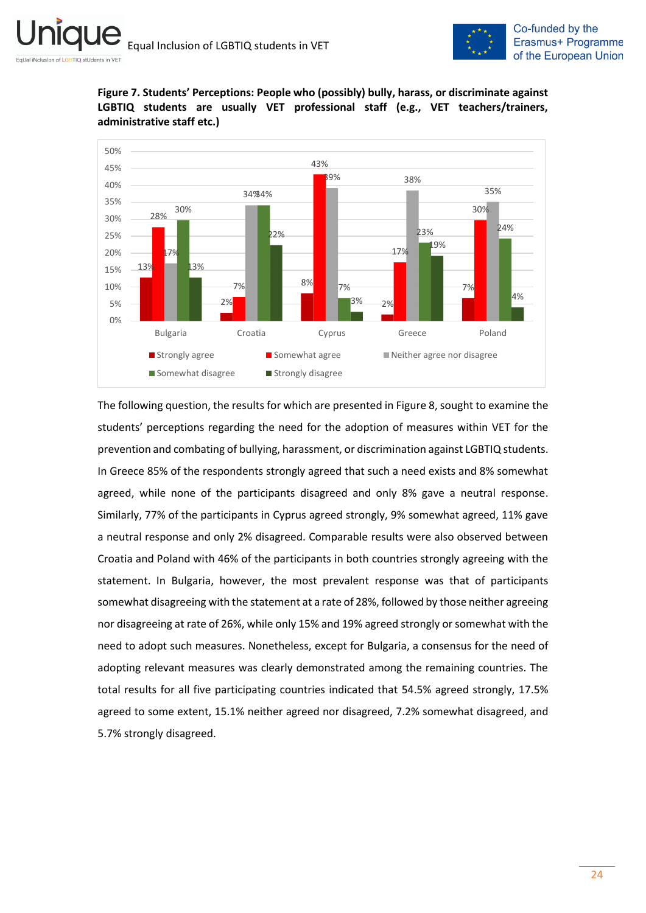

<span id="page-23-0"></span>**Figure 7. Students' Perceptions: People who (possibly) bully, harass, or discriminate against LGBTIQ students are usually VET professional staff (e.g., VET teachers/trainers, administrative staff etc.)**



The following question, the results for which are presented in Figure 8, sought to examine the students' perceptions regarding the need for the adoption of measures within VET for the prevention and combating of bullying, harassment, or discrimination against LGBTIQ students. In Greece 85% of the respondents strongly agreed that such a need exists and 8% somewhat agreed, while none of the participants disagreed and only 8% gave a neutral response. Similarly, 77% of the participants in Cyprus agreed strongly, 9% somewhat agreed, 11% gave a neutral response and only 2% disagreed. Comparable results were also observed between Croatia and Poland with 46% of the participants in both countries strongly agreeing with the statement. In Bulgaria, however, the most prevalent response was that of participants somewhat disagreeing with the statement at a rate of 28%, followed by those neither agreeing nor disagreeing at rate of 26%, while only 15% and 19% agreed strongly or somewhat with the need to adopt such measures. Nonetheless, except for Bulgaria, a consensus for the need of adopting relevant measures was clearly demonstrated among the remaining countries. The total results for all five participating countries indicated that 54.5% agreed strongly, 17.5% agreed to some extent, 15.1% neither agreed nor disagreed, 7.2% somewhat disagreed, and 5.7% strongly disagreed.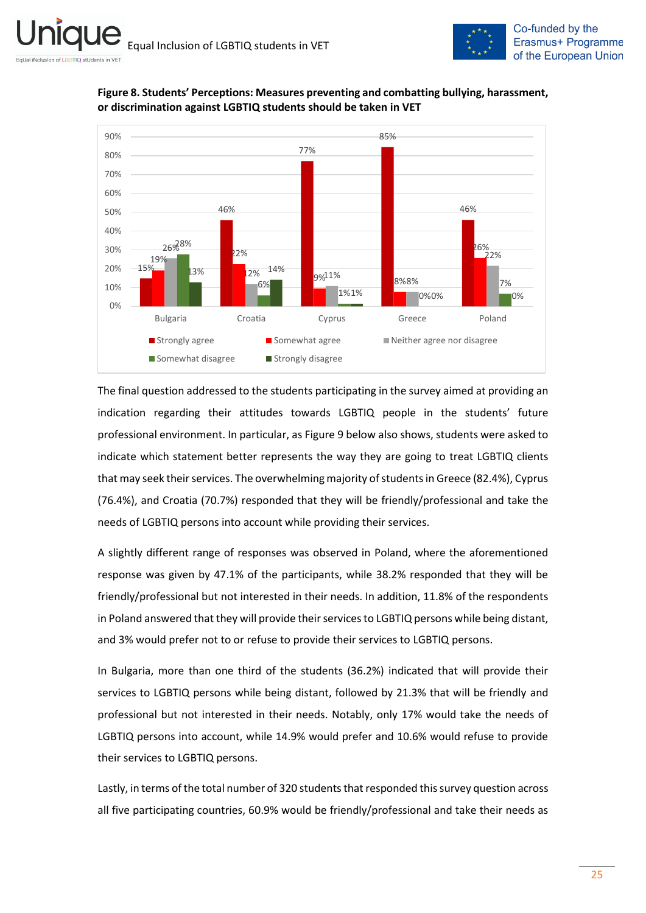

<span id="page-24-0"></span>



The final question addressed to the students participating in the survey aimed at providing an indication regarding their attitudes towards LGBTIQ people in the students' future professional environment. In particular, as Figure 9 below also shows, students were asked to indicate which statement better represents the way they are going to treat LGBTIQ clients that may seek their services. The overwhelming majority of students in Greece (82.4%), Cyprus (76.4%), and Croatia (70.7%) responded that they will be friendly/professional and take the needs of LGBTIQ persons into account while providing their services.

A slightly different range of responses was observed in Poland, where the aforementioned response was given by 47.1% of the participants, while 38.2% responded that they will be friendly/professional but not interested in their needs. In addition, 11.8% of the respondents in Poland answered that they will provide their services to LGBTIQ persons while being distant, and 3% would prefer not to or refuse to provide their services to LGBTIQ persons.

In Bulgaria, more than one third of the students (36.2%) indicated that will provide their services to LGBTIQ persons while being distant, followed by 21.3% that will be friendly and professional but not interested in their needs. Notably, only 17% would take the needs of LGBTIQ persons into account, while 14.9% would prefer and 10.6% would refuse to provide their services to LGBTIQ persons.

Lastly, in terms of the total number of 320 students that responded this survey question across all five participating countries, 60.9% would be friendly/professional and take their needs as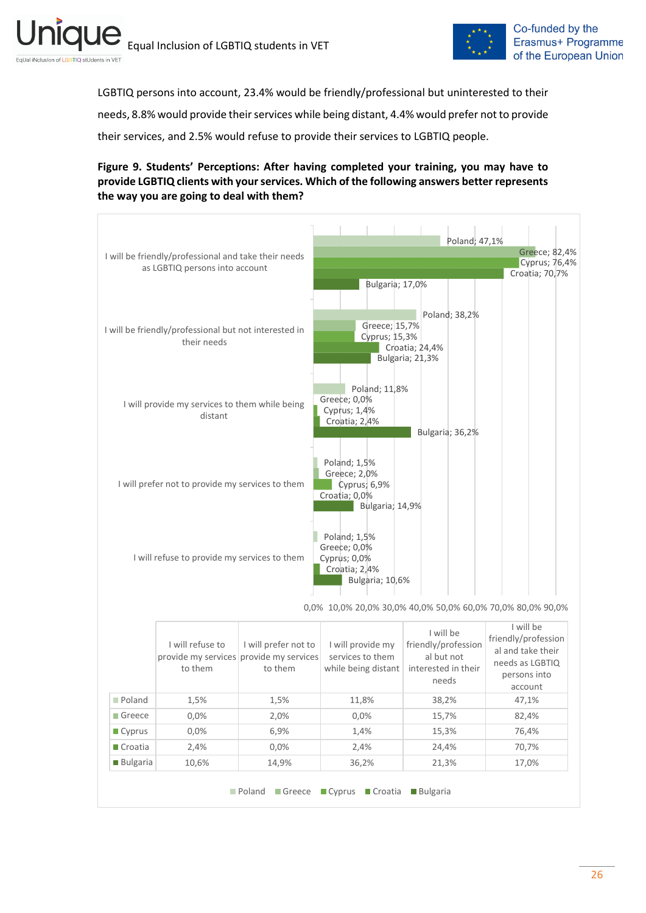



LGBTIQ persons into account, 23.4% would be friendly/professional but uninterested to their needs, 8.8% would provide their services while being distant, 4.4% would prefer not to provide their services, and 2.5% would refuse to provide their services to LGBTIQ people.

### <span id="page-25-0"></span>**Figure 9. Students' Perceptions: After having completed your training, you may have to provide LGBTIQ clients with your services. Which of the following answers better represents the way you are going to deal with them?**

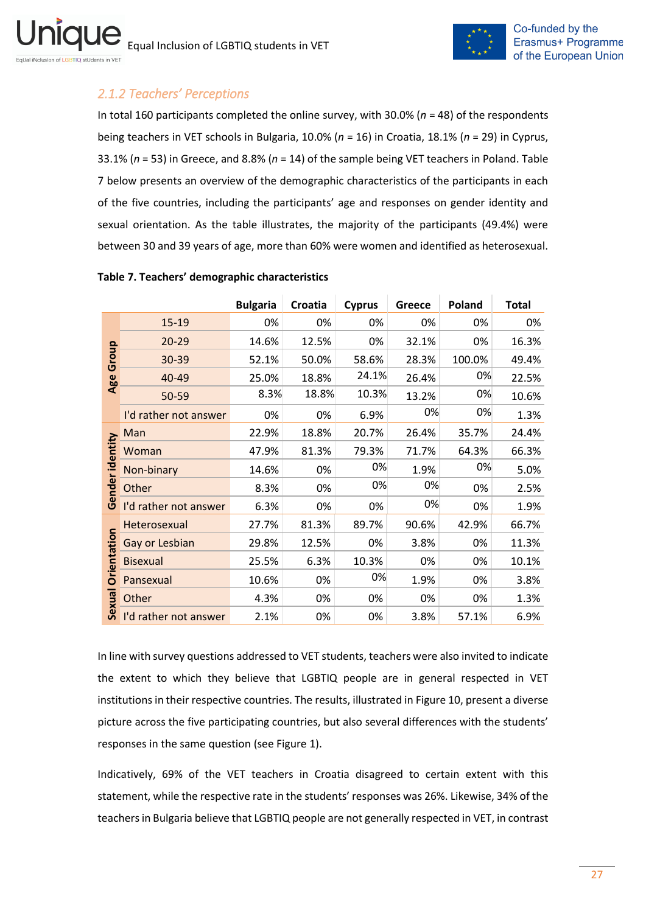

# <span id="page-26-0"></span>*2.1.2 Teachers' Perceptions*

In total 160 participants completed the online survey, with 30.0% (*n* = 48) of the respondents being teachers in VET schools in Bulgaria, 10.0% (*n* = 16) in Croatia, 18.1% (*n* = 29) in Cyprus, 33.1% (*n* = 53) in Greece, and 8.8% (*n* = 14) of the sample being VET teachers in Poland. Table 7 below presents an overview of the demographic characteristics of the participants in each of the five countries, including the participants' age and responses on gender identity and sexual orientation. As the table illustrates, the majority of the participants (49.4%) were between 30 and 39 years of age, more than 60% were women and identified as heterosexual.

|                    |                       | <b>Bulgaria</b> | Croatia | <b>Cyprus</b> | Greece | Poland | <b>Total</b> |
|--------------------|-----------------------|-----------------|---------|---------------|--------|--------|--------------|
|                    | 15-19                 | 0%              | 0%      | 0%            | 0%     | 0%     | 0%           |
|                    | 20-29                 | 14.6%           | 12.5%   | 0%            | 32.1%  | 0%     | 16.3%        |
| Group              | 30-39                 | 52.1%           | 50.0%   | 58.6%         | 28.3%  | 100.0% | 49.4%        |
| Age                | 40-49                 | 25.0%           | 18.8%   | 24.1%         | 26.4%  | 0%     | 22.5%        |
|                    | 50-59                 | 8.3%            | 18.8%   | 10.3%         | 13.2%  | 0%     | 10.6%        |
|                    | I'd rather not answer | 0%              | 0%      | 6.9%          | 0%     | 0%     | 1.3%         |
|                    | Man                   | 22.9%           | 18.8%   | 20.7%         | 26.4%  | 35.7%  | 24.4%        |
|                    | Woman                 | 47.9%           | 81.3%   | 79.3%         | 71.7%  | 64.3%  | 66.3%        |
|                    | Non-binary            | 14.6%           | 0%      | 0%            | 1.9%   | 0%     | 5.0%         |
| Gender identity    | Other                 | 8.3%            | 0%      | 0%            | 0%     | 0%     | 2.5%         |
|                    | I'd rather not answer | 6.3%            | 0%      | 0%            | 0%     | 0%     | 1.9%         |
|                    | Heterosexual          | 27.7%           | 81.3%   | 89.7%         | 90.6%  | 42.9%  | 66.7%        |
| <b>Orientation</b> | Gay or Lesbian        | 29.8%           | 12.5%   | 0%            | 3.8%   | 0%     | 11.3%        |
|                    | <b>Bisexual</b>       | 25.5%           | 6.3%    | 10.3%         | 0%     | 0%     | 10.1%        |
|                    | Pansexual             | 10.6%           | 0%      | 0%            | 1.9%   | 0%     | 3.8%         |
| Sexual             | Other                 | 4.3%            | 0%      | 0%            | 0%     | 0%     | 1.3%         |
|                    | I'd rather not answer | 2.1%            | 0%      | 0%            | 3.8%   | 57.1%  | 6.9%         |

### <span id="page-26-1"></span>**Table 7. Teachers' demographic characteristics**

In line with survey questions addressed to VET students, teachers were also invited to indicate the extent to which they believe that LGBTIQ people are in general respected in VET institutions in their respective countries. The results, illustrated in Figure 10, present a diverse picture across the five participating countries, but also several differences with the students' responses in the same question (see Figure 1).

Indicatively, 69% of the VET teachers in Croatia disagreed to certain extent with this statement, while the respective rate in the students' responses was 26%. Likewise, 34% of the teachers in Bulgaria believe that LGBTIQ people are not generally respected in VET, in contrast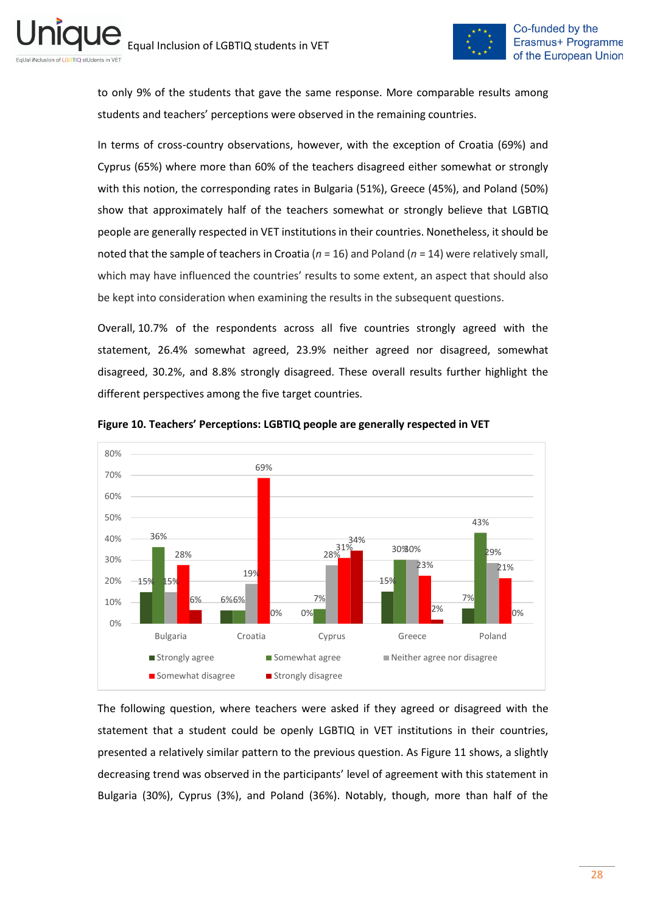

to only 9% of the students that gave the same response. More comparable results among students and teachers' perceptions were observed in the remaining countries.

In terms of cross-country observations, however, with the exception of Croatia (69%) and Cyprus (65%) where more than 60% of the teachers disagreed either somewhat or strongly with this notion, the corresponding rates in Bulgaria (51%), Greece (45%), and Poland (50%) show that approximately half of the teachers somewhat or strongly believe that LGBTIQ people are generally respected in VET institutions in their countries. Nonetheless, it should be noted that the sample of teachers in Croatia (*n* = 16) and Poland (*n* = 14) were relatively small, which may have influenced the countries' results to some extent, an aspect that should also be kept into consideration when examining the results in the subsequent questions.

Overall, 10.7% of the respondents across all five countries strongly agreed with the statement, 26.4% somewhat agreed, 23.9% neither agreed nor disagreed, somewhat disagreed, 30.2%, and 8.8% strongly disagreed. These overall results further highlight the different perspectives among the five target countries.



<span id="page-27-0"></span>**Figure 10. Teachers' Perceptions: LGBTIQ people are generally respected in VET** 

The following question, where teachers were asked if they agreed or disagreed with the statement that a student could be openly LGBTIQ in VET institutions in their countries, presented a relatively similar pattern to the previous question. As Figure 11 shows, a slightly decreasing trend was observed in the participants' level of agreement with this statement in Bulgaria (30%), Cyprus (3%), and Poland (36%). Notably, though, more than half of the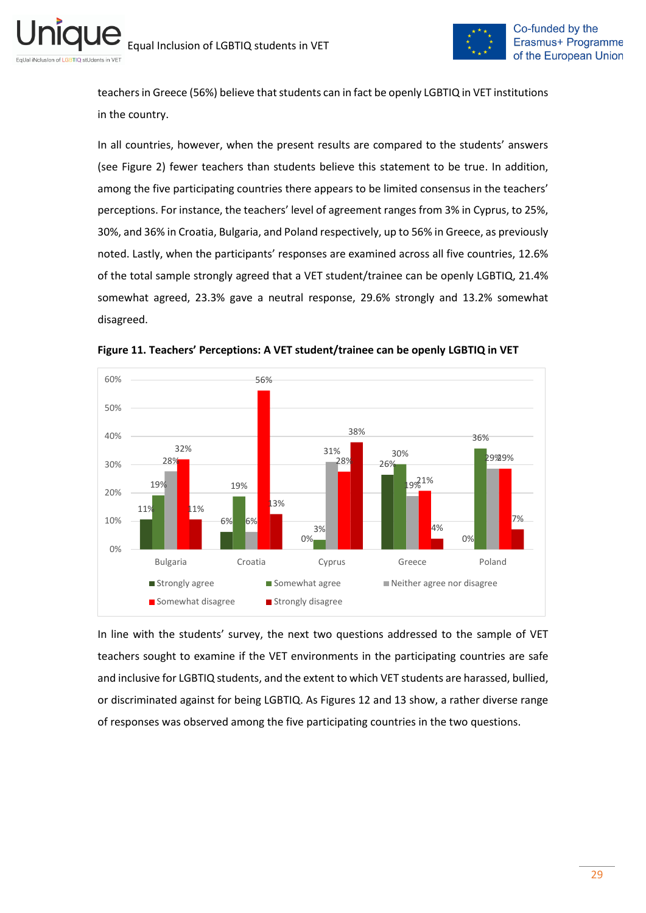

teachers in Greece (56%) believe that students can in fact be openly LGBTIQ in VET institutions in the country.

In all countries, however, when the present results are compared to the students' answers (see Figure 2) fewer teachers than students believe this statement to be true. In addition, among the five participating countries there appears to be limited consensus in the teachers' perceptions. For instance, the teachers' level of agreement ranges from 3% in Cyprus, to 25%, 30%, and 36% in Croatia, Bulgaria, and Poland respectively, up to 56% in Greece, as previously noted. Lastly, when the participants' responses are examined across all five countries, 12.6% of the total sample strongly agreed that a VET student/trainee can be openly LGBTIQ, 21.4% somewhat agreed, 23.3% gave a neutral response, 29.6% strongly and 13.2% somewhat disagreed.



<span id="page-28-0"></span>**Figure 11. Teachers' Perceptions: A VET student/trainee can be openly LGBTIQ in VET**

In line with the students' survey, the next two questions addressed to the sample of VET teachers sought to examine if the VET environments in the participating countries are safe and inclusive for LGBTIQ students, and the extent to which VET students are harassed, bullied, or discriminated against for being LGBTIQ. As Figures 12 and 13 show, a rather diverse range of responses was observed among the five participating countries in the two questions.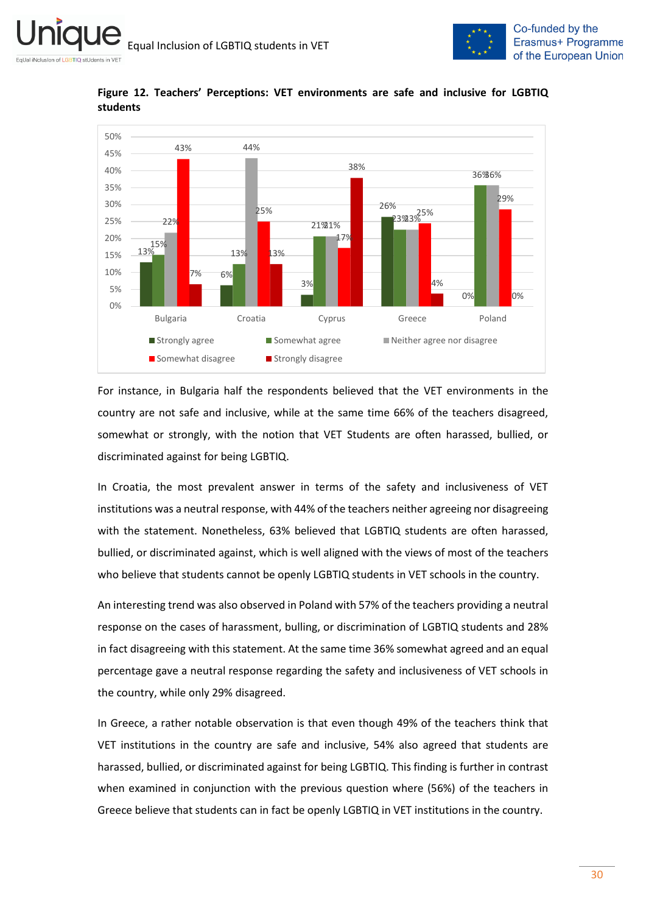



<span id="page-29-0"></span>**Figure 12. Teachers' Perceptions: VET environments are safe and inclusive for LGBTIQ students**

For instance, in Bulgaria half the respondents believed that the VET environments in the country are not safe and inclusive, while at the same time 66% of the teachers disagreed, somewhat or strongly, with the notion that VET Students are often harassed, bullied, or discriminated against for being LGBTIQ.

In Croatia, the most prevalent answer in terms of the safety and inclusiveness of VET institutions was a neutral response, with 44% of the teachers neither agreeing nor disagreeing with the statement. Nonetheless, 63% believed that LGBTIQ students are often harassed, bullied, or discriminated against, which is well aligned with the views of most of the teachers who believe that students cannot be openly LGBTIQ students in VET schools in the country.

An interesting trend was also observed in Poland with 57% of the teachers providing a neutral response on the cases of harassment, bulling, or discrimination of LGBTIQ students and 28% in fact disagreeing with this statement. At the same time 36% somewhat agreed and an equal percentage gave a neutral response regarding the safety and inclusiveness of VET schools in the country, while only 29% disagreed.

In Greece, a rather notable observation is that even though 49% of the teachers think that VET institutions in the country are safe and inclusive, 54% also agreed that students are harassed, bullied, or discriminated against for being LGBTIQ. This finding is further in contrast when examined in conjunction with the previous question where (56%) of the teachers in Greece believe that students can in fact be openly LGBTIQ in VET institutions in the country.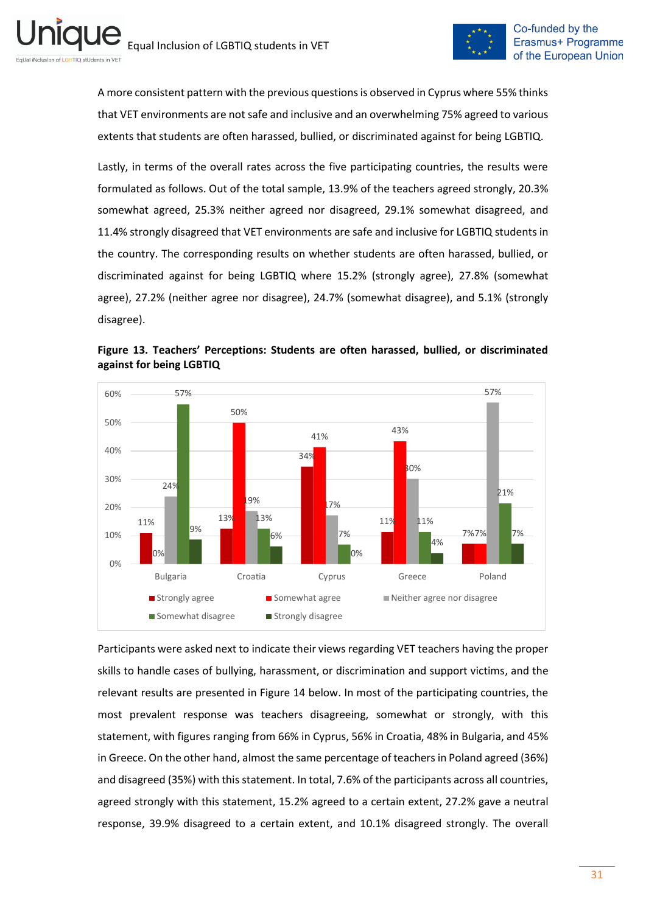

A more consistent pattern with the previous questions is observed in Cyprus where 55% thinks that VET environments are not safe and inclusive and an overwhelming 75% agreed to various extents that students are often harassed, bullied, or discriminated against for being LGBTIQ.

Lastly, in terms of the overall rates across the five participating countries, the results were formulated as follows. Out of the total sample, 13.9% of the teachers agreed strongly, 20.3% somewhat agreed, 25.3% neither agreed nor disagreed, 29.1% somewhat disagreed, and 11.4% strongly disagreed that VET environments are safe and inclusive for LGBTIQ students in the country. The corresponding results on whether students are often harassed, bullied, or discriminated against for being LGBTIQ where 15.2% (strongly agree), 27.8% (somewhat agree), 27.2% (neither agree nor disagree), 24.7% (somewhat disagree), and 5.1% (strongly disagree).



<span id="page-30-0"></span>**Figure 13. Teachers' Perceptions: Students are often harassed, bullied, or discriminated against for being LGBTIQ**

Participants were asked next to indicate their views regarding VET teachers having the proper skills to handle cases of bullying, harassment, or discrimination and support victims, and the relevant results are presented in Figure 14 below. In most of the participating countries, the most prevalent response was teachers disagreeing, somewhat or strongly, with this statement, with figures ranging from 66% in Cyprus, 56% in Croatia, 48% in Bulgaria, and 45% in Greece. On the other hand, almost the same percentage of teachers in Poland agreed (36%) and disagreed (35%) with this statement. In total, 7.6% of the participants across all countries, agreed strongly with this statement, 15.2% agreed to a certain extent, 27.2% gave a neutral response, 39.9% disagreed to a certain extent, and 10.1% disagreed strongly. The overall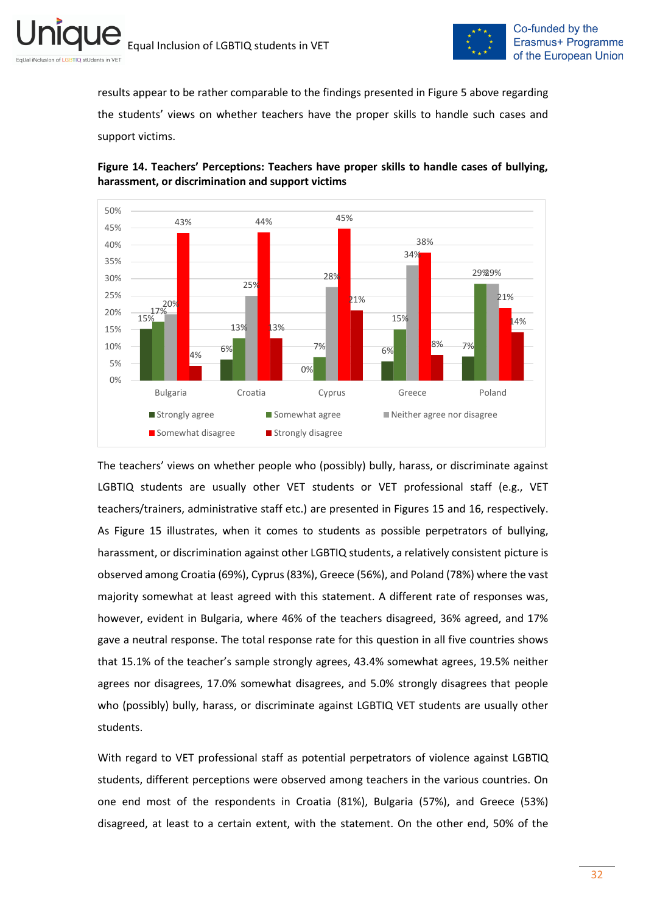

results appear to be rather comparable to the findings presented in Figure 5 above regarding the students' views on whether teachers have the proper skills to handle such cases and support victims.



<span id="page-31-0"></span>**Figure 14. Teachers' Perceptions: Teachers have proper skills to handle cases of bullying, harassment, or discrimination and support victims**

The teachers' views on whether people who (possibly) bully, harass, or discriminate against LGBTIQ students are usually other VET students or VET professional staff (e.g., VET teachers/trainers, administrative staff etc.) are presented in Figures 15 and 16, respectively. As Figure 15 illustrates, when it comes to students as possible perpetrators of bullying, harassment, or discrimination against other LGBTIQ students, a relatively consistent picture is observed among Croatia (69%), Cyprus (83%), Greece (56%), and Poland (78%) where the vast majority somewhat at least agreed with this statement. A different rate of responses was, however, evident in Bulgaria, where 46% of the teachers disagreed, 36% agreed, and 17% gave a neutral response. The total response rate for this question in all five countries shows that 15.1% of the teacher's sample strongly agrees, 43.4% somewhat agrees, 19.5% neither agrees nor disagrees, 17.0% somewhat disagrees, and 5.0% strongly disagrees that people who (possibly) bully, harass, or discriminate against LGBTIQ VET students are usually other students.

With regard to VET professional staff as potential perpetrators of violence against LGBTIQ students, different perceptions were observed among teachers in the various countries. On one end most of the respondents in Croatia (81%), Bulgaria (57%), and Greece (53%) disagreed, at least to a certain extent, with the statement. On the other end, 50% of the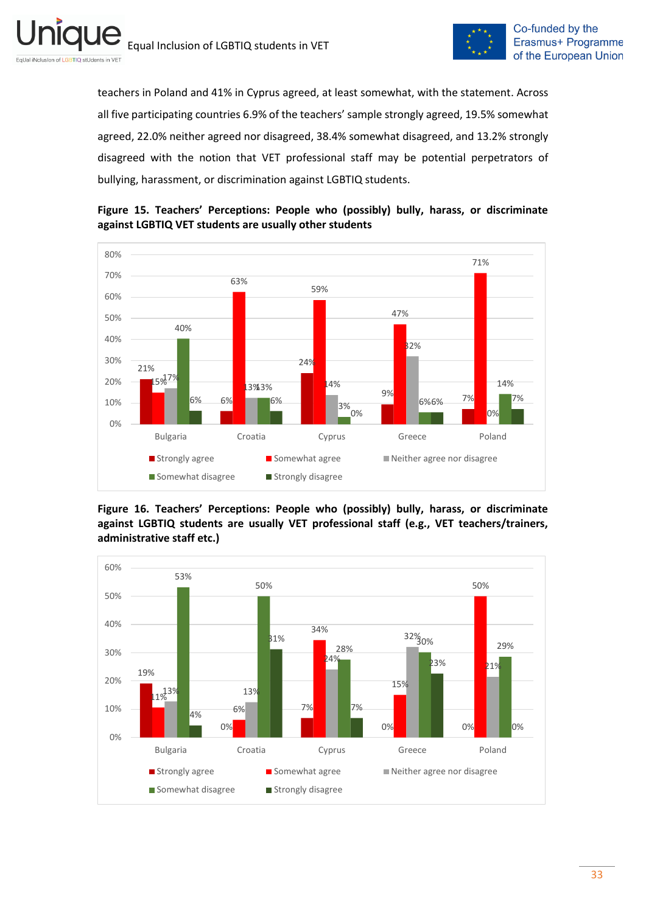



teachers in Poland and 41% in Cyprus agreed, at least somewhat, with the statement. Across all five participating countries 6.9% of the teachers' sample strongly agreed, 19.5% somewhat agreed, 22.0% neither agreed nor disagreed, 38.4% somewhat disagreed, and 13.2% strongly disagreed with the notion that VET professional staff may be potential perpetrators of bullying, harassment, or discrimination against LGBTIQ students.



<span id="page-32-0"></span>**Figure 15. Teachers' Perceptions: People who (possibly) bully, harass, or discriminate against LGBTIQ VET students are usually other students**

<span id="page-32-1"></span>**Figure 16. Teachers' Perceptions: People who (possibly) bully, harass, or discriminate against LGBTIQ students are usually VET professional staff (e.g., VET teachers/trainers, administrative staff etc.)**

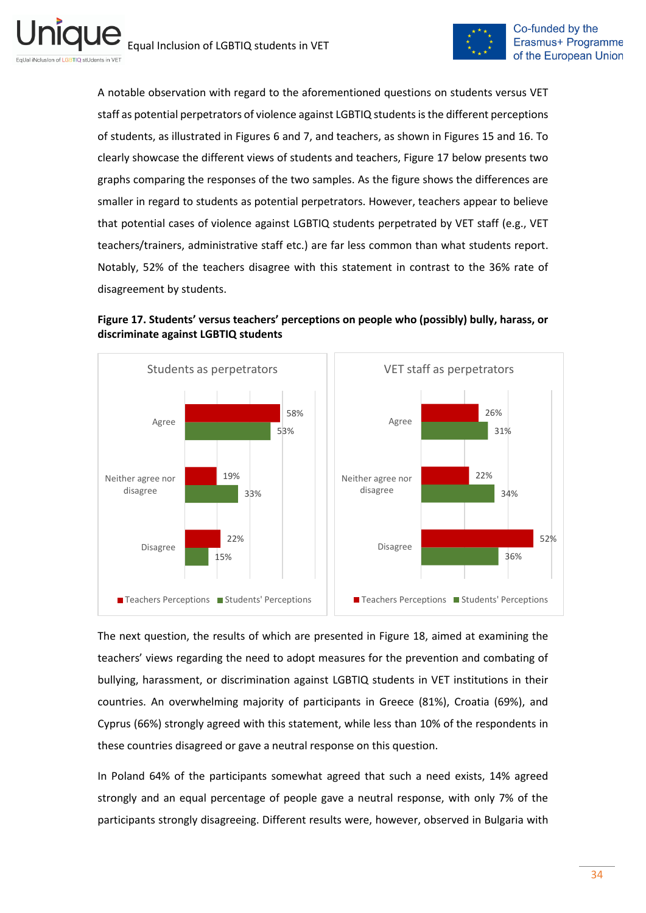

A notable observation with regard to the aforementioned questions on students versus VET staff as potential perpetrators of violence against LGBTIQ students is the different perceptions of students, as illustrated in Figures 6 and 7, and teachers, as shown in Figures 15 and 16. To clearly showcase the different views of students and teachers, Figure 17 below presents two graphs comparing the responses of the two samples. As the figure shows the differences are smaller in regard to students as potential perpetrators. However, teachers appear to believe that potential cases of violence against LGBTIQ students perpetrated by VET staff (e.g., VET teachers/trainers, administrative staff etc.) are far less common than what students report. Notably, 52% of the teachers disagree with this statement in contrast to the 36% rate of disagreement by students.

<span id="page-33-0"></span>



The next question, the results of which are presented in Figure 18, aimed at examining the teachers' views regarding the need to adopt measures for the prevention and combating of bullying, harassment, or discrimination against LGBTIQ students in VET institutions in their countries. An overwhelming majority of participants in Greece (81%), Croatia (69%), and Cyprus (66%) strongly agreed with this statement, while less than 10% of the respondents in these countries disagreed or gave a neutral response on this question.

In Poland 64% of the participants somewhat agreed that such a need exists, 14% agreed strongly and an equal percentage of people gave a neutral response, with only 7% of the participants strongly disagreeing. Different results were, however, observed in Bulgaria with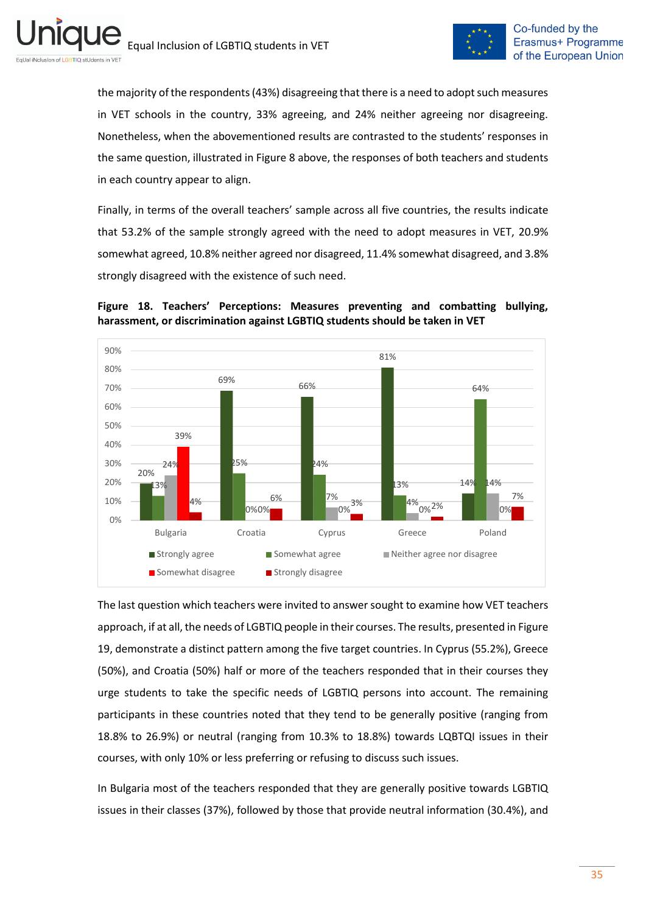

the majority of the respondents (43%) disagreeing that there is a need to adopt such measures in VET schools in the country, 33% agreeing, and 24% neither agreeing nor disagreeing. Nonetheless, when the abovementioned results are contrasted to the students' responses in the same question, illustrated in Figure 8 above, the responses of both teachers and students in each country appear to align.

Finally, in terms of the overall teachers' sample across all five countries, the results indicate that 53.2% of the sample strongly agreed with the need to adopt measures in VET, 20.9% somewhat agreed, 10.8% neither agreed nor disagreed, 11.4% somewhat disagreed, and 3.8% strongly disagreed with the existence of such need.

<span id="page-34-0"></span>



The last question which teachers were invited to answer sought to examine how VET teachers approach, if at all, the needs of LGBTIQ people in their courses. The results, presented in Figure 19, demonstrate a distinct pattern among the five target countries. In Cyprus (55.2%), Greece (50%), and Croatia (50%) half or more of the teachers responded that in their courses they urge students to take the specific needs of LGBTIQ persons into account. The remaining participants in these countries noted that they tend to be generally positive (ranging from 18.8% to 26.9%) or neutral (ranging from 10.3% to 18.8%) towards LQBTQI issues in their courses, with only 10% or less preferring or refusing to discuss such issues.

In Bulgaria most of the teachers responded that they are generally positive towards LGBTIQ issues in their classes (37%), followed by those that provide neutral information (30.4%), and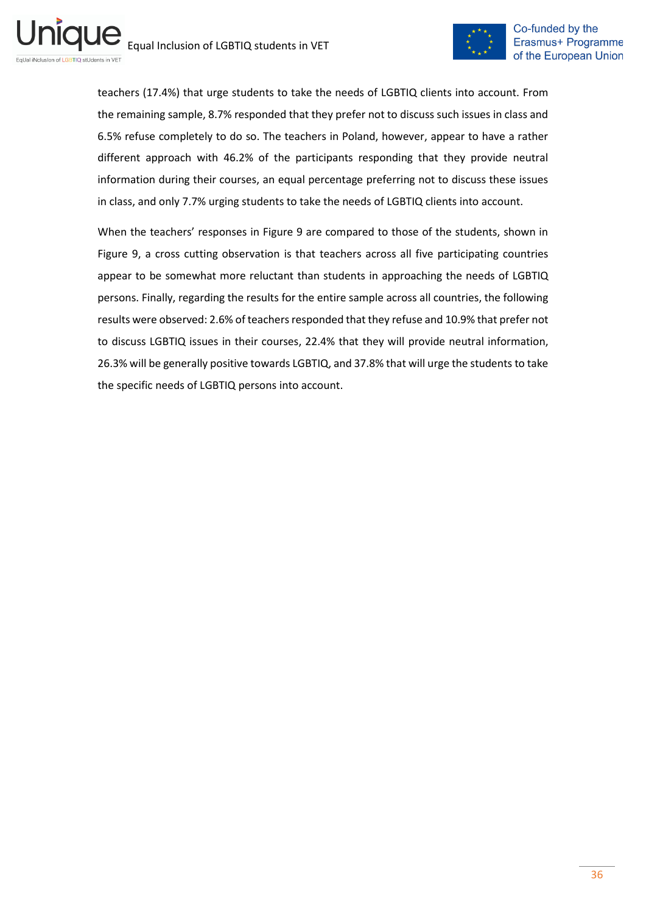

teachers (17.4%) that urge students to take the needs of LGBTIQ clients into account. From the remaining sample, 8.7% responded that they prefer not to discuss such issues in class and 6.5% refuse completely to do so. The teachers in Poland, however, appear to have a rather different approach with 46.2% of the participants responding that they provide neutral information during their courses, an equal percentage preferring not to discuss these issues in class, and only 7.7% urging students to take the needs of LGBTIQ clients into account.

When the teachers' responses in Figure 9 are compared to those of the students, shown in Figure 9, a cross cutting observation is that teachers across all five participating countries appear to be somewhat more reluctant than students in approaching the needs of LGBTIQ persons. Finally, regarding the results for the entire sample across all countries, the following results were observed: 2.6% of teachers responded that they refuse and 10.9% that prefer not to discuss LGBTIQ issues in their courses, 22.4% that they will provide neutral information, 26.3% will be generally positive towards LGBTIQ, and 37.8% that will urge the students to take the specific needs of LGBTIQ persons into account.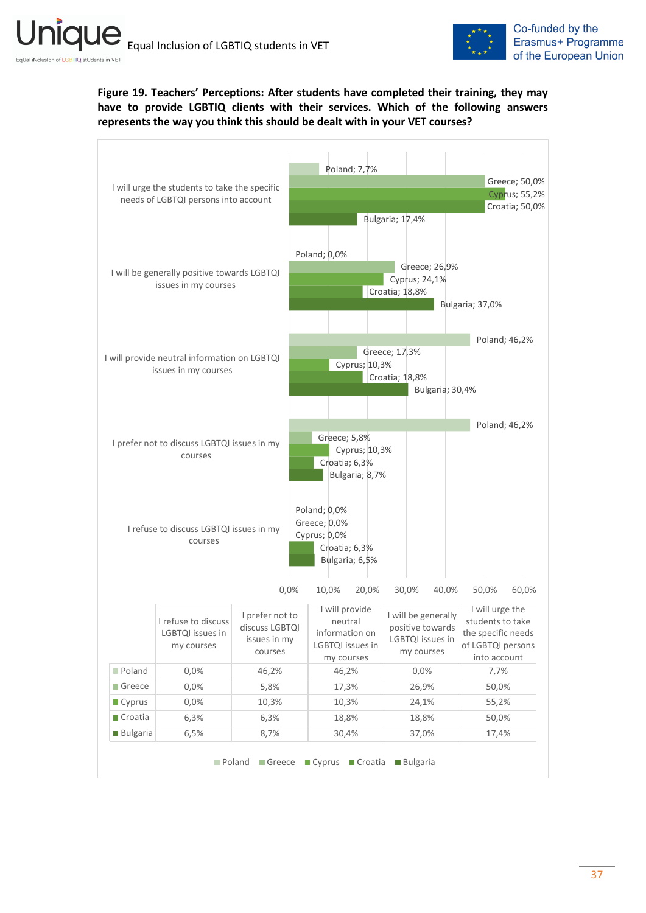

## <span id="page-36-0"></span>**Figure 19. Teachers' Perceptions: After students have completed their training, they may have to provide LGBTIQ clients with their services. Which of the following answers represents the way you think this should be dealt with in your VET courses?**

| I will urge the students to take the specific<br>needs of LGBTQI persons into account |                                              |                         | Poland; 7,7%                  |                                 | Greece; 50,0%                       |
|---------------------------------------------------------------------------------------|----------------------------------------------|-------------------------|-------------------------------|---------------------------------|-------------------------------------|
|                                                                                       |                                              |                         |                               |                                 | Cyprus; 55,2%                       |
|                                                                                       |                                              |                         |                               |                                 | Croatia; 50,0%                      |
|                                                                                       |                                              |                         |                               | Bulgaria; 17,4%                 |                                     |
|                                                                                       |                                              |                         |                               |                                 |                                     |
|                                                                                       |                                              |                         | Poland; 0,0%                  |                                 |                                     |
|                                                                                       | I will be generally positive towards LGBTQI  |                         |                               | Greece; 26,9%                   |                                     |
|                                                                                       | issues in my courses                         |                         |                               | Cyprus; 24,1%<br>Croatia; 18,8% |                                     |
|                                                                                       |                                              |                         |                               |                                 | Bulgaria; 37,0%                     |
|                                                                                       |                                              |                         |                               |                                 |                                     |
|                                                                                       |                                              |                         |                               |                                 |                                     |
|                                                                                       |                                              |                         |                               | Greece; 17,3%                   | Poland; 46,2%                       |
|                                                                                       | I will provide neutral information on LGBTQI |                         | Cyprus; 10,3%                 |                                 |                                     |
|                                                                                       | issues in my courses                         |                         |                               | Croatia; 18,8%                  |                                     |
|                                                                                       |                                              |                         |                               | Bulgaria; 30,4%                 |                                     |
|                                                                                       |                                              |                         |                               |                                 |                                     |
|                                                                                       |                                              |                         |                               |                                 | Poland; 46,2%                       |
|                                                                                       | I prefer not to discuss LGBTQI issues in my  |                         | Greece; 5,8%                  |                                 |                                     |
|                                                                                       | courses                                      |                         | Cyprus; 10,3%                 |                                 |                                     |
|                                                                                       |                                              |                         | Croatia; 6,3%                 |                                 |                                     |
|                                                                                       |                                              |                         | Bulgaria; 8,7%                |                                 |                                     |
|                                                                                       |                                              |                         |                               |                                 |                                     |
|                                                                                       |                                              |                         | Poland; 0,0%                  |                                 |                                     |
|                                                                                       | I refuse to discuss LGBTQI issues in my      |                         | Greece; 0,0%                  |                                 |                                     |
|                                                                                       | courses                                      |                         | Cyprus; 0,0%<br>Croatia; 6,3% |                                 |                                     |
|                                                                                       |                                              |                         | Bulgaria; 6,5%                |                                 |                                     |
|                                                                                       |                                              |                         |                               |                                 |                                     |
|                                                                                       |                                              | 0,0%                    | 10,0%<br>20,0%                | 30,0%<br>40,0%                  | 50,0%<br>60,0%                      |
|                                                                                       |                                              |                         |                               |                                 |                                     |
|                                                                                       | I refuse to discuss                          | I prefer not to         | I will provide<br>neutral     | I will be generally             | I will urge the<br>students to take |
|                                                                                       | LGBTQI issues in                             | discuss LGBTQI          | information on                | positive towards                | the specific needs                  |
|                                                                                       | my courses                                   | issues in my<br>courses | LGBTQI issues in              | LGBTQI issues in<br>my courses  | of LGBTQI persons                   |
|                                                                                       |                                              |                         | my courses                    |                                 | into account                        |
| Poland                                                                                | 0,0%                                         | 46,2%                   | 46,2%                         | 0,0%                            | 7,7%                                |
|                                                                                       | 0,0%                                         | 5,8%                    | 17,3%                         | 26,9%                           | 50,0%                               |
|                                                                                       | 0,0%                                         | 10,3%                   | 10,3%                         | 24,1%                           | 55,2%                               |
| Greece<br><b>Cyprus</b>                                                               |                                              |                         | 18,8%                         | 18,8%                           | 50,0%                               |
| Croatia<br><b>Bulgaria</b>                                                            | 6,3%                                         | 6,3%                    |                               |                                 |                                     |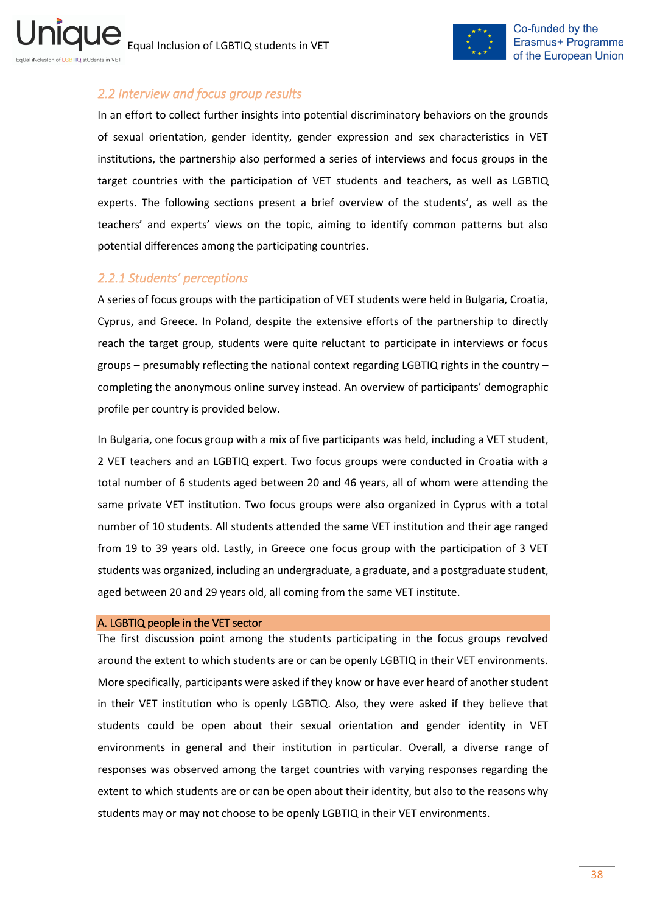

## <span id="page-37-0"></span>*2.2 Interview and focus group results*

In an effort to collect further insights into potential discriminatory behaviors on the grounds of sexual orientation, gender identity, gender expression and sex characteristics in VET institutions, the partnership also performed a series of interviews and focus groups in the target countries with the participation of VET students and teachers, as well as LGBTIQ experts. The following sections present a brief overview of the students', as well as the teachers' and experts' views on the topic, aiming to identify common patterns but also potential differences among the participating countries.

## <span id="page-37-1"></span>*2.2.1 Students' perceptions*

A series of focus groups with the participation of VET students were held in Bulgaria, Croatia, Cyprus, and Greece. In Poland, despite the extensive efforts of the partnership to directly reach the target group, students were quite reluctant to participate in interviews or focus groups – presumably reflecting the national context regarding LGBTIQ rights in the country – completing the anonymous online survey instead. An overview of participants' demographic profile per country is provided below.

In Bulgaria, one focus group with a mix of five participants was held, including a VET student, 2 VET teachers and an LGBTIQ expert. Two focus groups were conducted in Croatia with a total number of 6 students aged between 20 and 46 years, all of whom were attending the same private VET institution. Two focus groups were also organized in Cyprus with a total number of 10 students. All students attended the same VET institution and their age ranged from 19 to 39 years old. Lastly, in Greece one focus group with the participation of 3 VET students was organized, including an undergraduate, a graduate, and a postgraduate student, aged between 20 and 29 years old, all coming from the same VET institute.

### A. LGBTIQ people in the VET sector

The first discussion point among the students participating in the focus groups revolved around the extent to which students are or can be openly LGBTIQ in their VET environments. More specifically, participants were asked if they know or have ever heard of another student in their VET institution who is openly LGBTIQ. Also, they were asked if they believe that students could be open about their sexual orientation and gender identity in VET environments in general and their institution in particular. Overall, a diverse range of responses was observed among the target countries with varying responses regarding the extent to which students are or can be open about their identity, but also to the reasons why students may or may not choose to be openly LGBTIQ in their VET environments.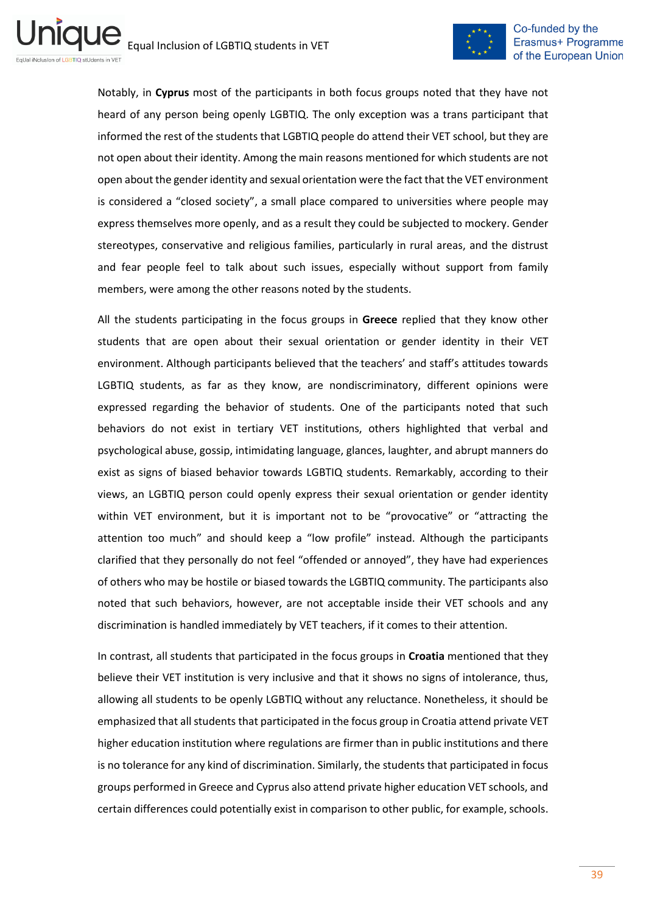

Notably, in **Cyprus** most of the participants in both focus groups noted that they have not heard of any person being openly LGBTIQ. The only exception was a trans participant that informed the rest of the students that LGBTIQ people do attend their VET school, but they are not open about their identity. Among the main reasons mentioned for which students are not open about the gender identity and sexual orientation were the fact that the VET environment is considered a "closed society", a small place compared to universities where people may express themselves more openly, and as a result they could be subjected to mockery. Gender stereotypes, conservative and religious families, particularly in rural areas, and the distrust and fear people feel to talk about such issues, especially without support from family members, were among the other reasons noted by the students.

All the students participating in the focus groups in **Greece** replied that they know other students that are open about their sexual orientation or gender identity in their VET environment. Although participants believed that the teachers' and staff's attitudes towards LGBTIQ students, as far as they know, are nondiscriminatory, different opinions were expressed regarding the behavior of students. One of the participants noted that such behaviors do not exist in tertiary VET institutions, others highlighted that verbal and psychological abuse, gossip, intimidating language, glances, laughter, and abrupt manners do exist as signs of biased behavior towards LGBTIQ students. Remarkably, according to their views, an LGBTIQ person could openly express their sexual orientation or gender identity within VET environment, but it is important not to be "provocative" or "attracting the attention too much" and should keep a "low profile" instead. Although the participants clarified that they personally do not feel "offended or annoyed", they have had experiences of others who may be hostile or biased towards the LGBTIQ community. The participants also noted that such behaviors, however, are not acceptable inside their VET schools and any discrimination is handled immediately by VET teachers, if it comes to their attention.

In contrast, all students that participated in the focus groups in **Croatia** mentioned that they believe their VET institution is very inclusive and that it shows no signs of intolerance, thus, allowing all students to be openly LGBTIQ without any reluctance. Nonetheless, it should be emphasized that all students that participated in the focus group in Croatia attend private VET higher education institution where regulations are firmer than in public institutions and there is no tolerance for any kind of discrimination. Similarly, the students that participated in focus groups performed in Greece and Cyprus also attend private higher education VET schools, and certain differences could potentially exist in comparison to other public, for example, schools.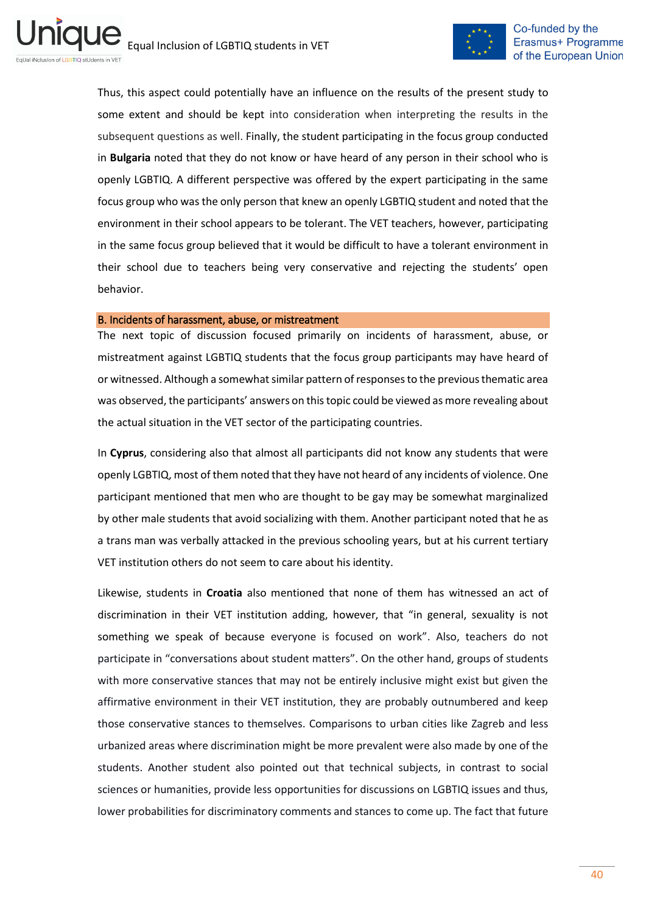

Thus, this aspect could potentially have an influence on the results of the present study to some extent and should be kept into consideration when interpreting the results in the subsequent questions as well. Finally, the student participating in the focus group conducted in **Bulgaria** noted that they do not know or have heard of any person in their school who is openly LGBTIQ. A different perspective was offered by the expert participating in the same focus group who was the only person that knew an openly LGBTIQ student and noted that the environment in their school appears to be tolerant. The VET teachers, however, participating in the same focus group believed that it would be difficult to have a tolerant environment in their school due to teachers being very conservative and rejecting the students' open behavior.

#### B. Incidents of harassment, abuse, or mistreatment

The next topic of discussion focused primarily on incidents of harassment, abuse, or mistreatment against LGBTIQ students that the focus group participants may have heard of or witnessed. Although a somewhat similar pattern of responses to the previous thematic area was observed, the participants' answers on this topic could be viewed as more revealing about the actual situation in the VET sector of the participating countries.

In **Cyprus**, considering also that almost all participants did not know any students that were openly LGBTIQ, most of them noted that they have not heard of any incidents of violence. One participant mentioned that men who are thought to be gay may be somewhat marginalized by other male students that avoid socializing with them. Another participant noted that he as a trans man was verbally attacked in the previous schooling years, but at his current tertiary VET institution others do not seem to care about his identity.

Likewise, students in **Croatia** also mentioned that none of them has witnessed an act of discrimination in their VET institution adding, however, that "in general, sexuality is not something we speak of because everyone is focused on work". Also, teachers do not participate in "conversations about student matters". On the other hand, groups of students with more conservative stances that may not be entirely inclusive might exist but given the affirmative environment in their VET institution, they are probably outnumbered and keep those conservative stances to themselves. Comparisons to urban cities like Zagreb and less urbanized areas where discrimination might be more prevalent were also made by one of the students. Another student also pointed out that technical subjects, in contrast to social sciences or humanities, provide less opportunities for discussions on LGBTIQ issues and thus, lower probabilities for discriminatory comments and stances to come up. The fact that future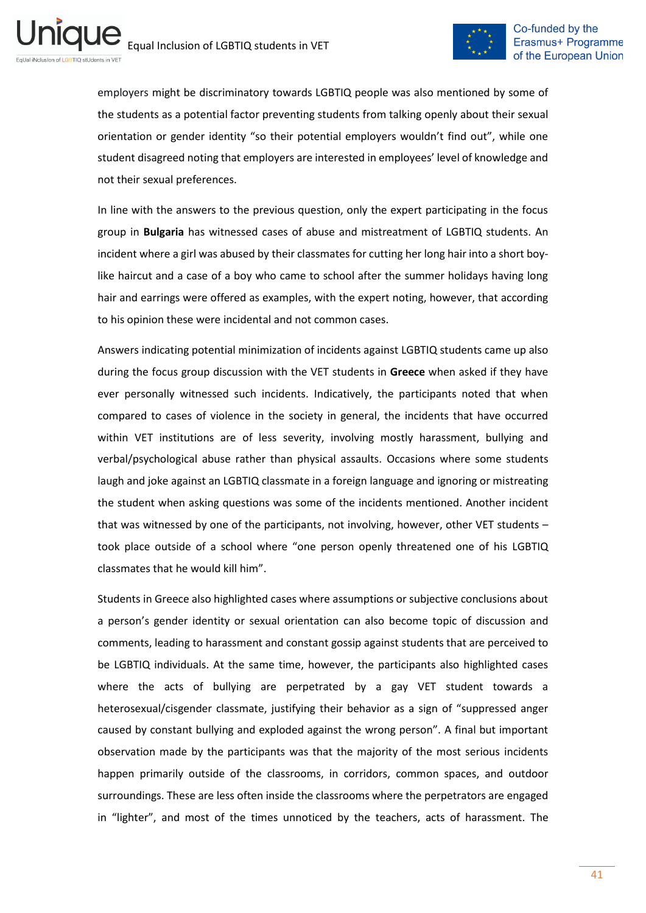

employers might be discriminatory towards LGBTIQ people was also mentioned by some of the students as a potential factor preventing students from talking openly about their sexual orientation or gender identity "so their potential employers wouldn't find out", while one student disagreed noting that employers are interested in employees' level of knowledge and not their sexual preferences.

In line with the answers to the previous question, only the expert participating in the focus group in **Bulgaria** has witnessed cases of abuse and mistreatment of LGBTIQ students. An incident where a girl was abused by their classmates for cutting her long hair into a short boylike haircut and a case of a boy who came to school after the summer holidays having long hair and earrings were offered as examples, with the expert noting, however, that according to his opinion these were incidental and not common cases.

Answers indicating potential minimization of incidents against LGBTIQ students came up also during the focus group discussion with the VET students in **Greece** when asked if they have ever personally witnessed such incidents. Indicatively, the participants noted that when compared to cases of violence in the society in general, the incidents that have occurred within VET institutions are of less severity, involving mostly harassment, bullying and verbal/psychological abuse rather than physical assaults. Occasions where some students laugh and joke against an LGBTIQ classmate in a foreign language and ignoring or mistreating the student when asking questions was some of the incidents mentioned. Another incident that was witnessed by one of the participants, not involving, however, other VET students – took place outside of a school where "one person openly threatened one of his LGBTIQ classmates that he would kill him".

Students in Greece also highlighted cases where assumptions or subjective conclusions about a person's gender identity or sexual orientation can also become topic of discussion and comments, leading to harassment and constant gossip against students that are perceived to be LGBTIQ individuals. At the same time, however, the participants also highlighted cases where the acts of bullying are perpetrated by a gay VET student towards a heterosexual/cisgender classmate, justifying their behavior as a sign of "suppressed anger caused by constant bullying and exploded against the wrong person". A final but important observation made by the participants was that the majority of the most serious incidents happen primarily outside of the classrooms, in corridors, common spaces, and outdoor surroundings. These are less often inside the classrooms where the perpetrators are engaged in "lighter", and most of the times unnoticed by the teachers, acts of harassment. The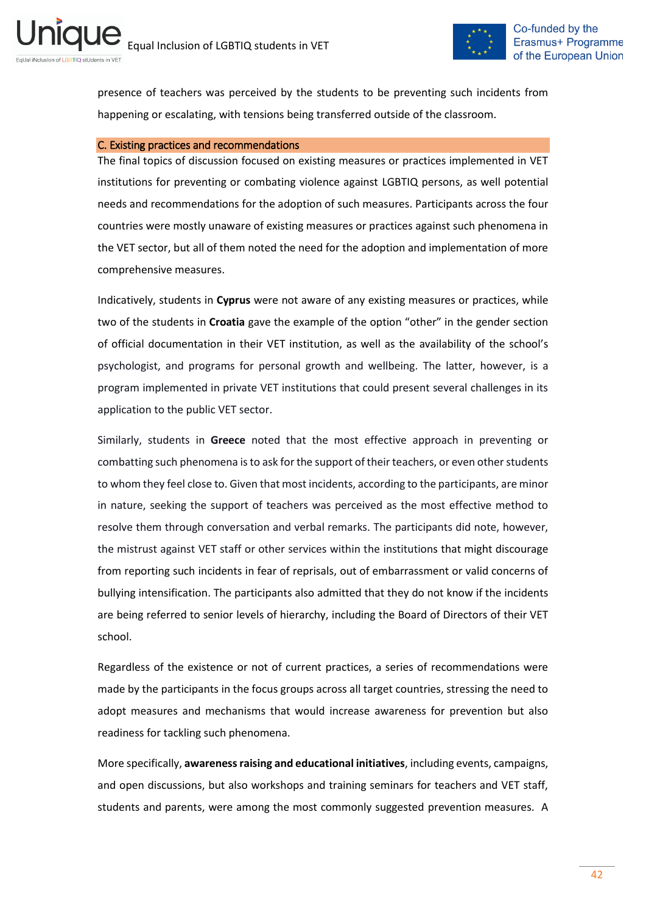

presence of teachers was perceived by the students to be preventing such incidents from happening or escalating, with tensions being transferred outside of the classroom.

#### C. Existing practices and recommendations

The final topics of discussion focused on existing measures or practices implemented in VET institutions for preventing or combating violence against LGBTIQ persons, as well potential needs and recommendations for the adoption of such measures. Participants across the four countries were mostly unaware of existing measures or practices against such phenomena in the VET sector, but all of them noted the need for the adoption and implementation of more comprehensive measures.

Indicatively, students in **Cyprus** were not aware of any existing measures or practices, while two of the students in **Croatia** gave the example of the option "other" in the gender section of official documentation in their VET institution, as well as the availability of the school's psychologist, and programs for personal growth and wellbeing. The latter, however, is a program implemented in private VET institutions that could present several challenges in its application to the public VET sector.

Similarly, students in **Greece** noted that the most effective approach in preventing or combatting such phenomena is to ask for the support of their teachers, or even other students to whom they feel close to. Given that most incidents, according to the participants, are minor in nature, seeking the support of teachers was perceived as the most effective method to resolve them through conversation and verbal remarks. The participants did note, however, the mistrust against VET staff or other services within the institutions that might discourage from reporting such incidents in fear of reprisals, out of embarrassment or valid concerns of bullying intensification. The participants also admitted that they do not know if the incidents are being referred to senior levels of hierarchy, including the Board of Directors of their VET school.

Regardless of the existence or not of current practices, a series of recommendations were made by the participants in the focus groups across all target countries, stressing the need to adopt measures and mechanisms that would increase awareness for prevention but also readiness for tackling such phenomena.

More specifically, **awareness raising and educational initiatives**, including events, campaigns, and open discussions, but also workshops and training seminars for teachers and VET staff, students and parents, were among the most commonly suggested prevention measures. A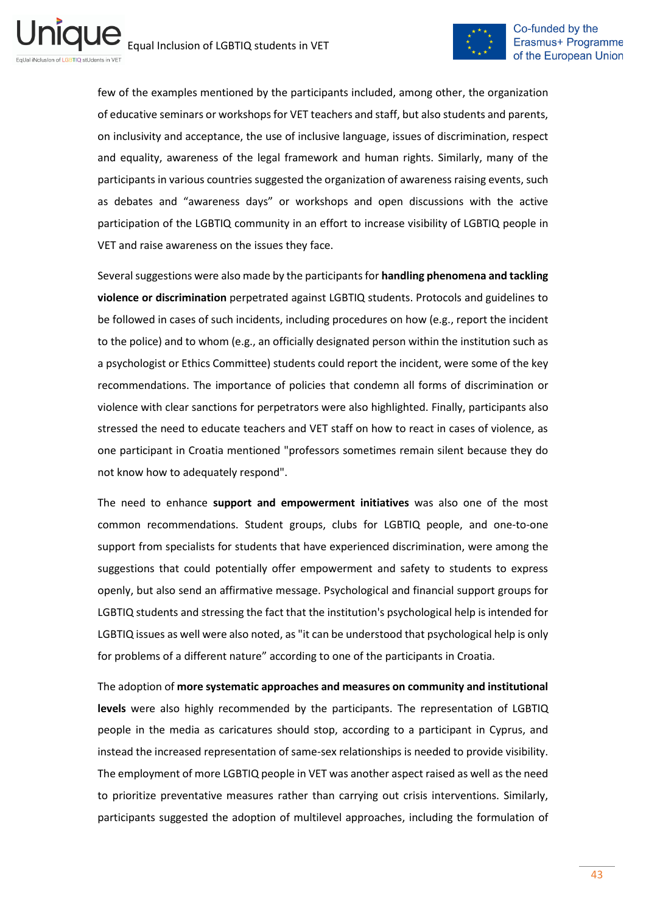

few of the examples mentioned by the participants included, among other, the organization of educative seminars or workshops for VET teachers and staff, but also students and parents, on inclusivity and acceptance, the use of inclusive language, issues of discrimination, respect and equality, awareness of the legal framework and human rights. Similarly, many of the participants in various countries suggested the organization of awareness raising events, such as debates and "awareness days" or workshops and open discussions with the active participation of the LGBTIQ community in an effort to increase visibility of LGBTIQ people in VET and raise awareness on the issues they face.

Several suggestions were also made by the participants for **handling phenomena and tackling violence or discrimination** perpetrated against LGBTIQ students. Protocols and guidelines to be followed in cases of such incidents, including procedures on how (e.g., report the incident to the police) and to whom (e.g., an officially designated person within the institution such as a psychologist or Ethics Committee) students could report the incident, were some of the key recommendations. The importance of policies that condemn all forms of discrimination or violence with clear sanctions for perpetrators were also highlighted. Finally, participants also stressed the need to educate teachers and VET staff on how to react in cases of violence, as one participant in Croatia mentioned "professors sometimes remain silent because they do not know how to adequately respond".

The need to enhance **support and empowerment initiatives** was also one of the most common recommendations. Student groups, clubs for LGBTIQ people, and one-to-one support from specialists for students that have experienced discrimination, were among the suggestions that could potentially offer empowerment and safety to students to express openly, but also send an affirmative message. Psychological and financial support groups for LGBTIQ students and stressing the fact that the institution's psychological help is intended for LGBTIQ issues as well were also noted, as "it can be understood that psychological help is only for problems of a different nature" according to one of the participants in Croatia.

The adoption of **more systematic approaches and measures on community and institutional levels** were also highly recommended by the participants. The representation of LGBTIQ people in the media as caricatures should stop, according to a participant in Cyprus, and instead the increased representation of same-sex relationships is needed to provide visibility. The employment of more LGBTIQ people in VET was another aspect raised as well as the need to prioritize preventative measures rather than carrying out crisis interventions. Similarly, participants suggested the adoption of multilevel approaches, including the formulation of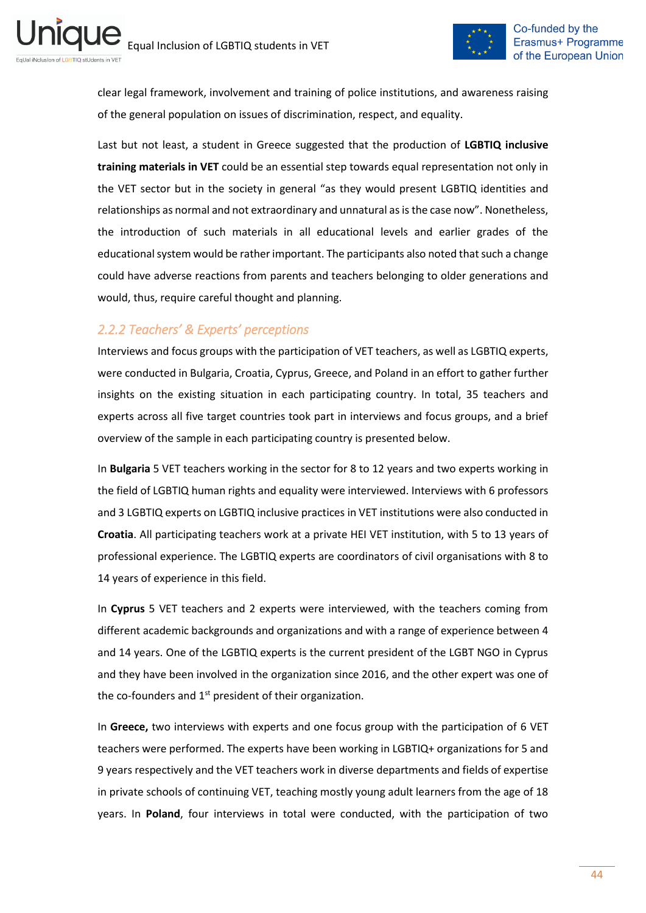ni



clear legal framework, involvement and training of police institutions, and awareness raising of the general population on issues of discrimination, respect, and equality.

Last but not least, a student in Greece suggested that the production of **LGBTIQ inclusive training materials in VET** could be an essential step towards equal representation not only in the VET sector but in the society in general "as they would present LGBTIQ identities and relationships as normal and not extraordinary and unnatural as is the case now". Nonetheless, the introduction of such materials in all educational levels and earlier grades of the educational system would be rather important. The participants also noted that such a change could have adverse reactions from parents and teachers belonging to older generations and would, thus, require careful thought and planning.

## <span id="page-43-0"></span>*2.2.2 Teachers' & Experts' perceptions*

Interviews and focus groups with the participation of VET teachers, as well as LGBTIQ experts, were conducted in Bulgaria, Croatia, Cyprus, Greece, and Poland in an effort to gather further insights on the existing situation in each participating country. In total, 35 teachers and experts across all five target countries took part in interviews and focus groups, and a brief overview of the sample in each participating country is presented below.

In **Bulgaria** 5 VET teachers working in the sector for 8 to 12 years and two experts working in the field of LGBTIQ human rights and equality were interviewed. Interviews with 6 professors and 3 LGBTIQ experts on LGBTIQ inclusive practices in VET institutions were also conducted in **Croatia**. All participating teachers work at a private HEI VET institution, with 5 to 13 years of professional experience. The LGBTIQ experts are coordinators of civil organisations with 8 to 14 years of experience in this field.

In **Cyprus** 5 VET teachers and 2 experts were interviewed, with the teachers coming from different academic backgrounds and organizations and with a range of experience between 4 and 14 years. One of the LGBTIQ experts is the current president of the LGBT NGO in Cyprus and they have been involved in the organization since 2016, and the other expert was one of the co-founders and  $1<sup>st</sup>$  president of their organization.

In **Greece,** two interviews with experts and one focus group with the participation of 6 VET teachers were performed. The experts have been working in LGBTIQ+ organizations for 5 and 9 years respectively and the VET teachers work in diverse departments and fields of expertise in private schools of continuing VET, teaching mostly young adult learners from the age of 18 years. In **Poland**, four interviews in total were conducted, with the participation of two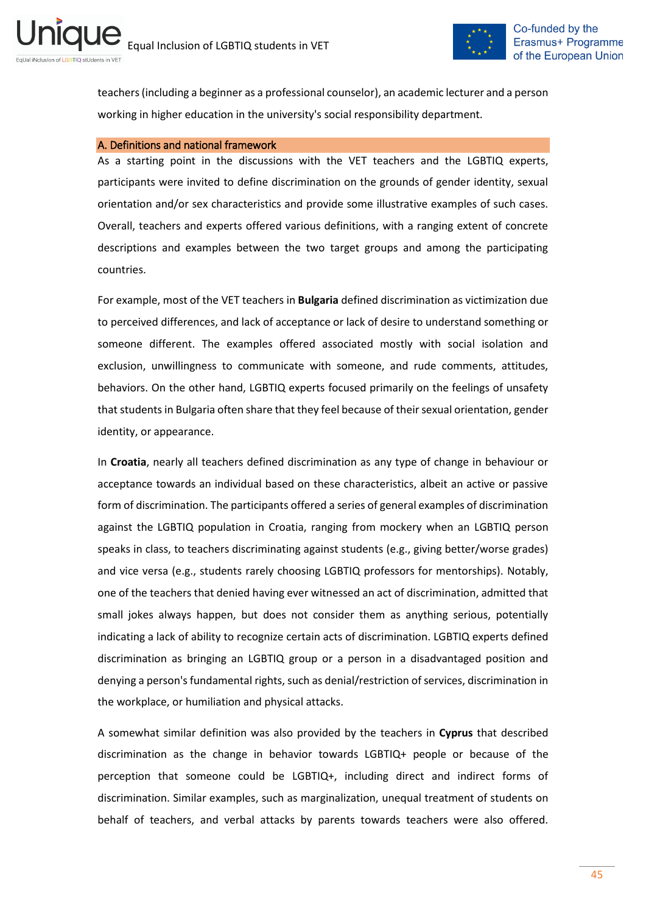

teachers (including a beginner as a professional counselor), an academic lecturer and a person working in higher education in the university's social responsibility department.

#### A. Definitions and national framework

As a starting point in the discussions with the VET teachers and the LGBTIQ experts, participants were invited to define discrimination on the grounds of gender identity, sexual orientation and/or sex characteristics and provide some illustrative examples of such cases. Overall, teachers and experts offered various definitions, with a ranging extent of concrete descriptions and examples between the two target groups and among the participating countries.

For example, most of the VET teachers in **Bulgaria** defined discrimination as victimization due to perceived differences, and lack of acceptance or lack of desire to understand something or someone different. The examples offered associated mostly with social isolation and exclusion, unwillingness to communicate with someone, and rude comments, attitudes, behaviors. On the other hand, LGBTIQ experts focused primarily on the feelings of unsafety that students in Bulgaria often share that they feel because of their sexual orientation, gender identity, or appearance.

In **Croatia**, nearly all teachers defined discrimination as any type of change in behaviour or acceptance towards an individual based on these characteristics, albeit an active or passive form of discrimination. The participants offered a series of general examples of discrimination against the LGBTIQ population in Croatia, ranging from mockery when an LGBTIQ person speaks in class, to teachers discriminating against students (e.g., giving better/worse grades) and vice versa (e.g., students rarely choosing LGBTIQ professors for mentorships). Notably, one of the teachers that denied having ever witnessed an act of discrimination, admitted that small jokes always happen, but does not consider them as anything serious, potentially indicating a lack of ability to recognize certain acts of discrimination. LGBTIQ experts defined discrimination as bringing an LGBTIQ group or a person in a disadvantaged position and denying a person's fundamental rights, such as denial/restriction of services, discrimination in the workplace, or humiliation and physical attacks.

A somewhat similar definition was also provided by the teachers in **Cyprus** that described discrimination as the change in behavior towards LGBTIQ+ people or because of the perception that someone could be LGBTIQ+, including direct and indirect forms of discrimination. Similar examples, such as marginalization, unequal treatment of students on behalf of teachers, and verbal attacks by parents towards teachers were also offered.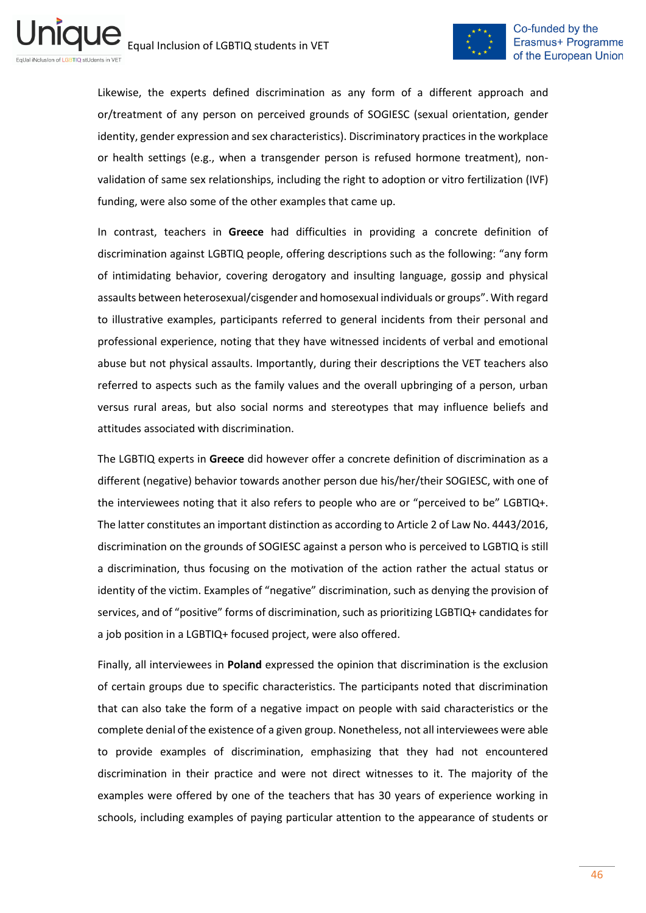

Likewise, the experts defined discrimination as any form of a different approach and or/treatment of any person on perceived grounds of SOGIESC (sexual orientation, gender identity, gender expression and sex characteristics). Discriminatory practices in the workplace or health settings (e.g., when a transgender person is refused hormone treatment), nonvalidation of same sex relationships, including the right to adoption or vitro fertilization (IVF) funding, were also some of the other examples that came up.

In contrast, teachers in **Greece** had difficulties in providing a concrete definition of discrimination against LGBTIQ people, offering descriptions such as the following: "any form of intimidating behavior, covering derogatory and insulting language, gossip and physical assaults between heterosexual/cisgender and homosexual individuals or groups". With regard to illustrative examples, participants referred to general incidents from their personal and professional experience, noting that they have witnessed incidents of verbal and emotional abuse but not physical assaults. Importantly, during their descriptions the VET teachers also referred to aspects such as the family values and the overall upbringing of a person, urban versus rural areas, but also social norms and stereotypes that may influence beliefs and attitudes associated with discrimination.

The LGBTIQ experts in **Greece** did however offer a concrete definition of discrimination as a different (negative) behavior towards another person due his/her/their SOGIESC, with one of the interviewees noting that it also refers to people who are or "perceived to be" LGBTIQ+. The latter constitutes an important distinction as according to Article 2 of Law No. 4443/2016, discrimination on the grounds of SOGIESC against a person who is perceived to LGBTIQ is still a discrimination, thus focusing on the motivation of the action rather the actual status or identity of the victim. Examples of "negative" discrimination, such as denying the provision of services, and of "positive" forms of discrimination, such as prioritizing LGBTIQ+ candidates for a job position in a LGBTIQ+ focused project, were also offered.

Finally, all interviewees in **Poland** expressed the opinion that discrimination is the exclusion of certain groups due to specific characteristics. The participants noted that discrimination that can also take the form of a negative impact on people with said characteristics or the complete denial of the existence of a given group. Nonetheless, not all interviewees were able to provide examples of discrimination, emphasizing that they had not encountered discrimination in their practice and were not direct witnesses to it. The majority of the examples were offered by one of the teachers that has 30 years of experience working in schools, including examples of paying particular attention to the appearance of students or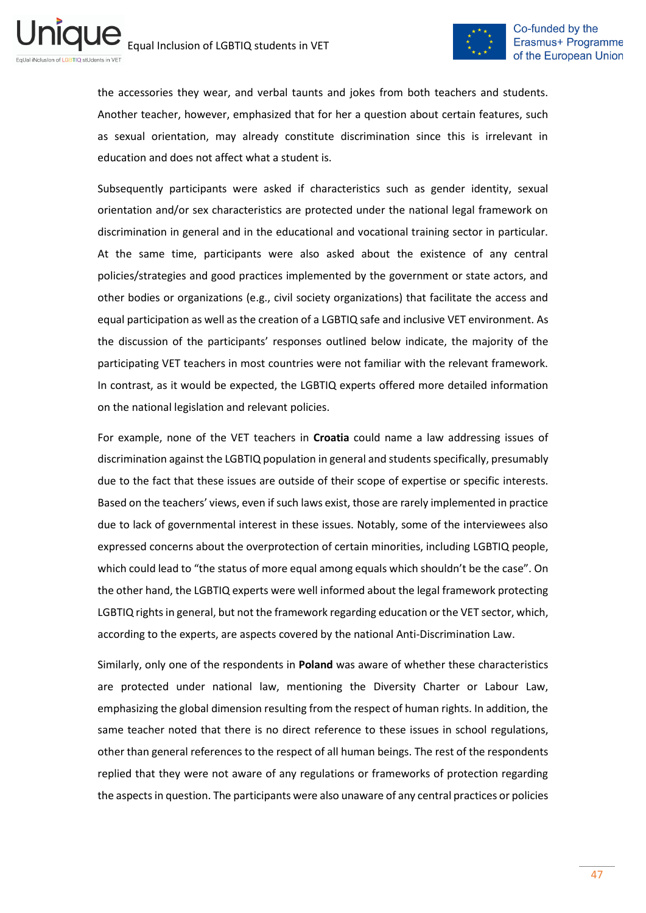

the accessories they wear, and verbal taunts and jokes from both teachers and students. Another teacher, however, emphasized that for her a question about certain features, such as sexual orientation, may already constitute discrimination since this is irrelevant in education and does not affect what a student is.

Subsequently participants were asked if characteristics such as gender identity, sexual orientation and/or sex characteristics are protected under the national legal framework on discrimination in general and in the educational and vocational training sector in particular. At the same time, participants were also asked about the existence of any central policies/strategies and good practices implemented by the government or state actors, and other bodies or organizations (e.g., civil society organizations) that facilitate the access and equal participation as well as the creation of a LGBTIQ safe and inclusive VET environment. As the discussion of the participants' responses outlined below indicate, the majority of the participating VET teachers in most countries were not familiar with the relevant framework. In contrast, as it would be expected, the LGBTIQ experts offered more detailed information on the national legislation and relevant policies.

For example, none of the VET teachers in **Croatia** could name a law addressing issues of discrimination against the LGBTIQ population in general and students specifically, presumably due to the fact that these issues are outside of their scope of expertise or specific interests. Based on the teachers' views, even if such laws exist, those are rarely implemented in practice due to lack of governmental interest in these issues. Notably, some of the interviewees also expressed concerns about the overprotection of certain minorities, including LGBTIQ people, which could lead to "the status of more equal among equals which shouldn't be the case". On the other hand, the LGBTIQ experts were well informed about the legal framework protecting LGBTIQ rights in general, but not the framework regarding education or the VET sector, which, according to the experts, are aspects covered by the national Anti-Discrimination Law.

Similarly, only one of the respondents in **Poland** was aware of whether these characteristics are protected under national law, mentioning the Diversity Charter or Labour Law, emphasizing the global dimension resulting from the respect of human rights. In addition, the same teacher noted that there is no direct reference to these issues in school regulations, other than general references to the respect of all human beings. The rest of the respondents replied that they were not aware of any regulations or frameworks of protection regarding the aspects in question. The participants were also unaware of any central practices or policies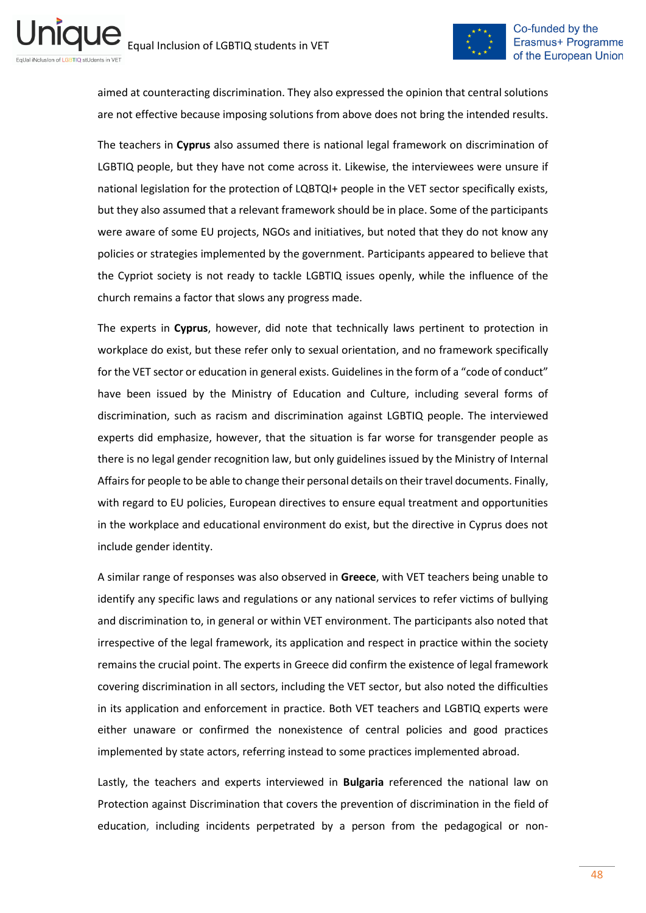ni



aimed at counteracting discrimination. They also expressed the opinion that central solutions are not effective because imposing solutions from above does not bring the intended results.

The teachers in **Cyprus** also assumed there is national legal framework on discrimination of LGBTIQ people, but they have not come across it. Likewise, the interviewees were unsure if national legislation for the protection of LQBTQI+ people in the VET sector specifically exists, but they also assumed that a relevant framework should be in place. Some of the participants were aware of some EU projects, NGOs and initiatives, but noted that they do not know any policies or strategies implemented by the government. Participants appeared to believe that the Cypriot society is not ready to tackle LGBTIQ issues openly, while the influence of the church remains a factor that slows any progress made.

The experts in **Cyprus**, however, did note that technically laws pertinent to protection in workplace do exist, but these refer only to sexual orientation, and no framework specifically for the VET sector or education in general exists. Guidelines in the form of a "code of conduct" have been issued by the Ministry of Education and Culture, including several forms of discrimination, such as racism and discrimination against LGBTIQ people. The interviewed experts did emphasize, however, that the situation is far worse for transgender people as there is no legal gender recognition law, but only guidelines issued by the Ministry of Internal Affairs for people to be able to change their personal details on their travel documents. Finally, with regard to EU policies, European directives to ensure equal treatment and opportunities in the workplace and educational environment do exist, but the directive in Cyprus does not include gender identity.

A similar range of responses was also observed in **Greece**, with VET teachers being unable to identify any specific laws and regulations or any national services to refer victims of bullying and discrimination to, in general or within VET environment. The participants also noted that irrespective of the legal framework, its application and respect in practice within the society remains the crucial point. The experts in Greece did confirm the existence of legal framework covering discrimination in all sectors, including the VET sector, but also noted the difficulties in its application and enforcement in practice. Both VET teachers and LGBTIQ experts were either unaware or confirmed the nonexistence of central policies and good practices implemented by state actors, referring instead to some practices implemented abroad.

Lastly, the teachers and experts interviewed in **Bulgaria** referenced the national law on Protection against Discrimination that covers the prevention of discrimination in the field of education, including incidents perpetrated by a person from the pedagogical or non-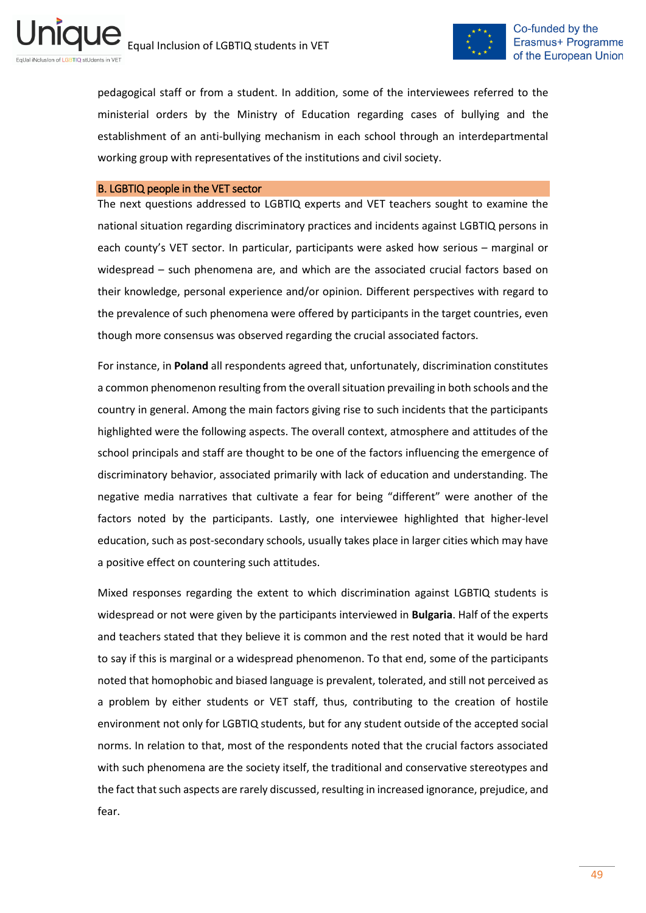

pedagogical staff or from a student. In addition, some of the interviewees referred to the ministerial orders by the Ministry of Education regarding cases of bullying and the establishment of an anti-bullying mechanism in each school through an interdepartmental working group with representatives of the institutions and civil society.

#### B. LGBTIQ people in the VET sector

The next questions addressed to LGBTIQ experts and VET teachers sought to examine the national situation regarding discriminatory practices and incidents against LGBTIQ persons in each county's VET sector. In particular, participants were asked how serious – marginal or widespread – such phenomena are, and which are the associated crucial factors based on their knowledge, personal experience and/or opinion. Different perspectives with regard to the prevalence of such phenomena were offered by participants in the target countries, even though more consensus was observed regarding the crucial associated factors.

For instance, in **Poland** all respondents agreed that, unfortunately, discrimination constitutes a common phenomenon resulting from the overall situation prevailing in both schools and the country in general. Among the main factors giving rise to such incidents that the participants highlighted were the following aspects. The overall context, atmosphere and attitudes of the school principals and staff are thought to be one of the factors influencing the emergence of discriminatory behavior, associated primarily with lack of education and understanding. The negative media narratives that cultivate a fear for being "different" were another of the factors noted by the participants. Lastly, one interviewee highlighted that higher-level education, such as post-secondary schools, usually takes place in larger cities which may have a positive effect on countering such attitudes.

Mixed responses regarding the extent to which discrimination against LGBTIQ students is widespread or not were given by the participants interviewed in **Bulgaria**. Half of the experts and teachers stated that they believe it is common and the rest noted that it would be hard to say if this is marginal or a widespread phenomenon. To that end, some of the participants noted that homophobic and biased language is prevalent, tolerated, and still not perceived as a problem by either students or VET staff, thus, contributing to the creation of hostile environment not only for LGBTIQ students, but for any student outside of the accepted social norms. In relation to that, most of the respondents noted that the crucial factors associated with such phenomena are the society itself, the traditional and conservative stereotypes and the fact that such aspects are rarely discussed, resulting in increased ignorance, prejudice, and fear.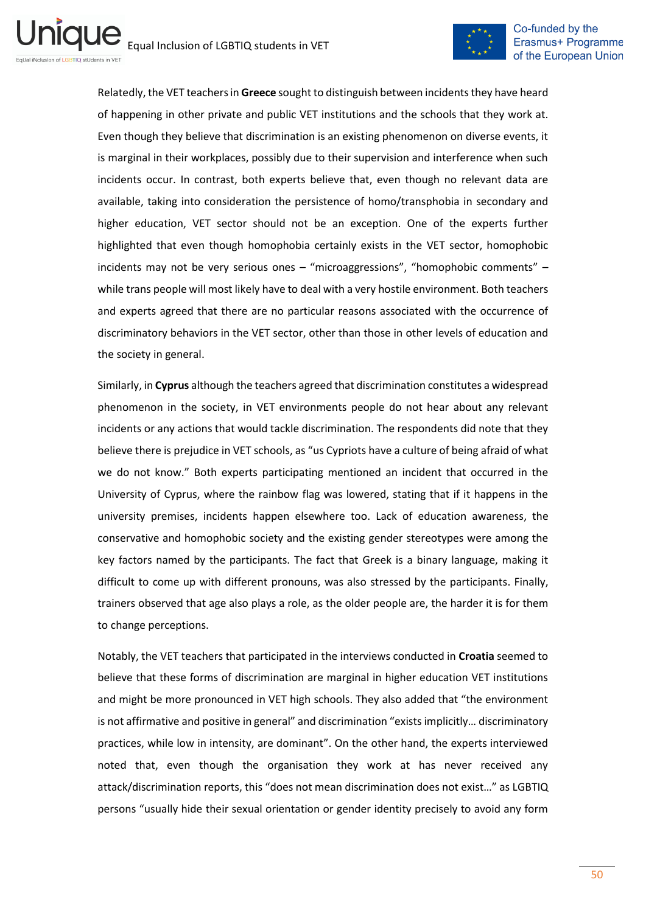

Relatedly, the VET teachers in **Greece** sought to distinguish between incidents they have heard of happening in other private and public VET institutions and the schools that they work at. Even though they believe that discrimination is an existing phenomenon on diverse events, it is marginal in their workplaces, possibly due to their supervision and interference when such incidents occur. In contrast, both experts believe that, even though no relevant data are available, taking into consideration the persistence of homo/transphobia in secondary and higher education, VET sector should not be an exception. One of the experts further highlighted that even though homophobia certainly exists in the VET sector, homophobic incidents may not be very serious ones – "microaggressions", "homophobic comments" – while trans people will most likely have to deal with a very hostile environment. Both teachers and experts agreed that there are no particular reasons associated with the occurrence of discriminatory behaviors in the VET sector, other than those in other levels of education and the society in general.

Similarly, in **Cyprus** although the teachers agreed that discrimination constitutes a widespread phenomenon in the society, in VET environments people do not hear about any relevant incidents or any actions that would tackle discrimination. The respondents did note that they believe there is prejudice in VET schools, as "us Cypriots have a culture of being afraid of what we do not know." Both experts participating mentioned an incident that occurred in the University of Cyprus, where the rainbow flag was lowered, stating that if it happens in the university premises, incidents happen elsewhere too. Lack of education awareness, the conservative and homophobic society and the existing gender stereotypes were among the key factors named by the participants. The fact that Greek is a binary language, making it difficult to come up with different pronouns, was also stressed by the participants. Finally, trainers observed that age also plays a role, as the older people are, the harder it is for them to change perceptions.

Notably, the VET teachers that participated in the interviews conducted in **Croatia** seemed to believe that these forms of discrimination are marginal in higher education VET institutions and might be more pronounced in VET high schools. They also added that "the environment is not affirmative and positive in general" and discrimination "exists implicitly… discriminatory practices, while low in intensity, are dominant". On the other hand, the experts interviewed noted that, even though the organisation they work at has never received any attack/discrimination reports, this "does not mean discrimination does not exist…" as LGBTIQ persons "usually hide their sexual orientation or gender identity precisely to avoid any form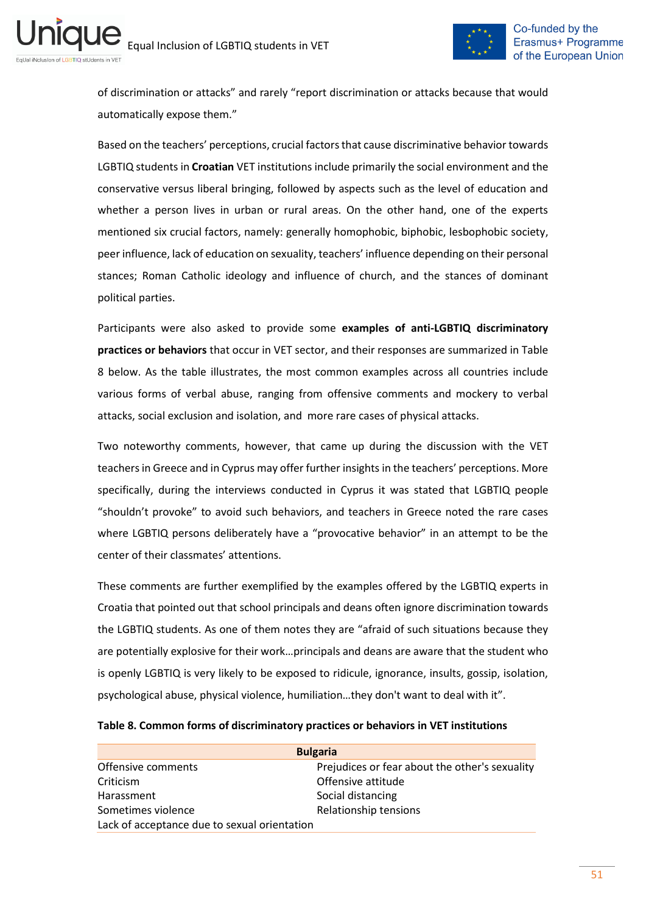

of discrimination or attacks" and rarely "report discrimination or attacks because that would automatically expose them."

Based on the teachers' perceptions, crucial factors that cause discriminative behavior towards LGBTIQ students in **Croatian** VET institutions include primarily the social environment and the conservative versus liberal bringing, followed by aspects such as the level of education and whether a person lives in urban or rural areas. On the other hand, one of the experts mentioned six crucial factors, namely: generally homophobic, biphobic, lesbophobic society, peer influence, lack of education on sexuality, teachers' influence depending on their personal stances; Roman Catholic ideology and influence of church, and the stances of dominant political parties.

Participants were also asked to provide some **examples of anti-LGBTIQ discriminatory practices or behaviors** that occur in VET sector, and their responses are summarized in Table 8 below. As the table illustrates, the most common examples across all countries include various forms of verbal abuse, ranging from offensive comments and mockery to verbal attacks, social exclusion and isolation, and more rare cases of physical attacks.

Two noteworthy comments, however, that came up during the discussion with the VET teachers in Greece and in Cyprus may offer further insights in the teachers' perceptions. More specifically, during the interviews conducted in Cyprus it was stated that LGBTIQ people "shouldn't provoke" to avoid such behaviors, and teachers in Greece noted the rare cases where LGBTIQ persons deliberately have a "provocative behavior" in an attempt to be the center of their classmates' attentions.

These comments are further exemplified by the examples offered by the LGBTIQ experts in Croatia that pointed out that school principals and deans often ignore discrimination towards the LGBTIQ students. As one of them notes they are "afraid of such situations because they are potentially explosive for their work…principals and deans are aware that the student who is openly LGBTIQ is very likely to be exposed to ridicule, ignorance, insults, gossip, isolation, psychological abuse, physical violence, humiliation…they don't want to deal with it".

|                                              | <b>Bulgaria</b>                                |
|----------------------------------------------|------------------------------------------------|
| Offensive comments                           | Prejudices or fear about the other's sexuality |
| Criticism                                    | Offensive attitude                             |
| Harassment                                   | Social distancing                              |
| Sometimes violence                           | Relationship tensions                          |
| Lack of acceptance due to sexual orientation |                                                |

#### <span id="page-50-0"></span>**Table 8. Common forms of discriminatory practices or behaviors in VET institutions**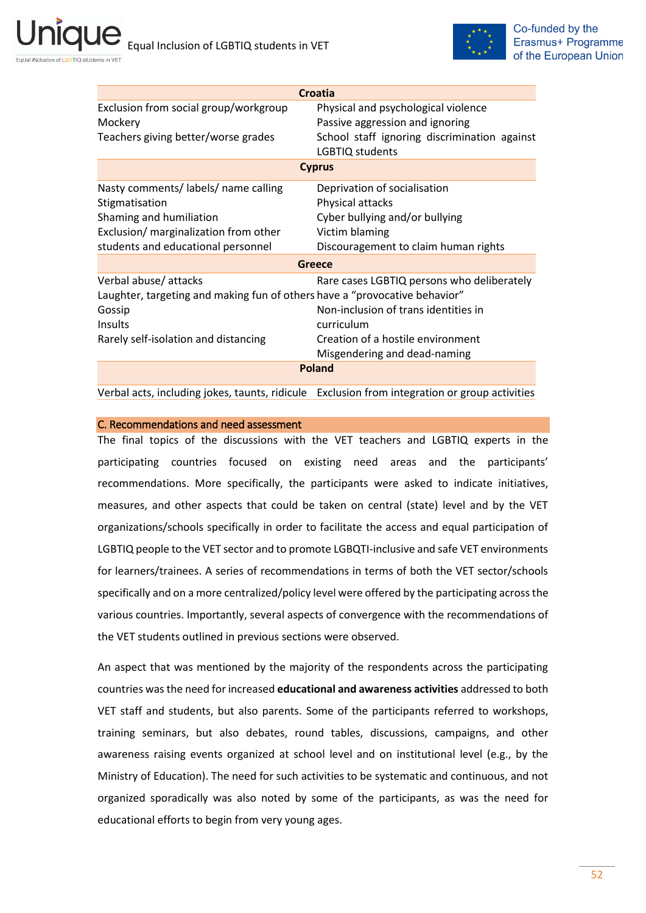

| Croatia                                                                    |                                                                 |  |  |  |
|----------------------------------------------------------------------------|-----------------------------------------------------------------|--|--|--|
| Exclusion from social group/workgroup                                      | Physical and psychological violence                             |  |  |  |
| Mockery                                                                    | Passive aggression and ignoring                                 |  |  |  |
| Teachers giving better/worse grades                                        | School staff ignoring discrimination against<br>LGBTIQ students |  |  |  |
|                                                                            | <b>Cyprus</b>                                                   |  |  |  |
| Nasty comments/labels/name calling                                         | Deprivation of socialisation                                    |  |  |  |
| Stigmatisation                                                             | Physical attacks                                                |  |  |  |
| Shaming and humiliation                                                    | Cyber bullying and/or bullying                                  |  |  |  |
| Exclusion/ marginalization from other                                      | Victim blaming                                                  |  |  |  |
| students and educational personnel                                         | Discouragement to claim human rights                            |  |  |  |
| Greece                                                                     |                                                                 |  |  |  |
| Verbal abuse/ attacks                                                      | Rare cases LGBTIQ persons who deliberately                      |  |  |  |
| Laughter, targeting and making fun of others have a "provocative behavior" |                                                                 |  |  |  |
| Gossip                                                                     | Non-inclusion of trans identities in                            |  |  |  |
| Insults                                                                    | curriculum                                                      |  |  |  |
| Rarely self-isolation and distancing                                       | Creation of a hostile environment                               |  |  |  |
|                                                                            | Misgendering and dead-naming                                    |  |  |  |
| <b>Poland</b>                                                              |                                                                 |  |  |  |

Verbal acts, including jokes, taunts, ridicule Exclusion from integration or group activities

#### C. Recommendations and need assessment

The final topics of the discussions with the VET teachers and LGBTIQ experts in the participating countries focused on existing need areas and the participants' recommendations. More specifically, the participants were asked to indicate initiatives, measures, and other aspects that could be taken on central (state) level and by the VET organizations/schools specifically in order to facilitate the access and equal participation of LGBTIQ people to the VET sector and to promote LGBQTI-inclusive and safe VET environments for learners/trainees. A series of recommendations in terms of both the VET sector/schools specifically and on a more centralized/policy level were offered by the participating across the various countries. Importantly, several aspects of convergence with the recommendations of the VET students outlined in previous sections were observed.

An aspect that was mentioned by the majority of the respondents across the participating countries was the need for increased **educational and awareness activities** addressed to both VET staff and students, but also parents. Some of the participants referred to workshops, training seminars, but also debates, round tables, discussions, campaigns, and other awareness raising events organized at school level and on institutional level (e.g., by the Ministry of Education). The need for such activities to be systematic and continuous, and not organized sporadically was also noted by some of the participants, as was the need for educational efforts to begin from very young ages.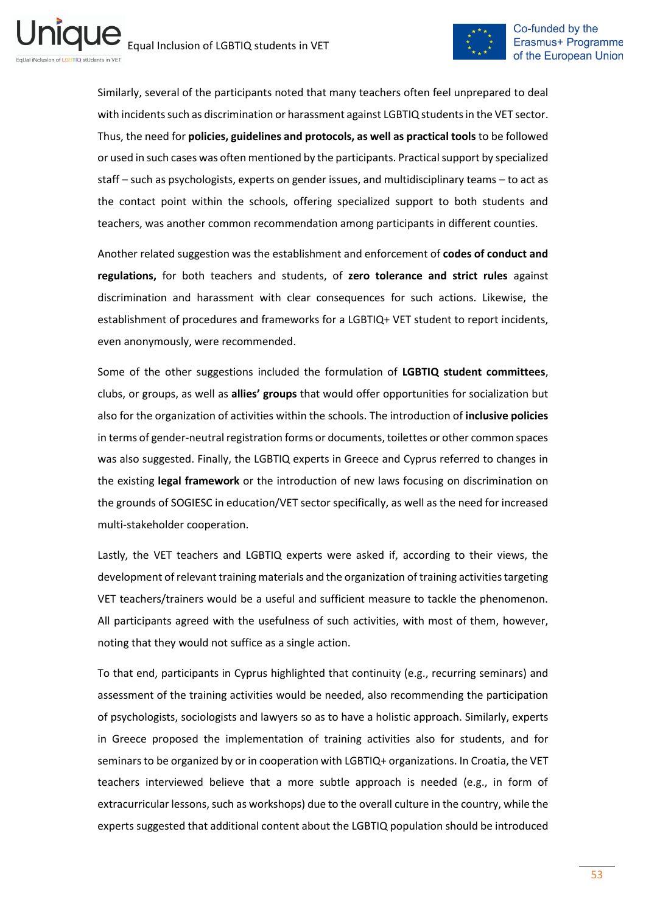

Similarly, several of the participants noted that many teachers often feel unprepared to deal with incidents such as discrimination or harassment against LGBTIQ students in the VET sector. Thus, the need for **policies, guidelines and protocols, as well as practical tools** to be followed or used in such cases was often mentioned by the participants. Practical support by specialized staff – such as psychologists, experts on gender issues, and multidisciplinary teams – to act as the contact point within the schools, offering specialized support to both students and teachers, was another common recommendation among participants in different counties.

Another related suggestion was the establishment and enforcement of **codes of conduct and regulations,** for both teachers and students, of **zero tolerance and strict rules** against discrimination and harassment with clear consequences for such actions. Likewise, the establishment of procedures and frameworks for a LGBTIQ+ VET student to report incidents, even anonymously, were recommended.

Some of the other suggestions included the formulation of **LGBTIQ student committees**, clubs, or groups, as well as **allies' groups** that would offer opportunities for socialization but also for the organization of activities within the schools. The introduction of **inclusive policies** in terms of gender-neutral registration forms or documents, toilettes or other common spaces was also suggested. Finally, the LGBTIQ experts in Greece and Cyprus referred to changes in the existing **legal framework** or the introduction of new laws focusing on discrimination on the grounds of SOGIESC in education/VET sector specifically, as well as the need for increased multi-stakeholder cooperation.

Lastly, the VET teachers and LGBTIQ experts were asked if, according to their views, the development of relevant training materials and the organization of training activities targeting VET teachers/trainers would be a useful and sufficient measure to tackle the phenomenon. All participants agreed with the usefulness of such activities, with most of them, however, noting that they would not suffice as a single action.

To that end, participants in Cyprus highlighted that continuity (e.g., recurring seminars) and assessment of the training activities would be needed, also recommending the participation of psychologists, sociologists and lawyers so as to have a holistic approach. Similarly, experts in Greece proposed the implementation of training activities also for students, and for seminars to be organized by or in cooperation with LGBTIQ+ organizations. In Croatia, the VET teachers interviewed believe that a more subtle approach is needed (e.g., in form of extracurricular lessons, such as workshops) due to the overall culture in the country, while the experts suggested that additional content about the LGBTIQ population should be introduced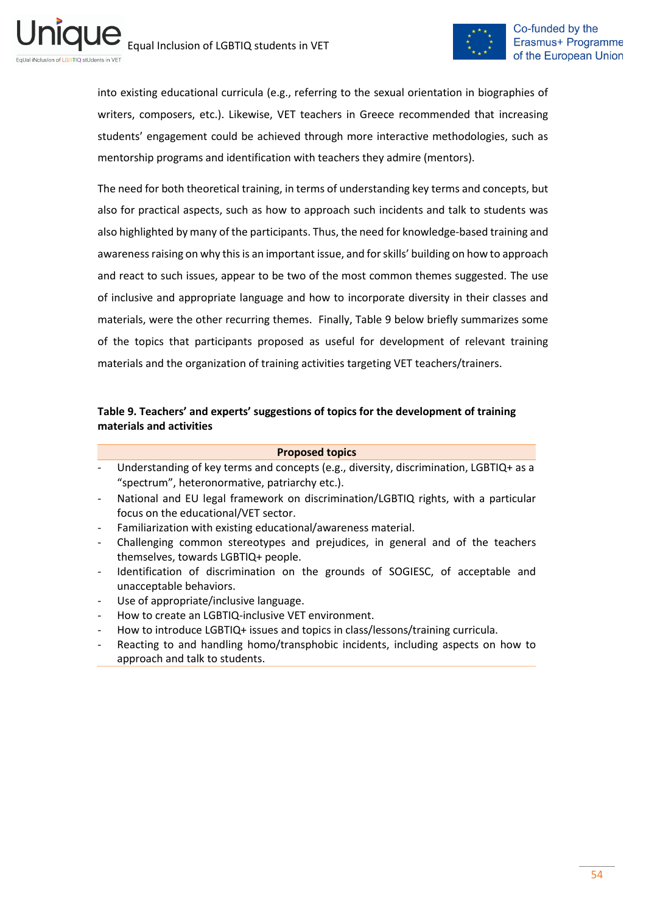

into existing educational curricula (e.g., referring to the sexual orientation in biographies of writers, composers, etc.). Likewise, VET teachers in Greece recommended that increasing students' engagement could be achieved through more interactive methodologies, such as mentorship programs and identification with teachers they admire (mentors).

The need for both theoretical training, in terms of understanding key terms and concepts, but also for practical aspects, such as how to approach such incidents and talk to students was also highlighted by many of the participants. Thus, the need for knowledge-based training and awareness raising on why this is an important issue, and for skills' building on how to approach and react to such issues, appear to be two of the most common themes suggested. The use of inclusive and appropriate language and how to incorporate diversity in their classes and materials, were the other recurring themes. Finally, Table 9 below briefly summarizes some of the topics that participants proposed as useful for development of relevant training materials and the organization of training activities targeting VET teachers/trainers.

## <span id="page-53-0"></span>**Table 9. Teachers' and experts' suggestions of topics for the development of training materials and activities**

#### **Proposed topics**

- Understanding of key terms and concepts (e.g., diversity, discrimination, LGBTIQ+ as a "spectrum", heteronormative, patriarchy etc.).
- National and EU legal framework on discrimination/LGBTIQ rights, with a particular focus on the educational/VET sector.
- Familiarization with existing educational/awareness material.
- Challenging common stereotypes and prejudices, in general and of the teachers themselves, towards LGBTIQ+ people.
- Identification of discrimination on the grounds of SOGIESC, of acceptable and unacceptable behaviors.
- Use of appropriate/inclusive language.
- How to create an LGBTIQ-inclusive VET environment.
- How to introduce LGBTIQ+ issues and topics in class/lessons/training curricula.
- Reacting to and handling homo/transphobic incidents, including aspects on how to approach and talk to students.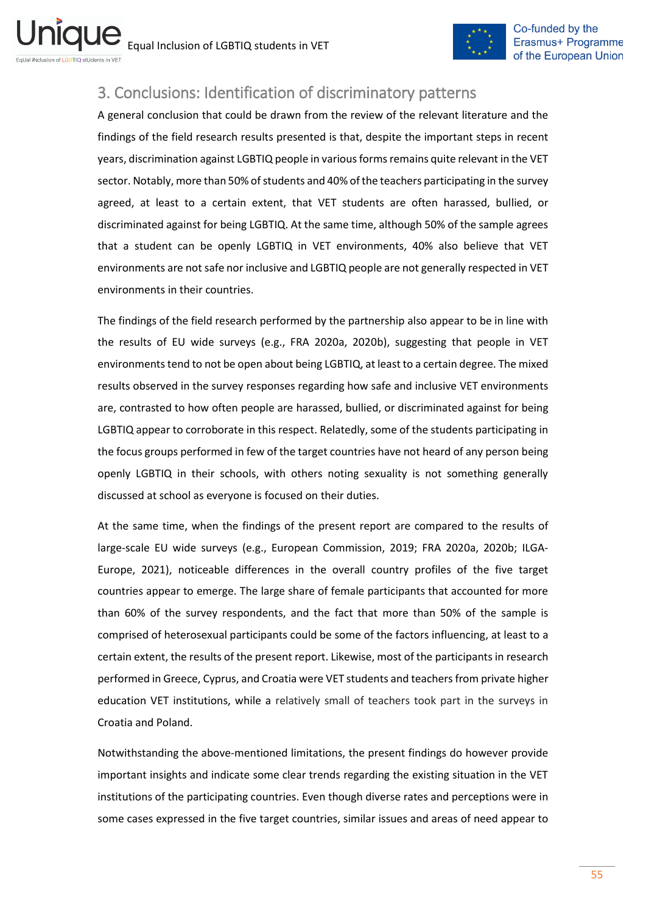

# <span id="page-54-0"></span>3. Conclusions: Identification of discriminatory patterns

A general conclusion that could be drawn from the review of the relevant literature and the findings of the field research results presented is that, despite the important steps in recent years, discrimination against LGBTIQ people in various forms remains quite relevant in the VET sector. Notably, more than 50% of students and 40% of the teachers participating in the survey agreed, at least to a certain extent, that VET students are often harassed, bullied, or discriminated against for being LGBTIQ. At the same time, although 50% of the sample agrees that a student can be openly LGBTIQ in VET environments, 40% also believe that VET environments are not safe nor inclusive and LGBTIQ people are not generally respected in VET environments in their countries.

The findings of the field research performed by the partnership also appear to be in line with the results of EU wide surveys (e.g., FRA 2020a, 2020b), suggesting that people in VET environments tend to not be open about being LGBTIQ, at least to a certain degree. The mixed results observed in the survey responses regarding how safe and inclusive VET environments are, contrasted to how often people are harassed, bullied, or discriminated against for being LGBTIQ appear to corroborate in this respect. Relatedly, some of the students participating in the focus groups performed in few of the target countries have not heard of any person being openly LGBTIQ in their schools, with others noting sexuality is not something generally discussed at school as everyone is focused on their duties.

At the same time, when the findings of the present report are compared to the results of large-scale EU wide surveys (e.g., European Commission, 2019; FRA 2020a, 2020b; ILGA-Europe, 2021), noticeable differences in the overall country profiles of the five target countries appear to emerge. The large share of female participants that accounted for more than 60% of the survey respondents, and the fact that more than 50% of the sample is comprised of heterosexual participants could be some of the factors influencing, at least to a certain extent, the results of the present report. Likewise, most of the participants in research performed in Greece, Cyprus, and Croatia were VET students and teachers from private higher education VET institutions, while a relatively small of teachers took part in the surveys in Croatia and Poland.

Notwithstanding the above-mentioned limitations, the present findings do however provide important insights and indicate some clear trends regarding the existing situation in the VET institutions of the participating countries. Even though diverse rates and perceptions were in some cases expressed in the five target countries, similar issues and areas of need appear to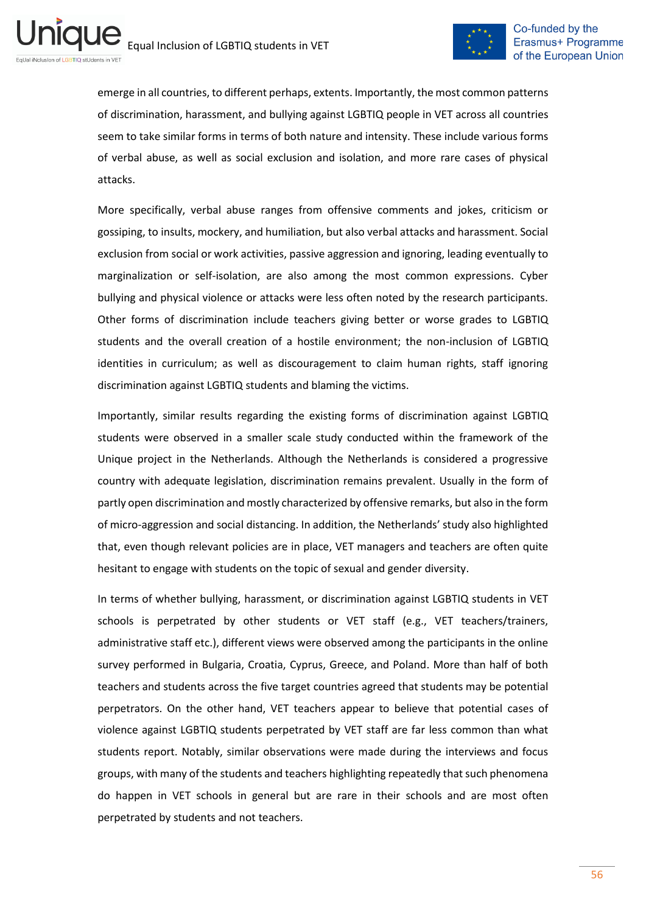ni



emerge in all countries, to different perhaps, extents. Importantly, the most common patterns of discrimination, harassment, and bullying against LGBTIQ people in VET across all countries seem to take similar forms in terms of both nature and intensity. These include various forms of verbal abuse, as well as social exclusion and isolation, and more rare cases of physical attacks.

More specifically, verbal abuse ranges from offensive comments and jokes, criticism or gossiping, to insults, mockery, and humiliation, but also verbal attacks and harassment. Social exclusion from social or work activities, passive aggression and ignoring, leading eventually to marginalization or self-isolation, are also among the most common expressions. Cyber bullying and physical violence or attacks were less often noted by the research participants. Other forms of discrimination include teachers giving better or worse grades to LGBTIQ students and the overall creation of a hostile environment; the non-inclusion of LGBTIQ identities in curriculum; as well as discouragement to claim human rights, staff ignoring discrimination against LGBTIQ students and blaming the victims.

Importantly, similar results regarding the existing forms of discrimination against LGBTIQ students were observed in a smaller scale study conducted within the framework of the Unique project in the Netherlands. Although the Netherlands is considered a progressive country with adequate legislation, discrimination remains prevalent. Usually in the form of partly open discrimination and mostly characterized by offensive remarks, but also in the form of micro-aggression and social distancing. In addition, the Netherlands' study also highlighted that, even though relevant policies are in place, VET managers and teachers are often quite hesitant to engage with students on the topic of sexual and gender diversity.

In terms of whether bullying, harassment, or discrimination against LGBTIQ students in VET schools is perpetrated by other students or VET staff (e.g., VET teachers/trainers, administrative staff etc.), different views were observed among the participants in the online survey performed in Bulgaria, Croatia, Cyprus, Greece, and Poland. More than half of both teachers and students across the five target countries agreed that students may be potential perpetrators. On the other hand, VET teachers appear to believe that potential cases of violence against LGBTIQ students perpetrated by VET staff are far less common than what students report. Notably, similar observations were made during the interviews and focus groups, with many of the students and teachers highlighting repeatedly that such phenomena do happen in VET schools in general but are rare in their schools and are most often perpetrated by students and not teachers.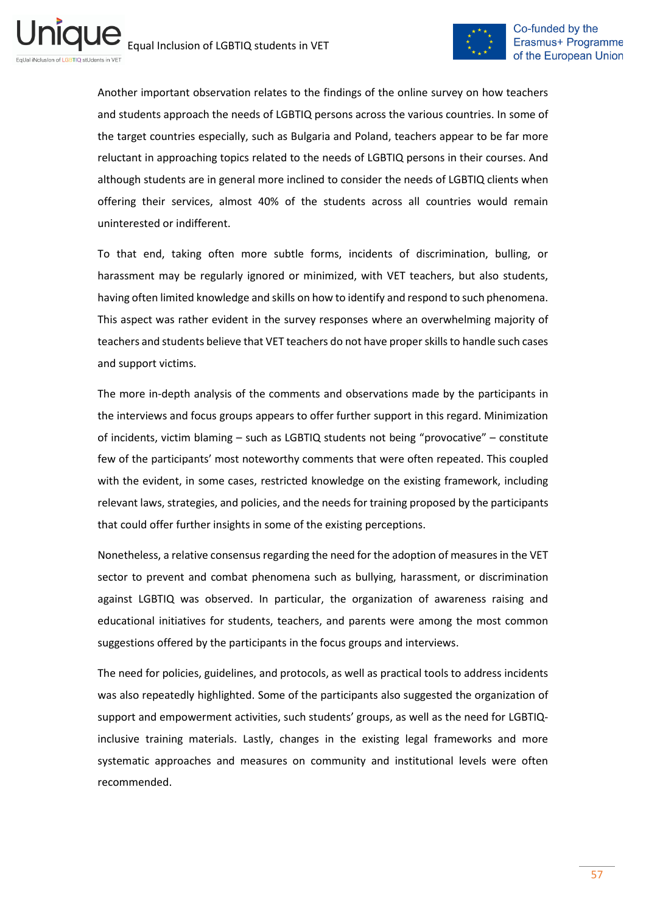

Another important observation relates to the findings of the online survey on how teachers and students approach the needs of LGBTIQ persons across the various countries. In some of the target countries especially, such as Bulgaria and Poland, teachers appear to be far more reluctant in approaching topics related to the needs of LGBTIQ persons in their courses. And although students are in general more inclined to consider the needs of LGBTIQ clients when offering their services, almost 40% of the students across all countries would remain uninterested or indifferent.

To that end, taking often more subtle forms, incidents of discrimination, bulling, or harassment may be regularly ignored or minimized, with VET teachers, but also students, having often limited knowledge and skills on how to identify and respond to such phenomena. This aspect was rather evident in the survey responses where an overwhelming majority of teachers and students believe that VET teachers do not have proper skills to handle such cases and support victims.

The more in-depth analysis of the comments and observations made by the participants in the interviews and focus groups appears to offer further support in this regard. Minimization of incidents, victim blaming – such as LGBTIQ students not being "provocative" – constitute few of the participants' most noteworthy comments that were often repeated. This coupled with the evident, in some cases, restricted knowledge on the existing framework, including relevant laws, strategies, and policies, and the needs for training proposed by the participants that could offer further insights in some of the existing perceptions.

Nonetheless, a relative consensus regarding the need for the adoption of measures in the VET sector to prevent and combat phenomena such as bullying, harassment, or discrimination against LGBTIQ was observed. In particular, the organization of awareness raising and educational initiatives for students, teachers, and parents were among the most common suggestions offered by the participants in the focus groups and interviews.

The need for policies, guidelines, and protocols, as well as practical tools to address incidents was also repeatedly highlighted. Some of the participants also suggested the organization of support and empowerment activities, such students' groups, as well as the need for LGBTIQinclusive training materials. Lastly, changes in the existing legal frameworks and more systematic approaches and measures on community and institutional levels were often recommended.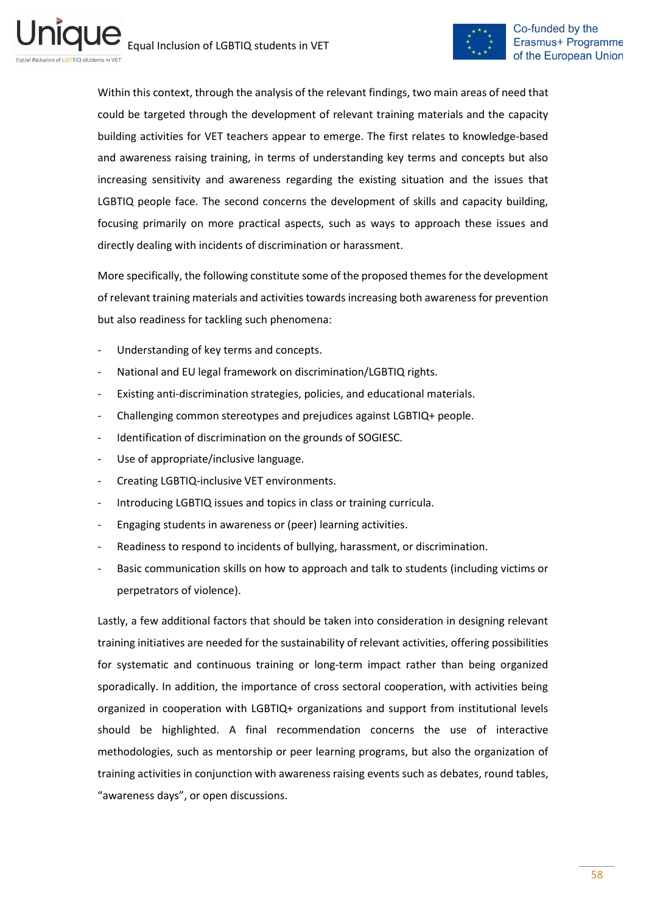

Within this context, through the analysis of the relevant findings, two main areas of need that could be targeted through the development of relevant training materials and the capacity building activities for VET teachers appear to emerge. The first relates to knowledge-based and awareness raising training, in terms of understanding key terms and concepts but also increasing sensitivity and awareness regarding the existing situation and the issues that LGBTIQ people face. The second concerns the development of skills and capacity building, focusing primarily on more practical aspects, such as ways to approach these issues and directly dealing with incidents of discrimination or harassment.

More specifically, the following constitute some of the proposed themes for the development of relevant training materials and activities towards increasing both awareness for prevention but also readiness for tackling such phenomena:

- Understanding of key terms and concepts.
- National and EU legal framework on discrimination/LGBTIQ rights.
- Existing anti-discrimination strategies, policies, and educational materials.
- Challenging common stereotypes and prejudices against LGBTIQ+ people.
- Identification of discrimination on the grounds of SOGIESC.
- Use of appropriate/inclusive language.
- Creating LGBTIQ-inclusive VET environments.
- Introducing LGBTIQ issues and topics in class or training curricula.
- Engaging students in awareness or (peer) learning activities.
- Readiness to respond to incidents of bullying, harassment, or discrimination.
- Basic communication skills on how to approach and talk to students (including victims or perpetrators of violence).

Lastly, a few additional factors that should be taken into consideration in designing relevant training initiatives are needed for the sustainability of relevant activities, offering possibilities for systematic and continuous training or long-term impact rather than being organized sporadically. In addition, the importance of cross sectoral cooperation, with activities being organized in cooperation with LGBTIQ+ organizations and support from institutional levels should be highlighted. A final recommendation concerns the use of interactive methodologies, such as mentorship or peer learning programs, but also the organization of training activities in conjunction with awareness raising events such as debates, round tables, "awareness days", or open discussions.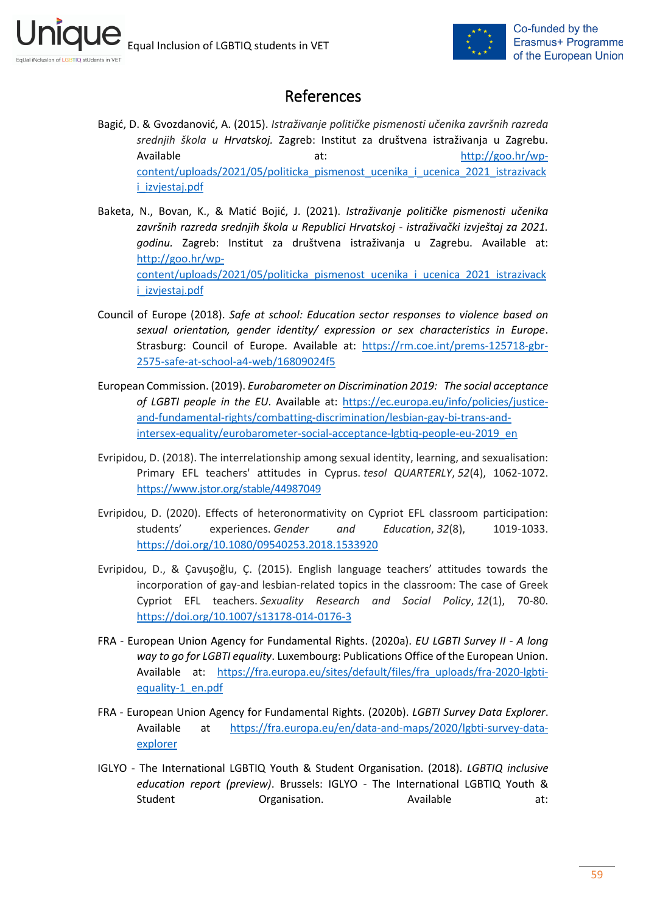<span id="page-58-0"></span>ni



# References

- Bagić, D. & Gvozdanović, A. (2015). *Istraživanje političke pismenosti učenika završnih razreda srednjih škola u Hrvatskoj.* Zagreb: Institut za društvena istraživanja u Zagrebu. Available at: [http://goo.hr/wp](http://goo.hr/wp-content/uploads/2021/05/politicka_pismenost_ucenika_i_ucenica_2021_istrazivacki_izvjestaj.pdf)content/uploads/2021/05/politicka pismenost ucenika i ucenica 2021 istrazivack [i\\_izvjestaj.pdf](http://goo.hr/wp-content/uploads/2021/05/politicka_pismenost_ucenika_i_ucenica_2021_istrazivacki_izvjestaj.pdf)
- Baketa, N., Bovan, K., & Matić Bojić, J. (2021). *Istraživanje političke pismenosti učenika završnih razreda srednjih škola u Republici Hrvatskoj - istraživački izvještaj za 2021. godinu.* Zagreb: Institut za društvena istraživanja u Zagrebu. Available at: [http://goo.hr/wp](http://goo.hr/wp-content/uploads/2021/05/politicka_pismenost_ucenika_i_ucenica_2021_istrazivacki_izvjestaj.pdf)[content/uploads/2021/05/politicka\\_pismenost\\_ucenika\\_i\\_ucenica\\_2021\\_istrazivack](http://goo.hr/wp-content/uploads/2021/05/politicka_pismenost_ucenika_i_ucenica_2021_istrazivacki_izvjestaj.pdf) [i\\_izvjestaj.pdf](http://goo.hr/wp-content/uploads/2021/05/politicka_pismenost_ucenika_i_ucenica_2021_istrazivacki_izvjestaj.pdf)
- Council of Europe (2018). *Safe at school: Education sector responses to violence based on sexual orientation, gender identity/ expression or sex characteristics in Europe*. Strasburg: Council of Europe. Available at: [https://rm.coe.int/prems-125718-gbr-](https://rm.coe.int/prems-125718-gbr-2575-safe-at-school-a4-web/16809024f5)[2575-safe-at-school-a4-web/16809024f5](https://rm.coe.int/prems-125718-gbr-2575-safe-at-school-a4-web/16809024f5)
- European Commission. (2019). *Eurobarometer on Discrimination 2019: The social acceptance of LGBTI people in the EU*. Available at: [https://ec.europa.eu/info/policies/justice](https://ec.europa.eu/info/policies/justice-and-fundamental-rights/combatting-discrimination/lesbian-gay-bi-trans-and-intersex-equality/eurobarometer-social-acceptance-lgbtiq-people-eu-2019_en)[and-fundamental-rights/combatting-discrimination/lesbian-gay-bi-trans-and](https://ec.europa.eu/info/policies/justice-and-fundamental-rights/combatting-discrimination/lesbian-gay-bi-trans-and-intersex-equality/eurobarometer-social-acceptance-lgbtiq-people-eu-2019_en)[intersex-equality/eurobarometer-social-acceptance-lgbtiq-people-eu-2019\\_en](https://ec.europa.eu/info/policies/justice-and-fundamental-rights/combatting-discrimination/lesbian-gay-bi-trans-and-intersex-equality/eurobarometer-social-acceptance-lgbtiq-people-eu-2019_en)
- Evripidou, D. (2018). The interrelationship among sexual identity, learning, and sexualisation: Primary EFL teachers' attitudes in Cyprus. *tesol QUARTERLY*, *52*(4), 1062-1072. <https://www.jstor.org/stable/44987049>
- Evripidou, D. (2020). Effects of heteronormativity on Cypriot EFL classroom participation: students' experiences. *Gender and Education*, *32*(8), 1019-1033. <https://doi.org/10.1080/09540253.2018.1533920>
- Evripidou, D., & Çavuşoğlu, Ç. (2015). English language teachers' attitudes towards the incorporation of gay-and lesbian-related topics in the classroom: The case of Greek Cypriot EFL teachers. *Sexuality Research and Social Policy*, *12*(1), 70-80. <https://doi.org/10.1007/s13178-014-0176-3>
- FRA European Union Agency for Fundamental Rights. (2020a). *EU LGBTI Survey II - A long way to go for LGBTI equality*. Luxembourg: Publications Office of the European Union. Available at: [https://fra.europa.eu/sites/default/files/fra\\_uploads/fra-2020-lgbti](https://fra.europa.eu/sites/default/files/fra_uploads/fra-2020-lgbti-equality-1_en.pdf)[equality-1\\_en.pdf](https://fra.europa.eu/sites/default/files/fra_uploads/fra-2020-lgbti-equality-1_en.pdf)
- FRA European Union Agency for Fundamental Rights. (2020b). *LGBTI Survey Data Explorer*. Available at [https://fra.europa.eu/en/data-and-maps/2020/lgbti-survey-data](https://fra.europa.eu/en/data-and-maps/2020/lgbti-survey-data-explorer)[explorer](https://fra.europa.eu/en/data-and-maps/2020/lgbti-survey-data-explorer)
- IGLYO The International LGBTIQ Youth & Student Organisation. (2018). *LGBTIQ inclusive education report (preview)*. Brussels: IGLYO - The International LGBTIQ Youth & Student **Organisation.** Available at: